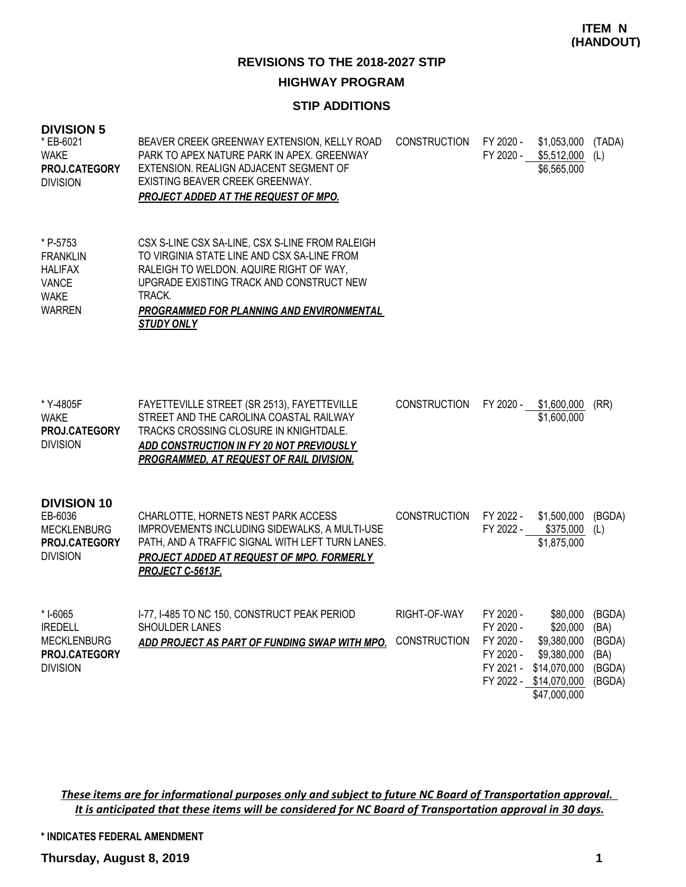#### **STIP ADDITIONS**

| <b>DIVISION 5</b><br>* EB-6021<br><b>WAKE</b><br><b>PROJ.CATEGORY</b><br><b>DIVISION</b>      | BEAVER CREEK GREENWAY EXTENSION, KELLY ROAD<br>PARK TO APEX NATURE PARK IN APEX. GREENWAY<br>EXTENSION. REALIGN ADJACENT SEGMENT OF<br>EXISTING BEAVER CREEK GREENWAY.<br><b>PROJECT ADDED AT THE REQUEST OF MPO.</b>                                             | <b>CONSTRUCTION</b>          | FY 2020 -<br>FY 2020 -                                        | \$1,053,000<br>\$5,512,000<br>\$6,565,000                                                                    | (TADA)<br>(L)                                        |
|-----------------------------------------------------------------------------------------------|-------------------------------------------------------------------------------------------------------------------------------------------------------------------------------------------------------------------------------------------------------------------|------------------------------|---------------------------------------------------------------|--------------------------------------------------------------------------------------------------------------|------------------------------------------------------|
| * P-5753<br><b>FRANKLIN</b><br><b>HALIFAX</b><br><b>VANCE</b><br><b>WAKE</b><br><b>WARREN</b> | CSX S-LINE CSX SA-LINE, CSX S-LINE FROM RALEIGH<br>TO VIRGINIA STATE LINE AND CSX SA-LINE FROM<br>RALEIGH TO WELDON. AQUIRE RIGHT OF WAY,<br>UPGRADE EXISTING TRACK AND CONSTRUCT NEW<br>TRACK.<br>PROGRAMMED FOR PLANNING AND ENVIRONMENTAL<br><b>STUDY ONLY</b> |                              |                                                               |                                                                                                              |                                                      |
| * Y-4805F<br><b>WAKE</b><br><b>PROJ.CATEGORY</b><br><b>DIVISION</b>                           | FAYETTEVILLE STREET (SR 2513), FAYETTEVILLE<br>STREET AND THE CAROLINA COASTAL RAILWAY<br>TRACKS CROSSING CLOSURE IN KNIGHTDALE.<br>ADD CONSTRUCTION IN FY 20 NOT PREVIOUSLY<br>PROGRAMMED, AT REQUEST OF RAIL DIVISION.                                          | <b>CONSTRUCTION</b>          | FY 2020 -                                                     | \$1,600,000<br>\$1,600,000                                                                                   | (RR)                                                 |
| <b>DIVISION 10</b><br>EB-6036<br><b>MECKLENBURG</b><br>PROJ.CATEGORY<br><b>DIVISION</b>       | CHARLOTTE, HORNETS NEST PARK ACCESS<br>IMPROVEMENTS INCLUDING SIDEWALKS, A MULTI-USE<br>PATH, AND A TRAFFIC SIGNAL WITH LEFT TURN LANES.<br>PROJECT ADDED AT REQUEST OF MPO. FORMERLY<br>PROJECT C-5613F.                                                         | <b>CONSTRUCTION</b>          | FY 2022 -<br>FY 2022 -                                        | \$1,500,000<br>\$375,000<br>\$1,875,000                                                                      | (BGDA)<br>(L)                                        |
| *I-6065<br><b>IREDELL</b><br><b>MECKLENBURG</b><br>PROJ.CATEGORY<br><b>DIVISION</b>           | I-77, I-485 TO NC 150, CONSTRUCT PEAK PERIOD<br>SHOULDER LANES<br>ADD PROJECT AS PART OF FUNDING SWAP WITH MPO.                                                                                                                                                   | RIGHT-OF-WAY<br>CONSTRUCTION | FY 2020 -<br>FY 2020 -<br>FY 2020 -<br>FY 2020 -<br>FY 2021 - | \$80,000<br>\$20,000<br>\$9,380,000<br>\$9,380,000<br>\$14,070,000<br>FY 2022 - \$14,070,000<br>\$47,000,000 | (BGDA)<br>(BA)<br>(BGDA)<br>(BA)<br>(BGDA)<br>(BGDA) |

*These items are for informational purposes only and subject to future NC Board of Transportation approval. It is anticipated that these items will be considered for NC Board of Transportation approval in 30 days.*

**\* INDICATES FEDERAL AMENDMENT**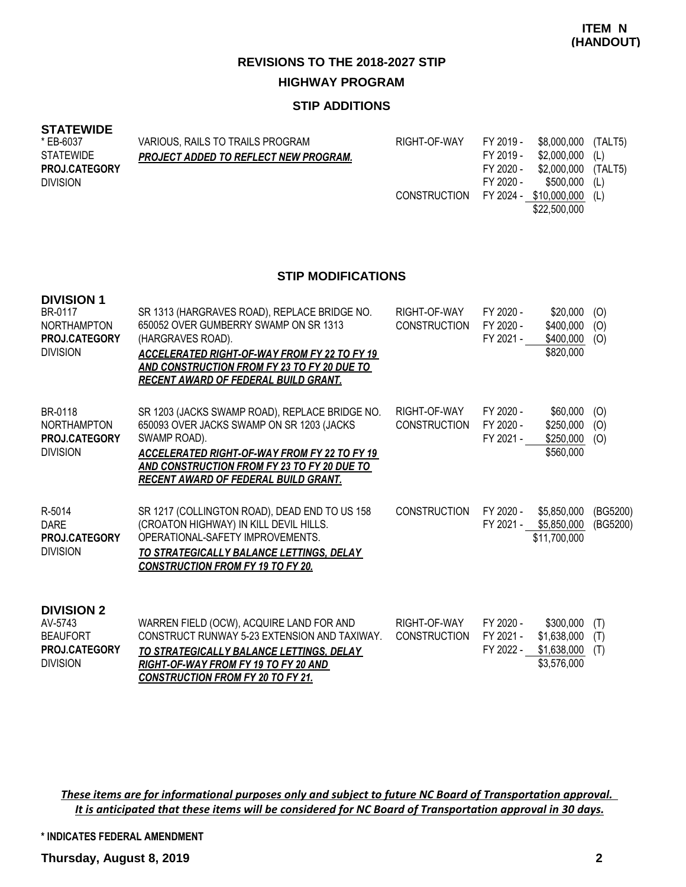#### **STIP ADDITIONS**

#### **STATEWIDE**

| * EB-6037            | VARIOUS, RAILS TO TRAILS PROGRAM             | RIGHT-OF-WAY | FY 2019 - | \$8,000,000 (TALT5)        |  |
|----------------------|----------------------------------------------|--------------|-----------|----------------------------|--|
| STATEWIDE            | <b>PROJECT ADDED TO REFLECT NEW PROGRAM.</b> |              | FY 2019 - | $$2,000,000$ (L)           |  |
| <b>PROJ.CATEGORY</b> |                                              |              | FY 2020 - | \$2,000,000 (TALT5)        |  |
| <b>DIVISION</b>      |                                              |              | FY 2020 - | \$500,000 (L)              |  |
|                      |                                              | CONSTRUCTION |           | FY 2024 - \$10,000,000 (L) |  |
|                      |                                              |              |           | \$22,500,000               |  |

#### **STIP MODIFICATIONS**

| <b>DIVISION 1</b><br>BR-0117<br><b>NORTHAMPTON</b><br>PROJ.CATEGORY<br><b>DIVISION</b> | SR 1313 (HARGRAVES ROAD), REPLACE BRIDGE NO.<br>650052 OVER GUMBERRY SWAMP ON SR 1313<br>(HARGRAVES ROAD).<br>ACCELERATED RIGHT-OF-WAY FROM FY 22 TO FY 19<br><b>AND CONSTRUCTION FROM FY 23 TO FY 20 DUE TO</b><br>RECENT AWARD OF FEDERAL BUILD GRANT.         | RIGHT-OF-WAY<br><b>CONSTRUCTION</b> | FY 2020 -<br>FY 2020 -<br>FY 2021 - | \$20,000<br>\$400,000<br>\$400,000<br>\$820,000 | (O)<br>(0)<br>(O)    |
|----------------------------------------------------------------------------------------|------------------------------------------------------------------------------------------------------------------------------------------------------------------------------------------------------------------------------------------------------------------|-------------------------------------|-------------------------------------|-------------------------------------------------|----------------------|
| BR-0118<br><b>NORTHAMPTON</b><br>PROJ.CATEGORY<br><b>DIVISION</b>                      | SR 1203 (JACKS SWAMP ROAD), REPLACE BRIDGE NO.<br>650093 OVER JACKS SWAMP ON SR 1203 (JACKS<br>SWAMP ROAD).<br><b>ACCELERATED RIGHT-OF-WAY FROM FY 22 TO FY 19</b><br>AND CONSTRUCTION FROM FY 23 TO FY 20 DUE TO<br><u>RECENT AWARD OF FEDERAL BUILD GRANT.</u> | RIGHT-OF-WAY<br><b>CONSTRUCTION</b> | FY 2020 -<br>FY 2020 -<br>FY 2021 - | \$60,000<br>\$250,000<br>\$250,000<br>\$560,000 | (O)<br>(O)<br>(O)    |
| R-5014<br><b>DARE</b><br>PROJ.CATEGORY<br><b>DIVISION</b>                              | SR 1217 (COLLINGTON ROAD), DEAD END TO US 158<br>(CROATON HIGHWAY) IN KILL DEVIL HILLS.<br>OPERATIONAL-SAFETY IMPROVEMENTS.<br>TO STRATEGICALLY BALANCE LETTINGS, DELAY<br><b>CONSTRUCTION FROM FY 19 TO FY 20.</b>                                              | <b>CONSTRUCTION</b>                 | FY 2020 -<br>FY 2021 -              | \$5,850,000<br>\$5,850,000<br>\$11,700,000      | (BG5200)<br>(BG5200) |
| <b>DIVISION 2</b><br>AV-5743<br><b>BEAUFORT</b><br><b>PROJCATEGORY</b>                 | WARREN FIELD (OCW), ACQUIRE LAND FOR AND<br>CONSTRUCT RUNWAY 5-23 EXTENSION AND TAXIWAY.<br>TO STOATECICALLY DALANCE LETTINGS DELAV                                                                                                                              | RIGHT-OF-WAY<br><b>CONSTRUCTION</b> | FY 2020 -<br>FY 2021 -<br>EV 2022 - | \$300,000<br>\$1,638,000<br>\$1 638 NOO         | (T)<br>(T)<br>(T)    |

*TO STRATEGICALLY BALANCE LETTINGS, DELAY RIGHT-OF-WAY FROM FY 19 TO FY 20 AND CONSTRUCTION FROM FY 20 TO FY 21.* FY 2022 -  $\frac{$1,638,000}{...}$  (1) \$3,576,000 DIVISION **PROJ.CATEGORY**

*These items are for informational purposes only and subject to future NC Board of Transportation approval. It is anticipated that these items will be considered for NC Board of Transportation approval in 30 days.*

**\* INDICATES FEDERAL AMENDMENT**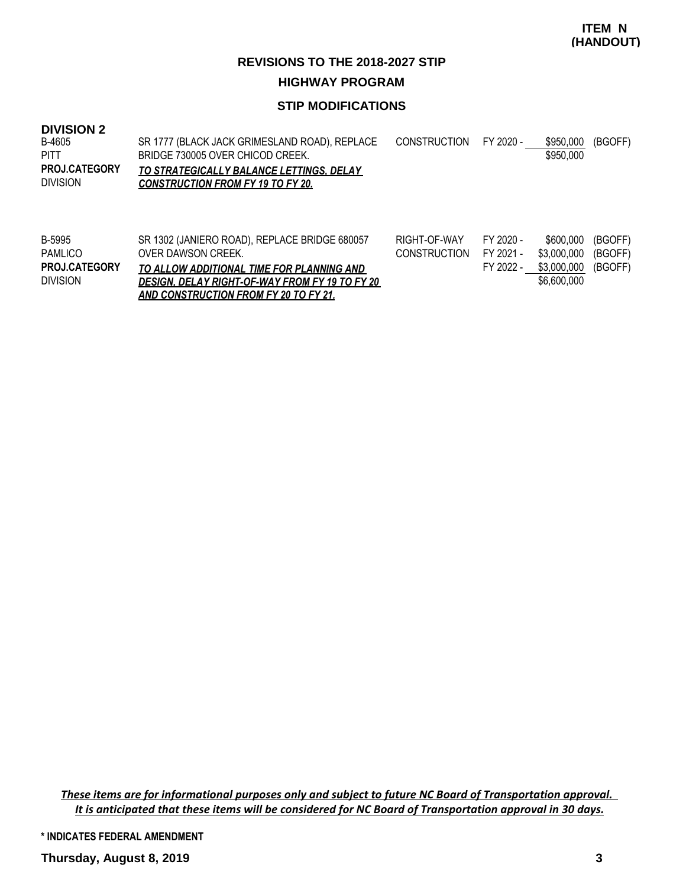#### **STIP MODIFICATIONS**

#### **DIVISION 2**

| B-4605               | SR 1777 (BLACK JACK GRIMESLAND ROAD), REPLACE | CONSTRUCTION FY 2020 - | \$950.000 | (BGOFF) |
|----------------------|-----------------------------------------------|------------------------|-----------|---------|
| PITT                 | BRIDGE 730005 OVER CHICOD CREEK.              |                        | \$950,000 |         |
| <b>PROJ.CATEGORY</b> | TO STRATEGICALLY BALANCE LETTINGS. DELAY      |                        |           |         |
| <b>DIVISION</b>      | <b>CONSTRUCTION FROM FY 19 TO FY 20.</b>      |                        |           |         |
|                      |                                               |                        |           |         |

| B-5995               | SR 1302 (JANIERO ROAD), REPLACE BRIDGE 680057  | RIGHT-OF-WAY           | FY 2020 - | \$600,000 (BGOFF)   |  |
|----------------------|------------------------------------------------|------------------------|-----------|---------------------|--|
| PAMLICO              | OVER DAWSON CREEK.                             | CONSTRUCTION FY 2021 - |           | \$3,000,000 (BGOFF) |  |
| <b>PROJ.CATEGORY</b> | TO ALLOW ADDITIONAL TIME FOR PLANNING AND      |                        | FY 2022 - | \$3,000,000 (BGOFF) |  |
| <b>DIVISION</b>      | DESIGN, DELAY RIGHT-OF-WAY FROM FY 19 TO FY 20 |                        |           | \$6,600,000         |  |
|                      | AND CONSTRUCTION FROM FY 20 TO FY 21.          |                        |           |                     |  |

*These items are for informational purposes only and subject to future NC Board of Transportation approval. It is anticipated that these items will be considered for NC Board of Transportation approval in 30 days.*

**\* INDICATES FEDERAL AMENDMENT**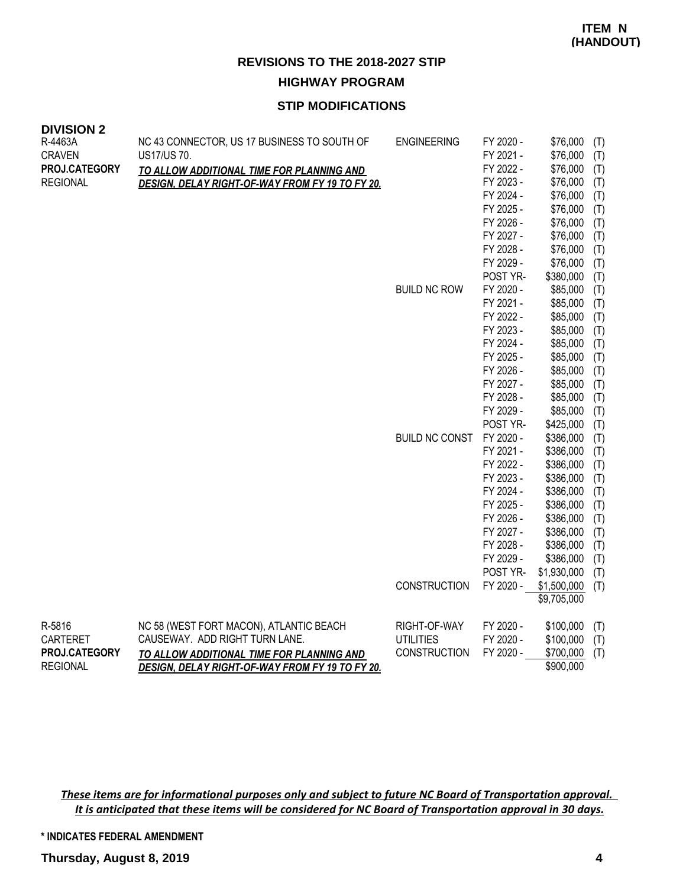#### **STIP MODIFICATIONS**

| <b>DIVISION 2</b><br>R-4463A | NC 43 CONNECTOR, US 17 BUSINESS TO SOUTH OF      | <b>ENGINEERING</b>    | FY 2020 - | \$76,000    | (T) |
|------------------------------|--------------------------------------------------|-----------------------|-----------|-------------|-----|
| <b>CRAVEN</b>                | US17/US 70.                                      |                       | FY 2021 - | \$76,000    | (T) |
| PROJ.CATEGORY                | <b>TO ALLOW ADDITIONAL TIME FOR PLANNING AND</b> |                       | FY 2022 - | \$76,000    | (T) |
| <b>REGIONAL</b>              | DESIGN, DELAY RIGHT-OF-WAY FROM FY 19 TO FY 20.  |                       | FY 2023 - | \$76,000    | (T) |
|                              |                                                  |                       | FY 2024 - | \$76,000    | (T) |
|                              |                                                  |                       | FY 2025 - | \$76,000    | (T) |
|                              |                                                  |                       | FY 2026 - | \$76,000    | (T) |
|                              |                                                  |                       | FY 2027 - | \$76,000    | (T) |
|                              |                                                  |                       | FY 2028 - | \$76,000    | (T) |
|                              |                                                  |                       | FY 2029 - | \$76,000    | (T) |
|                              |                                                  |                       | POST YR-  | \$380,000   | (T) |
|                              |                                                  | <b>BUILD NC ROW</b>   | FY 2020 - | \$85,000    | (T) |
|                              |                                                  |                       | FY 2021 - | \$85,000    | (T) |
|                              |                                                  |                       | FY 2022 - | \$85,000    | (T) |
|                              |                                                  |                       | FY 2023 - | \$85,000    | (T) |
|                              |                                                  |                       | FY 2024 - | \$85,000    | (T) |
|                              |                                                  |                       | FY 2025 - | \$85,000    | (T) |
|                              |                                                  |                       | FY 2026 - | \$85,000    | (T) |
|                              |                                                  |                       | FY 2027 - | \$85,000    | (T) |
|                              |                                                  |                       | FY 2028 - | \$85,000    | (T) |
|                              |                                                  |                       | FY 2029 - | \$85,000    | (T) |
|                              |                                                  |                       | POST YR-  | \$425,000   | (T) |
|                              |                                                  | <b>BUILD NC CONST</b> | FY 2020 - | \$386,000   | (T) |
|                              |                                                  |                       | FY 2021 - | \$386,000   | (T) |
|                              |                                                  |                       | FY 2022 - | \$386,000   | (T) |
|                              |                                                  |                       | FY 2023 - | \$386,000   | (T) |
|                              |                                                  |                       | FY 2024 - | \$386,000   | (T) |
|                              |                                                  |                       | FY 2025 - | \$386,000   | (T) |
|                              |                                                  |                       | FY 2026 - | \$386,000   | (T) |
|                              |                                                  |                       | FY 2027 - | \$386,000   | (T) |
|                              |                                                  |                       | FY 2028 - | \$386,000   | (T) |
|                              |                                                  |                       | FY 2029 - | \$386,000   | (T) |
|                              |                                                  |                       | POST YR-  | \$1,930,000 | (T) |
|                              |                                                  | <b>CONSTRUCTION</b>   | FY 2020 - | \$1,500,000 | (T) |
|                              |                                                  |                       |           | \$9,705,000 |     |
| R-5816                       | NC 58 (WEST FORT MACON), ATLANTIC BEACH          | RIGHT-OF-WAY          | FY 2020 - | \$100,000   | (T) |
| <b>CARTERET</b>              | CAUSEWAY. ADD RIGHT TURN LANE.                   | <b>UTILITIES</b>      | FY 2020 - | \$100,000   | (T) |
| PROJ.CATEGORY                | TO ALLOW ADDITIONAL TIME FOR PLANNING AND        | <b>CONSTRUCTION</b>   | FY 2020 - | \$700,000   | (T) |
| <b>REGIONAL</b>              | DESIGN, DELAY RIGHT-OF-WAY FROM FY 19 TO FY 20.  |                       |           | \$900,000   |     |

*These items are for informational purposes only and subject to future NC Board of Transportation approval. It is anticipated that these items will be considered for NC Board of Transportation approval in 30 days.*

**\* INDICATES FEDERAL AMENDMENT**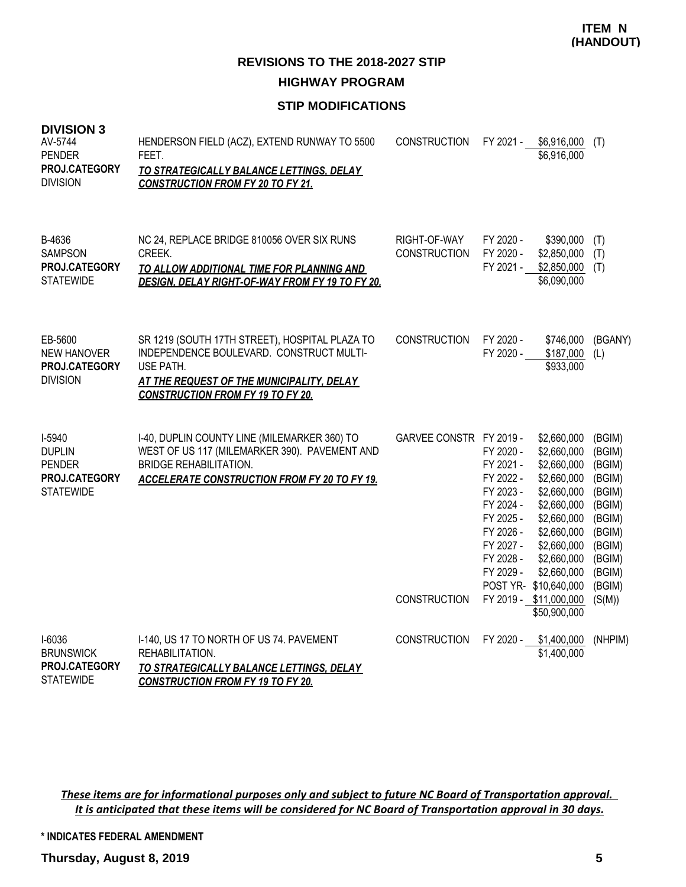### **STIP MODIFICATIONS**

| <b>DIVISION 3</b><br>AV-5744<br><b>PENDER</b><br>PROJ.CATEGORY<br><b>DIVISION</b> | HENDERSON FIELD (ACZ), EXTEND RUNWAY TO 5500<br>FEET.<br>TO STRATEGICALLY BALANCE LETTINGS, DELAY<br><b>CONSTRUCTION FROM FY 20 TO FY 21.</b>                                                    | <b>CONSTRUCTION</b>                            |                                                                                                                                | FY 2021 - \$6,916,000<br>\$6,916,000                                                                                                                                                                                                 | (T)                                                                                                                            |
|-----------------------------------------------------------------------------------|--------------------------------------------------------------------------------------------------------------------------------------------------------------------------------------------------|------------------------------------------------|--------------------------------------------------------------------------------------------------------------------------------|--------------------------------------------------------------------------------------------------------------------------------------------------------------------------------------------------------------------------------------|--------------------------------------------------------------------------------------------------------------------------------|
| B-4636<br><b>SAMPSON</b><br>PROJ.CATEGORY<br><b>STATEWIDE</b>                     | NC 24, REPLACE BRIDGE 810056 OVER SIX RUNS<br>CREEK.<br>TO ALLOW ADDITIONAL TIME FOR PLANNING AND<br>DESIGN, DELAY RIGHT-OF-WAY FROM FY 19 TO FY 20.                                             | RIGHT-OF-WAY<br><b>CONSTRUCTION</b>            | FY 2020 -<br>FY 2020 -<br>FY 2021 -                                                                                            | \$390,000<br>\$2,850,000<br>\$2,850,000<br>\$6,090,000                                                                                                                                                                               | (T)<br>(T)<br>(T)                                                                                                              |
| EB-5600<br><b>NEW HANOVER</b><br>PROJ.CATEGORY<br><b>DIVISION</b>                 | SR 1219 (SOUTH 17TH STREET), HOSPITAL PLAZA TO<br>INDEPENDENCE BOULEVARD. CONSTRUCT MULTI-<br>USE PATH.<br>AT THE REQUEST OF THE MUNICIPALITY, DELAY<br><b>CONSTRUCTION FROM FY 19 TO FY 20.</b> | <b>CONSTRUCTION</b>                            | FY 2020 -<br>FY 2020 -                                                                                                         | \$746,000<br>\$187,000<br>\$933,000                                                                                                                                                                                                  | (BGANY)<br>(L)                                                                                                                 |
| I-5940<br><b>DUPLIN</b><br><b>PENDER</b><br>PROJ.CATEGORY<br><b>STATEWIDE</b>     | I-40, DUPLIN COUNTY LINE (MILEMARKER 360) TO<br>WEST OF US 117 (MILEMARKER 390). PAVEMENT AND<br><b>BRIDGE REHABILITATION.</b><br><b>ACCELERATE CONSTRUCTION FROM FY 20 TO FY 19.</b>            | GARVEE CONSTR FY 2019 -<br><b>CONSTRUCTION</b> | FY 2020 -<br>FY 2021 -<br>FY 2022 -<br>FY 2023 -<br>FY 2024 -<br>FY 2025 -<br>FY 2026 -<br>FY 2027 -<br>FY 2028 -<br>FY 2029 - | \$2,660,000<br>\$2,660,000<br>\$2,660,000<br>\$2,660,000<br>\$2,660,000<br>\$2,660,000<br>\$2,660,000<br>\$2,660,000<br>\$2,660,000<br>\$2,660,000<br>\$2,660,000<br>POST YR- \$10,640,000<br>FY 2019 - \$11,000,000<br>\$50,900,000 | (BGIM)<br>(BGIM)<br>(BGIM)<br>(BGIM)<br>(BGIM)<br>(BGIM)<br>(BGIM)<br>(BGIM)<br>(BGIM)<br>(BGIM)<br>(BGIM)<br>(BGIM)<br>(S(M)) |
| I-6036<br><b>BRUNSWICK</b><br>PROJ.CATEGORY<br><b>STATEWIDE</b>                   | I-140, US 17 TO NORTH OF US 74. PAVEMENT<br>REHABILITATION.<br>TO STRATEGICALLY BALANCE LETTINGS, DELAY<br><b>CONSTRUCTION FROM FY 19 TO FY 20.</b>                                              | CONSTRUCTION                                   | FY 2020 -                                                                                                                      | \$1,400,000<br>\$1,400,000                                                                                                                                                                                                           | (NHPIM)                                                                                                                        |

*These items are for informational purposes only and subject to future NC Board of Transportation approval. It is anticipated that these items will be considered for NC Board of Transportation approval in 30 days.*

**\* INDICATES FEDERAL AMENDMENT**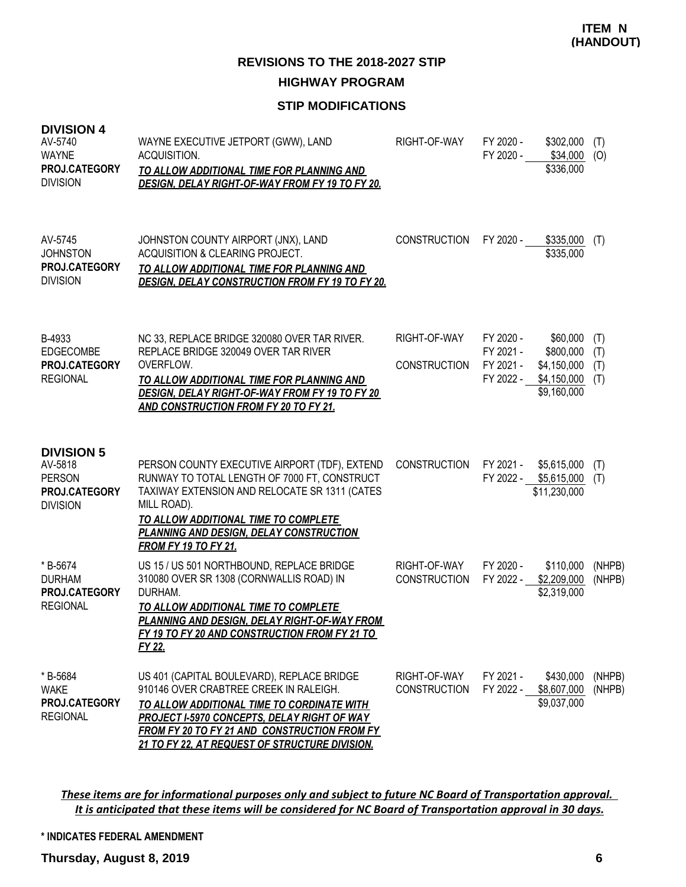### **STIP MODIFICATIONS**

| <b>DIVISION 4</b><br>AV-5740<br><b>WAYNE</b><br>PROJ.CATEGORY<br><b>DIVISION</b>  | WAYNE EXECUTIVE JETPORT (GWW), LAND<br>ACQUISITION.<br>TO ALLOW ADDITIONAL TIME FOR PLANNING AND<br>DESIGN. DELAY RIGHT-OF-WAY FROM FY 19 TO FY 20.                                                                                                                                        | RIGHT-OF-WAY                        | FY 2020 -<br>FY 2020 -                           | \$302,000<br>\$34,000<br>\$336,000                                 | (T)<br>(O)               |
|-----------------------------------------------------------------------------------|--------------------------------------------------------------------------------------------------------------------------------------------------------------------------------------------------------------------------------------------------------------------------------------------|-------------------------------------|--------------------------------------------------|--------------------------------------------------------------------|--------------------------|
| AV-5745<br><b>JOHNSTON</b><br>PROJ.CATEGORY<br><b>DIVISION</b>                    | JOHNSTON COUNTY AIRPORT (JNX), LAND<br>ACQUISITION & CLEARING PROJECT.<br>TO ALLOW ADDITIONAL TIME FOR PLANNING AND<br><b>DESIGN, DELAY CONSTRUCTION FROM FY 19 TO FY 20.</b>                                                                                                              | <b>CONSTRUCTION</b>                 | FY 2020 -                                        | \$335,000<br>\$335,000                                             | (T)                      |
| B-4933<br><b>EDGECOMBE</b><br>PROJ.CATEGORY<br><b>REGIONAL</b>                    | NC 33, REPLACE BRIDGE 320080 OVER TAR RIVER.<br>REPLACE BRIDGE 320049 OVER TAR RIVER<br>OVERFLOW.<br>TO ALLOW ADDITIONAL TIME FOR PLANNING AND<br>DESIGN, DELAY RIGHT-OF-WAY FROM FY 19 TO FY 20<br><b>AND CONSTRUCTION FROM FY 20 TO FY 21.</b>                                           | RIGHT-OF-WAY<br><b>CONSTRUCTION</b> | FY 2020 -<br>FY 2021 -<br>FY 2021 -<br>FY 2022 - | \$60,000<br>\$800,000<br>\$4,150,000<br>\$4,150,000<br>\$9,160,000 | (T)<br>(T)<br>(T)<br>(T) |
| <b>DIVISION 5</b><br>AV-5818<br><b>PERSON</b><br>PROJ.CATEGORY<br><b>DIVISION</b> | PERSON COUNTY EXECUTIVE AIRPORT (TDF), EXTEND<br>RUNWAY TO TOTAL LENGTH OF 7000 FT, CONSTRUCT<br>TAXIWAY EXTENSION AND RELOCATE SR 1311 (CATES<br>MILL ROAD).<br>TO ALLOW ADDITIONAL TIME TO COMPLETE<br>PLANNING AND DESIGN, DELAY CONSTRUCTION<br><b>FROM FY 19 TO FY 21.</b>            | <b>CONSTRUCTION</b>                 | FY 2021 -                                        | \$5,615,000<br>FY 2022 - \$5,615,000<br>\$11,230,000               | (T)<br>(T)               |
| * B-5674<br><b>DURHAM</b><br>PROJ.CATEGORY<br><b>REGIONAL</b>                     | US 15 / US 501 NORTHBOUND, REPLACE BRIDGE<br>310080 OVER SR 1308 (CORNWALLIS ROAD) IN<br>DURHAM.<br>TO ALLOW ADDITIONAL TIME TO COMPLETE<br>PLANNING AND DESIGN, DELAY RIGHT-OF-WAY FROM<br>FY 19 TO FY 20 AND CONSTRUCTION FROM FY 21 TO<br>FY 22.                                        | RIGHT-OF-WAY<br><b>CONSTRUCTION</b> | FY 2020 -<br>FY 2022 -                           | \$110,000<br>\$2,209,000<br>\$2,319,000                            | (NHPB)<br>(NHPB)         |
| * B-5684<br><b>WAKE</b><br>PROJ.CATEGORY<br><b>REGIONAL</b>                       | US 401 (CAPITAL BOULEVARD), REPLACE BRIDGE<br>910146 OVER CRABTREE CREEK IN RALEIGH.<br>TO ALLOW ADDITIONAL TIME TO CORDINATE WITH<br><b>PROJECT I-5970 CONCEPTS, DELAY RIGHT OF WAY</b><br>FROM FY 20 TO FY 21 AND CONSTRUCTION FROM FY<br>21 TO FY 22, AT REQUEST OF STRUCTURE DIVISION. | RIGHT-OF-WAY<br><b>CONSTRUCTION</b> | FY 2021 -<br>FY 2022 -                           | \$430,000<br>\$8,607,000<br>\$9,037,000                            | (NHPB)<br>(NHPB)         |

*These items are for informational purposes only and subject to future NC Board of Transportation approval. It is anticipated that these items will be considered for NC Board of Transportation approval in 30 days.*

#### **\* INDICATES FEDERAL AMENDMENT**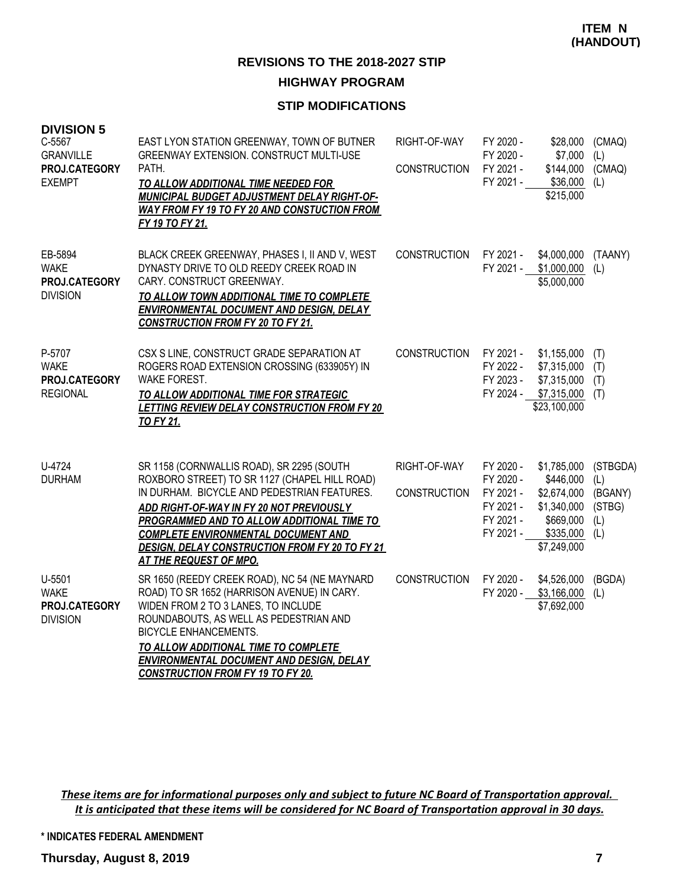#### **STIP MODIFICATIONS**

| <b>DIVISION 5</b><br>C-5567<br><b>GRANVILLE</b><br>PROJ.CATEGORY<br><b>EXEMPT</b> | EAST LYON STATION GREENWAY, TOWN OF BUTNER<br>GREENWAY EXTENSION. CONSTRUCT MULTI-USE<br>PATH.<br>TO ALLOW ADDITIONAL TIME NEEDED FOR<br>MUNICIPAL BUDGET ADJUSTMENT DELAY RIGHT-OF-<br><b>WAY FROM FY 19 TO FY 20 AND CONSTUCTION FROM</b><br>FY 19 TO FY 21.                                                                                                       | RIGHT-OF-WAY<br><b>CONSTRUCTION</b> | FY 2020 -<br>FY 2020 -<br>FY 2021 -<br>FY 2021 -                           | \$28,000<br>\$7,000<br>\$144,000<br>\$36,000<br>\$215,000                                       | (CMAQ)<br>(L)<br>(CMAQ)<br>(L)                     |
|-----------------------------------------------------------------------------------|----------------------------------------------------------------------------------------------------------------------------------------------------------------------------------------------------------------------------------------------------------------------------------------------------------------------------------------------------------------------|-------------------------------------|----------------------------------------------------------------------------|-------------------------------------------------------------------------------------------------|----------------------------------------------------|
| EB-5894<br><b>WAKE</b><br>PROJ.CATEGORY<br><b>DIVISION</b>                        | BLACK CREEK GREENWAY, PHASES I, II AND V, WEST<br>DYNASTY DRIVE TO OLD REEDY CREEK ROAD IN<br>CARY. CONSTRUCT GREENWAY.<br>TO ALLOW TOWN ADDITIONAL TIME TO COMPLETE<br>ENVIRONMENTAL DOCUMENT AND DESIGN, DELAY<br><b>CONSTRUCTION FROM FY 20 TO FY 21.</b>                                                                                                         | <b>CONSTRUCTION</b>                 | FY 2021 -<br>FY 2021 -                                                     | \$4,000,000<br>\$1,000,000<br>\$5,000,000                                                       | (TAANY)<br>(L)                                     |
| P-5707<br><b>WAKE</b><br>PROJ.CATEGORY<br><b>REGIONAL</b>                         | CSX S LINE, CONSTRUCT GRADE SEPARATION AT<br>ROGERS ROAD EXTENSION CROSSING (633905Y) IN<br><b>WAKE FOREST.</b><br>TO ALLOW ADDITIONAL TIME FOR STRATEGIC<br><b>LETTING REVIEW DELAY CONSTRUCTION FROM FY 20</b><br><b>TO FY 21.</b>                                                                                                                                 | CONSTRUCTION                        | FY 2021 -<br>FY 2022 -<br>FY 2023 -                                        | \$1,155,000<br>\$7,315,000<br>\$7,315,000<br>FY 2024 - \$7,315,000<br>\$23,100,000              | (T)<br>(T)<br>(T)<br>(T)                           |
| U-4724<br><b>DURHAM</b>                                                           | SR 1158 (CORNWALLIS ROAD), SR 2295 (SOUTH<br>ROXBORO STREET) TO SR 1127 (CHAPEL HILL ROAD)<br>IN DURHAM. BICYCLE AND PEDESTRIAN FEATURES.<br>ADD RIGHT-OF-WAY IN FY 20 NOT PREVIOUSLY<br>PROGRAMMED AND TO ALLOW ADDITIONAL TIME TO<br><b>COMPLETE ENVIRONMENTAL DOCUMENT AND</b><br><b>DESIGN, DELAY CONSTRUCTION FROM FY 20 TO FY 21</b><br>AT THE REQUEST OF MPO. | RIGHT-OF-WAY<br><b>CONSTRUCTION</b> | FY 2020 -<br>FY 2020 -<br>FY 2021 -<br>FY 2021 -<br>FY 2021 -<br>FY 2021 - | \$1,785,000<br>\$446,000<br>\$2,674,000<br>\$1,340,000<br>\$669,000<br>\$335,000<br>\$7,249,000 | (STBGDA)<br>(L)<br>(BGANY)<br>(STBG)<br>(L)<br>(L) |
| U-5501<br><b>WAKE</b><br>PROJ.CATEGORY<br><b>DIVISION</b>                         | SR 1650 (REEDY CREEK ROAD), NC 54 (NE MAYNARD<br>ROAD) TO SR 1652 (HARRISON AVENUE) IN CARY.<br>WIDEN FROM 2 TO 3 LANES, TO INCLUDE<br>ROUNDABOUTS, AS WELL AS PEDESTRIAN AND<br><b>BICYCLE ENHANCEMENTS.</b><br>TO ALLOW ADDITIONAL TIME TO COMPLETE<br><b>ENVIRONMENTAL DOCUMENT AND DESIGN, DELAY</b><br><b>CONSTRUCTION FROM FY 19 TO FY 20.</b>                 | <b>CONSTRUCTION</b>                 | FY 2020 -<br>FY 2020 -                                                     | \$4,526,000<br>\$3,166,000<br>\$7,692,000                                                       | (BGDA)<br>(L)                                      |

*These items are for informational purposes only and subject to future NC Board of Transportation approval. It is anticipated that these items will be considered for NC Board of Transportation approval in 30 days.*

**\* INDICATES FEDERAL AMENDMENT**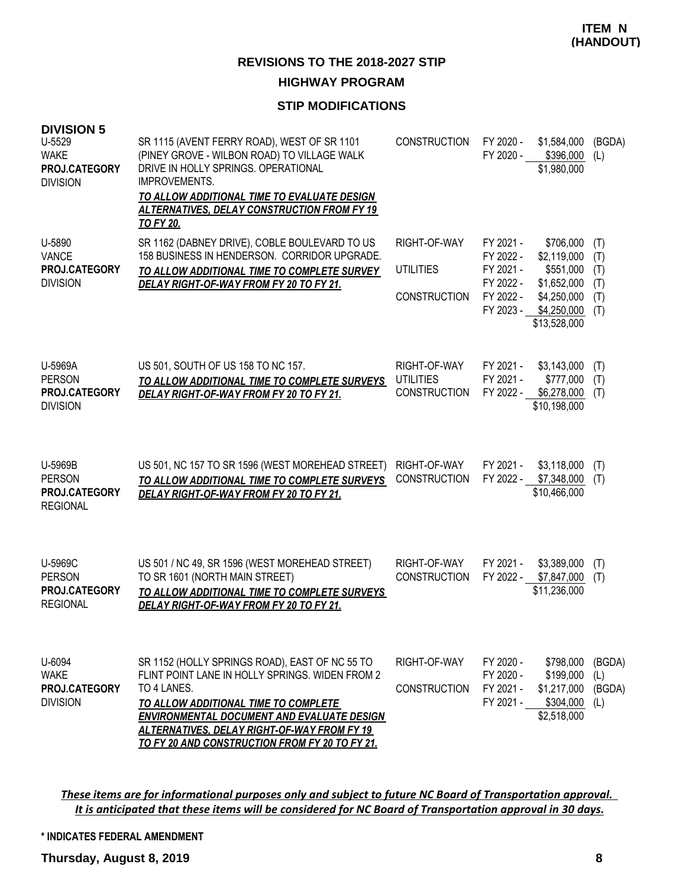#### **STIP MODIFICATIONS**

| <b>DIVISION 5</b><br>U-5529<br><b>WAKE</b><br>PROJ.CATEGORY<br><b>DIVISION</b> | SR 1115 (AVENT FERRY ROAD), WEST OF SR 1101<br>(PINEY GROVE - WILBON ROAD) TO VILLAGE WALK<br>DRIVE IN HOLLY SPRINGS. OPERATIONAL<br><b>IMPROVEMENTS.</b><br><b>TO ALLOW ADDITIONAL TIME TO EVALUATE DESIGN</b><br>ALTERNATIVES, DELAY CONSTRUCTION FROM FY 19<br><b>TO FY 20.</b>                                    | <b>CONSTRUCTION</b>                                     | FY 2020 -<br>FY 2020 -                                                     | \$1,584,000<br>\$396,000<br>\$1,980,000                                                            | (BGDA)<br>(L)                          |
|--------------------------------------------------------------------------------|-----------------------------------------------------------------------------------------------------------------------------------------------------------------------------------------------------------------------------------------------------------------------------------------------------------------------|---------------------------------------------------------|----------------------------------------------------------------------------|----------------------------------------------------------------------------------------------------|----------------------------------------|
| U-5890<br><b>VANCE</b><br>PROJ.CATEGORY<br><b>DIVISION</b>                     | SR 1162 (DABNEY DRIVE), COBLE BOULEVARD TO US<br>158 BUSINESS IN HENDERSON. CORRIDOR UPGRADE.<br>TO ALLOW ADDITIONAL TIME TO COMPLETE SURVEY<br>DELAY RIGHT-OF-WAY FROM FY 20 TO FY 21.                                                                                                                               | RIGHT-OF-WAY<br>UTILITIES<br><b>CONSTRUCTION</b>        | FY 2021 -<br>FY 2022 -<br>FY 2021 -<br>FY 2022 -<br>FY 2022 -<br>FY 2023 - | \$706,000<br>\$2,119,000<br>\$551,000<br>\$1,652,000<br>\$4,250,000<br>\$4,250,000<br>\$13,528,000 | (T)<br>(T)<br>(T)<br>(T)<br>(T)<br>(T) |
| U-5969A<br><b>PERSON</b><br>PROJ.CATEGORY<br><b>DIVISION</b>                   | US 501, SOUTH OF US 158 TO NC 157.<br>TO ALLOW ADDITIONAL TIME TO COMPLETE SURVEYS<br>DELAY RIGHT-OF-WAY FROM FY 20 TO FY 21.                                                                                                                                                                                         | RIGHT-OF-WAY<br><b>UTILITIES</b><br><b>CONSTRUCTION</b> | FY 2021 -<br>FY 2021 -<br>FY 2022 -                                        | \$3,143,000<br>\$777,000<br>\$6,278,000<br>\$10,198,000                                            | (T)<br>(T)<br>(T)                      |
| U-5969B<br><b>PERSON</b><br>PROJ.CATEGORY<br><b>REGIONAL</b>                   | US 501, NC 157 TO SR 1596 (WEST MOREHEAD STREET)<br>TO ALLOW ADDITIONAL TIME TO COMPLETE SURVEYS<br>DELAY RIGHT-OF-WAY FROM FY 20 TO FY 21.                                                                                                                                                                           | RIGHT-OF-WAY<br><b>CONSTRUCTION</b>                     | FY 2021 -<br>FY 2022 -                                                     | \$3,118,000<br>\$7,348,000<br>\$10,466,000                                                         | (T)<br>(T)                             |
| U-5969C<br><b>PERSON</b><br>PROJ.CATEGORY<br><b>REGIONAL</b>                   | US 501 / NC 49, SR 1596 (WEST MOREHEAD STREET)<br>TO SR 1601 (NORTH MAIN STREET)<br>TO ALLOW ADDITIONAL TIME TO COMPLETE SURVEYS<br>DELAY RIGHT-OF-WAY FROM FY 20 TO FY 21.                                                                                                                                           | RIGHT-OF-WAY<br><b>CONSTRUCTION</b>                     | FY 2021 -<br>FY 2022 -                                                     | \$3,389,000<br>\$7,847,000<br>\$11,236,000                                                         | (T)<br>(T)                             |
| U-6094<br><b>WAKE</b><br>PROJ.CATEGORY<br><b>DIVISION</b>                      | SR 1152 (HOLLY SPRINGS ROAD), EAST OF NC 55 TO<br>FLINT POINT LANE IN HOLLY SPRINGS. WIDEN FROM 2<br>TO 4 LANES.<br>TO ALLOW ADDITIONAL TIME TO COMPLETE<br><b>ENVIRONMENTAL DOCUMENT AND EVALUATE DESIGN</b><br><b>ALTERNATIVES, DELAY RIGHT-OF-WAY FROM FY 19</b><br>TO FY 20 AND CONSTRUCTION FROM FY 20 TO FY 21. | RIGHT-OF-WAY<br><b>CONSTRUCTION</b>                     | FY 2020 -<br>FY 2020 -<br>FY 2021 -<br>FY 2021 -                           | \$798,000<br>\$199,000<br>\$1,217,000<br>\$304,000<br>\$2,518,000                                  | (BGDA)<br>(L)<br>(BGDA)<br>(L)         |

*These items are for informational purposes only and subject to future NC Board of Transportation approval. It is anticipated that these items will be considered for NC Board of Transportation approval in 30 days.*

#### **\* INDICATES FEDERAL AMENDMENT**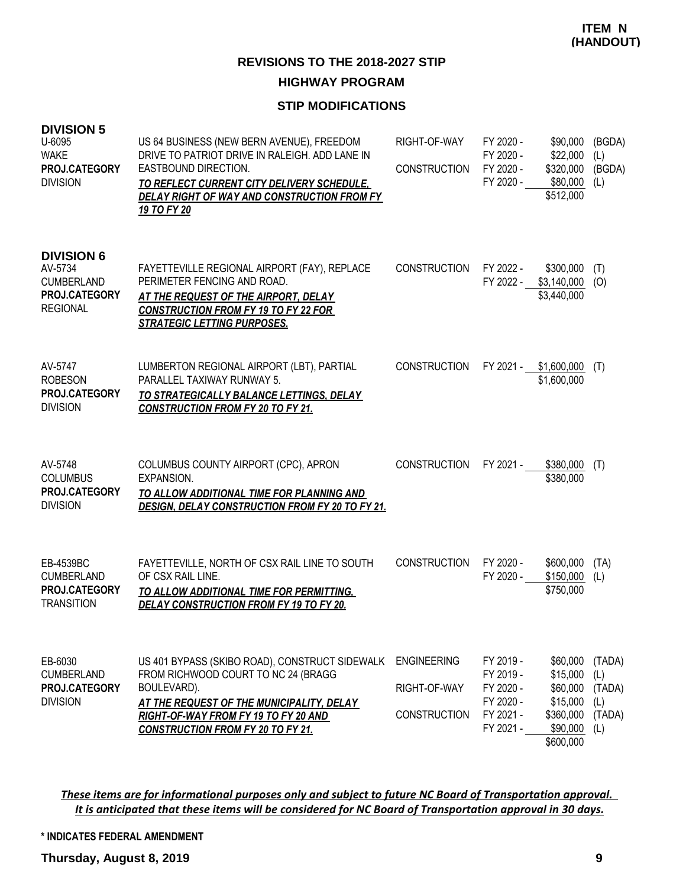#### **STIP MODIFICATIONS**

| <b>DIVISION 5</b><br>U-6095<br><b>WAKE</b><br>PROJ.CATEGORY<br><b>DIVISION</b>        | US 64 BUSINESS (NEW BERN AVENUE), FREEDOM<br>DRIVE TO PATRIOT DRIVE IN RALEIGH. ADD LANE IN<br>EASTBOUND DIRECTION.<br>TO REFLECT CURRENT CITY DELIVERY SCHEDULE,<br>DELAY RIGHT OF WAY AND CONSTRUCTION FROM FY<br>19 TO FY 20              | RIGHT-OF-WAY<br><b>CONSTRUCTION</b>                       | FY 2020 -<br>FY 2020 -<br>FY 2020 -<br>FY 2020 -                           | \$90,000<br>\$22,000<br>\$320,000<br>\$80,000<br>\$512,000                         | (BGDA)<br>(L)<br>(BGDA)<br>(L)                  |
|---------------------------------------------------------------------------------------|----------------------------------------------------------------------------------------------------------------------------------------------------------------------------------------------------------------------------------------------|-----------------------------------------------------------|----------------------------------------------------------------------------|------------------------------------------------------------------------------------|-------------------------------------------------|
| <b>DIVISION 6</b><br>AV-5734<br><b>CUMBERLAND</b><br>PROJ.CATEGORY<br><b>REGIONAL</b> | FAYETTEVILLE REGIONAL AIRPORT (FAY), REPLACE<br>PERIMETER FENCING AND ROAD.<br>AT THE REQUEST OF THE AIRPORT, DELAY<br><b>CONSTRUCTION FROM FY 19 TO FY 22 FOR</b><br><b>STRATEGIC LETTING PURPOSES.</b>                                     | <b>CONSTRUCTION</b>                                       | FY 2022 -<br>FY 2022 -                                                     | \$300,000<br>\$3,140,000<br>\$3,440,000                                            | (T)<br>(O)                                      |
| AV-5747<br><b>ROBESON</b><br>PROJ.CATEGORY<br><b>DIVISION</b>                         | LUMBERTON REGIONAL AIRPORT (LBT), PARTIAL<br>PARALLEL TAXIWAY RUNWAY 5.<br>TO STRATEGICALLY BALANCE LETTINGS, DELAY<br><b>CONSTRUCTION FROM FY 20 TO FY 21.</b>                                                                              | <b>CONSTRUCTION</b>                                       | FY 2021 -                                                                  | \$1,600,000<br>\$1,600,000                                                         | (T)                                             |
| AV-5748<br><b>COLUMBUS</b><br>PROJ.CATEGORY<br><b>DIVISION</b>                        | COLUMBUS COUNTY AIRPORT (CPC), APRON<br><b>EXPANSION.</b><br>TO ALLOW ADDITIONAL TIME FOR PLANNING AND<br><b>DESIGN, DELAY CONSTRUCTION FROM FY 20 TO FY 21.</b>                                                                             | <b>CONSTRUCTION</b>                                       | FY 2021 -                                                                  | \$380,000<br>\$380,000                                                             | (T)                                             |
| EB-4539BC<br><b>CUMBERLAND</b><br>PROJ.CATEGORY<br><b>TRANSITION</b>                  | FAYETTEVILLE, NORTH OF CSX RAIL LINE TO SOUTH<br>OF CSX RAIL LINE.<br>TO ALLOW ADDITIONAL TIME FOR PERMITTING,<br>DELAY CONSTRUCTION FROM FY 19 TO FY 20.                                                                                    | <b>CONSTRUCTION</b>                                       | FY 2020 -<br>FY 2020 -                                                     | \$600,000<br>\$150,000<br>\$750,000                                                | (TA)<br>(L)                                     |
| EB-6030<br><b>CUMBERLAND</b><br>PROJ.CATEGORY<br><b>DIVISION</b>                      | US 401 BYPASS (SKIBO ROAD), CONSTRUCT SIDEWALK<br>FROM RICHWOOD COURT TO NC 24 (BRAGG<br>BOULEVARD).<br>AT THE REQUEST OF THE MUNICIPALITY, DELAY<br><b>RIGHT-OF-WAY FROM FY 19 TO FY 20 AND</b><br><b>CONSTRUCTION FROM FY 20 TO FY 21.</b> | <b>ENGINEERING</b><br>RIGHT-OF-WAY<br><b>CONSTRUCTION</b> | FY 2019 -<br>FY 2019 -<br>FY 2020 -<br>FY 2020 -<br>FY 2021 -<br>FY 2021 - | \$60,000<br>\$15,000<br>\$60,000<br>\$15,000<br>\$360,000<br>\$90,000<br>\$600,000 | (TADA)<br>(L)<br>(TADA)<br>(L)<br>(TADA)<br>(L) |

*These items are for informational purposes only and subject to future NC Board of Transportation approval. It is anticipated that these items will be considered for NC Board of Transportation approval in 30 days.*

**\* INDICATES FEDERAL AMENDMENT**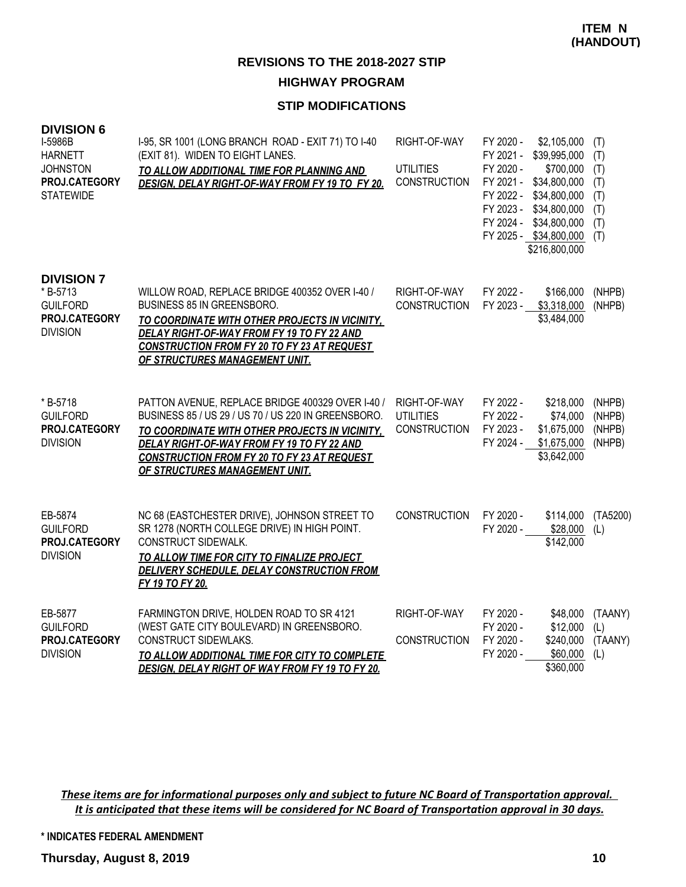### **STIP MODIFICATIONS**

| <b>DIVISION 6</b><br>I-5986B<br><b>HARNETT</b><br><b>JOHNSTON</b><br>PROJ.CATEGORY<br><b>STATEWIDE</b> | I-95, SR 1001 (LONG BRANCH ROAD - EXIT 71) TO I-40<br>(EXIT 81). WIDEN TO EIGHT LANES.<br>TO ALLOW ADDITIONAL TIME FOR PLANNING AND<br>DESIGN, DELAY RIGHT-OF-WAY FROM FY 19 TO FY 20.                                                                                                          | RIGHT-OF-WAY<br><b>UTILITIES</b><br><b>CONSTRUCTION</b> | FY 2020 -<br>\$2,105,000<br>\$39,995,000<br>FY 2021 -<br>FY 2020 -<br>\$700,000<br>FY 2021 -<br>\$34,800,000<br>FY 2022 -<br>\$34,800,000<br>FY 2023 -<br>\$34,800,000<br>FY 2024 -<br>\$34,800,000<br>FY 2025 - \$34,800,000<br>\$216,800,000 | (T)<br>(T)<br>(T)<br>(T)<br>(T)<br>(T)<br>(T)<br>(T) |
|--------------------------------------------------------------------------------------------------------|-------------------------------------------------------------------------------------------------------------------------------------------------------------------------------------------------------------------------------------------------------------------------------------------------|---------------------------------------------------------|------------------------------------------------------------------------------------------------------------------------------------------------------------------------------------------------------------------------------------------------|------------------------------------------------------|
| <b>DIVISION 7</b><br>* B-5713<br><b>GUILFORD</b><br>PROJ.CATEGORY<br><b>DIVISION</b>                   | WILLOW ROAD, REPLACE BRIDGE 400352 OVER I-40 /<br>BUSINESS 85 IN GREENSBORO.<br>TO COORDINATE WITH OTHER PROJECTS IN VICINITY,<br>DELAY RIGHT-OF-WAY FROM FY 19 TO FY 22 AND<br><b>CONSTRUCTION FROM FY 20 TO FY 23 AT REQUEST</b><br>OF STRUCTURES MANAGEMENT UNIT.                            | RIGHT-OF-WAY<br><b>CONSTRUCTION</b>                     | FY 2022 -<br>\$166,000<br>FY 2023 -<br>\$3,318,000<br>\$3,484,000                                                                                                                                                                              | (NHPB)<br>(NHPB)                                     |
| * B-5718<br><b>GUILFORD</b><br>PROJ.CATEGORY<br><b>DIVISION</b>                                        | PATTON AVENUE, REPLACE BRIDGE 400329 OVER I-40 /<br>BUSINESS 85 / US 29 / US 70 / US 220 IN GREENSBORO.<br>TO COORDINATE WITH OTHER PROJECTS IN VICINITY,<br>DELAY RIGHT-OF-WAY FROM FY 19 TO FY 22 AND<br><b>CONSTRUCTION FROM FY 20 TO FY 23 AT REQUEST</b><br>OF STRUCTURES MANAGEMENT UNIT. | RIGHT-OF-WAY<br><b>UTILITIES</b><br><b>CONSTRUCTION</b> | FY 2022 -<br>\$218,000<br>FY 2022 -<br>\$74,000<br>FY 2023 -<br>\$1,675,000<br>FY 2024 -<br>\$1,675,000<br>\$3,642,000                                                                                                                         | (NHPB)<br>(NHPB)<br>(NHPB)<br>(NHPB)                 |
| EB-5874<br><b>GUILFORD</b><br>PROJ.CATEGORY<br><b>DIVISION</b>                                         | NC 68 (EASTCHESTER DRIVE), JOHNSON STREET TO<br>SR 1278 (NORTH COLLEGE DRIVE) IN HIGH POINT.<br>CONSTRUCT SIDEWALK.<br>TO ALLOW TIME FOR CITY TO FINALIZE PROJECT<br><b>DELIVERY SCHEDULE, DELAY CONSTRUCTION FROM</b><br>FY 19 TO FY 20.                                                       | <b>CONSTRUCTION</b>                                     | FY 2020 -<br>\$114,000<br>FY 2020 -<br>\$28,000<br>\$142,000                                                                                                                                                                                   | (TA5200)<br>(L)                                      |
| EB-5877<br><b>GUILFORD</b><br>PROJ.CATEGORY<br><b>DIVISION</b>                                         | FARMINGTON DRIVE, HOLDEN ROAD TO SR 4121<br>(WEST GATE CITY BOULEVARD) IN GREENSBORO.<br>CONSTRUCT SIDEWLAKS.<br>TO ALLOW ADDITIONAL TIME FOR CITY TO COMPLETE<br>DESIGN, DELAY RIGHT OF WAY FROM FY 19 TO FY 20.                                                                               | RIGHT-OF-WAY<br><b>CONSTRUCTION</b>                     | FY 2020 -<br>\$48,000<br>FY 2020 -<br>\$12,000<br>FY 2020 -<br>\$240,000<br>FY 2020 -<br>\$60,000<br>\$360,000                                                                                                                                 | (TAANY)<br>(L)<br>(TAANY)<br>(L)                     |

*These items are for informational purposes only and subject to future NC Board of Transportation approval. It is anticipated that these items will be considered for NC Board of Transportation approval in 30 days.*

**\* INDICATES FEDERAL AMENDMENT**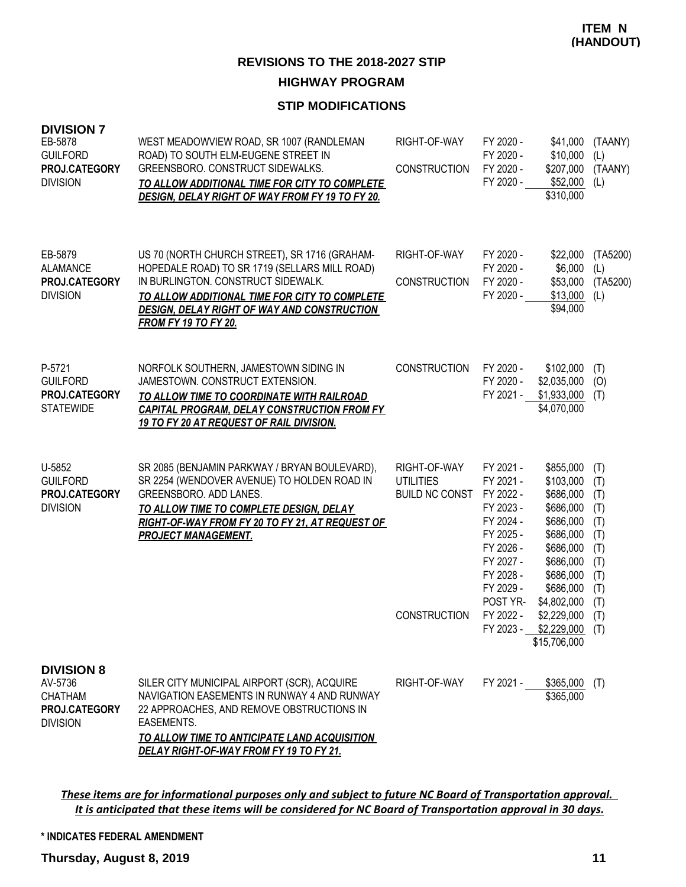#### **STIP MODIFICATIONS**

| <b>DIVISION 7</b><br>EB-5878<br><b>GUILFORD</b><br>PROJ.CATEGORY<br><b>DIVISION</b> | WEST MEADOWVIEW ROAD, SR 1007 (RANDLEMAN<br>ROAD) TO SOUTH ELM-EUGENE STREET IN<br>GREENSBORO. CONSTRUCT SIDEWALKS.<br>TO ALLOW ADDITIONAL TIME FOR CITY TO COMPLETE<br><b>DESIGN, DELAY RIGHT OF WAY FROM FY 19 TO FY 20.</b>                                             | RIGHT-OF-WAY<br><b>CONSTRUCTION</b>                                              | FY 2020 -<br>FY 2020 -<br>FY 2020 -<br>FY 2020 -                                                                                                        | \$41,000<br>\$10,000<br>\$207,000<br>\$52,000<br>\$310,000                                                                                                   | (TAANY)<br>(L)<br>(TAANY)<br>(L)                                                 |
|-------------------------------------------------------------------------------------|----------------------------------------------------------------------------------------------------------------------------------------------------------------------------------------------------------------------------------------------------------------------------|----------------------------------------------------------------------------------|---------------------------------------------------------------------------------------------------------------------------------------------------------|--------------------------------------------------------------------------------------------------------------------------------------------------------------|----------------------------------------------------------------------------------|
| EB-5879<br><b>ALAMANCE</b><br>PROJ.CATEGORY<br><b>DIVISION</b>                      | US 70 (NORTH CHURCH STREET), SR 1716 (GRAHAM-<br>HOPEDALE ROAD) TO SR 1719 (SELLARS MILL ROAD)<br>IN BURLINGTON. CONSTRUCT SIDEWALK.<br>TO ALLOW ADDITIONAL TIME FOR CITY TO COMPLETE<br><b>DESIGN, DELAY RIGHT OF WAY AND CONSTRUCTION</b><br><b>FROM FY 19 TO FY 20.</b> | RIGHT-OF-WAY<br><b>CONSTRUCTION</b>                                              | FY 2020 -<br>FY 2020 -<br>FY 2020 -<br>FY 2020 -                                                                                                        | \$22,000<br>\$6,000<br>\$53,000<br>\$13,000<br>\$94,000                                                                                                      | (TA5200)<br>(L)<br>(TA5200)<br>(L)                                               |
| P-5721<br><b>GUILFORD</b><br>PROJ.CATEGORY<br><b>STATEWIDE</b>                      | NORFOLK SOUTHERN, JAMESTOWN SIDING IN<br>JAMESTOWN. CONSTRUCT EXTENSION.<br>TO ALLOW TIME TO COORDINATE WITH RAILROAD<br><b>CAPITAL PROGRAM, DELAY CONSTRUCTION FROM FY</b><br>19 TO FY 20 AT REQUEST OF RAIL DIVISION.                                                    | <b>CONSTRUCTION</b>                                                              | FY 2020 -<br>FY 2020 -<br>FY 2021 -                                                                                                                     | \$102,000<br>\$2,035,000<br>\$1,933,000<br>\$4,070,000                                                                                                       | (T)<br>(O)<br>(T)                                                                |
| U-5852<br><b>GUILFORD</b><br>PROJ.CATEGORY<br><b>DIVISION</b>                       | SR 2085 (BENJAMIN PARKWAY / BRYAN BOULEVARD),<br>SR 2254 (WENDOVER AVENUE) TO HOLDEN ROAD IN<br>GREENSBORO. ADD LANES.<br>TO ALLOW TIME TO COMPLETE DESIGN, DELAY<br>RIGHT-OF-WAY FROM FY 20 TO FY 21, AT REQUEST OF<br><b>PROJECT MANAGEMENT.</b>                         | RIGHT-OF-WAY<br><b>UTILITIES</b><br><b>BUILD NC CONST</b><br><b>CONSTRUCTION</b> | FY 2021 -<br>FY 2021 -<br>FY 2022 -<br>FY 2023 -<br>FY 2024 -<br>FY 2025 -<br>FY 2026 -<br>FY 2027 -<br>FY 2028 -<br>FY 2029 -<br>POST YR-<br>FY 2022 - | \$855,000<br>\$103,000<br>\$686,000<br>\$686,000<br>\$686,000<br>\$686,000<br>\$686,000<br>\$686,000<br>\$686,000<br>\$686,000<br>\$4,802,000<br>\$2,229,000 | (T)<br>(T)<br>(T)<br>(T)<br>(T)<br>(T)<br>(T)<br>(T)<br>(T)<br>(T)<br>(T)<br>(T) |
|                                                                                     |                                                                                                                                                                                                                                                                            |                                                                                  |                                                                                                                                                         | $FY 2023 - $2,229,000$ (T)<br>\$15,706,000                                                                                                                   |                                                                                  |
| <b>DIVISION 8</b><br>AV-5736<br><b>CHATHAM</b><br>PROJ.CATEGORY<br><b>DIVISION</b>  | SILER CITY MUNICIPAL AIRPORT (SCR), ACQUIRE<br>NAVIGATION EASEMENTS IN RUNWAY 4 AND RUNWAY<br>22 APPROACHES, AND REMOVE OBSTRUCTIONS IN<br>EASEMENTS.<br><u>TO ALLOW TIME TO ANTICIPATE LAND ACQUISITION</u><br>DELAY RIGHT-OF-WAY FROM FY 19 TO FY 21.                    | RIGHT-OF-WAY                                                                     |                                                                                                                                                         | FY 2021 - \$365,000 (T)<br>\$365,000                                                                                                                         |                                                                                  |

*These items are for informational purposes only and subject to future NC Board of Transportation approval. It is anticipated that these items will be considered for NC Board of Transportation approval in 30 days.*

**\* INDICATES FEDERAL AMENDMENT**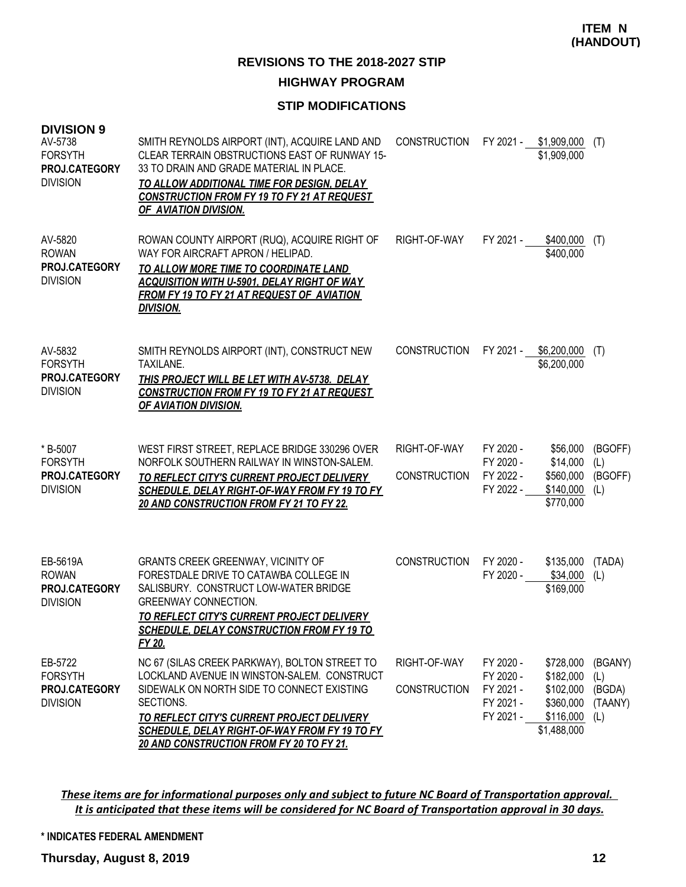#### **STIP MODIFICATIONS**

| <b>DIVISION 9</b><br>AV-5738<br><b>FORSYTH</b><br>PROJ.CATEGORY<br><b>DIVISION</b> | SMITH REYNOLDS AIRPORT (INT), ACQUIRE LAND AND<br>CLEAR TERRAIN OBSTRUCTIONS EAST OF RUNWAY 15-<br>33 TO DRAIN AND GRADE MATERIAL IN PLACE.<br>TO ALLOW ADDITIONAL TIME FOR DESIGN, DELAY<br><b>CONSTRUCTION FROM FY 19 TO FY 21 AT REQUEST</b><br>OF AVIATION DIVISION.                                  | <b>CONSTRUCTION</b>                 |                                                               | FY 2021 - \$1,909,000<br>\$1,909,000                                         | (T)                                        |
|------------------------------------------------------------------------------------|-----------------------------------------------------------------------------------------------------------------------------------------------------------------------------------------------------------------------------------------------------------------------------------------------------------|-------------------------------------|---------------------------------------------------------------|------------------------------------------------------------------------------|--------------------------------------------|
| AV-5820<br><b>ROWAN</b><br>PROJ.CATEGORY<br><b>DIVISION</b>                        | ROWAN COUNTY AIRPORT (RUQ), ACQUIRE RIGHT OF<br>WAY FOR AIRCRAFT APRON / HELIPAD.<br>TO ALLOW MORE TIME TO COORDINATE LAND<br><b>ACQUISITION WITH U-5901, DELAY RIGHT OF WAY</b><br><b>FROM FY 19 TO FY 21 AT REQUEST OF AVIATION</b><br><b>DIVISION.</b>                                                 | RIGHT-OF-WAY                        | FY 2021 -                                                     | \$400,000<br>\$400,000                                                       | (T)                                        |
| AV-5832<br><b>FORSYTH</b><br>PROJ.CATEGORY<br><b>DIVISION</b>                      | SMITH REYNOLDS AIRPORT (INT), CONSTRUCT NEW<br>TAXILANE.<br>THIS PROJECT WILL BE LET WITH AV-5738. DELAY<br><b>CONSTRUCTION FROM FY 19 TO FY 21 AT REQUEST</b><br>OF AVIATION DIVISION.                                                                                                                   | <b>CONSTRUCTION</b>                 |                                                               | FY 2021 - \$6,200,000<br>\$6,200,000                                         | (T)                                        |
| * B-5007<br><b>FORSYTH</b><br>PROJ.CATEGORY<br><b>DIVISION</b>                     | WEST FIRST STREET, REPLACE BRIDGE 330296 OVER<br>NORFOLK SOUTHERN RAILWAY IN WINSTON-SALEM.<br>TO REFLECT CITY'S CURRENT PROJECT DELIVERY<br>SCHEDULE, DELAY RIGHT-OF-WAY FROM FY 19 TO FY<br>20 AND CONSTRUCTION FROM FY 21 TO FY 22.                                                                    | RIGHT-OF-WAY<br><b>CONSTRUCTION</b> | FY 2020 -<br>FY 2020 -<br>FY 2022 -<br>FY 2022 -              | \$56,000<br>\$14,000<br>\$560,000<br>\$140,000<br>\$770,000                  | (BGOFF)<br>(L)<br>(BGOFF)<br>(L)           |
| EB-5619A<br><b>ROWAN</b><br>PROJ.CATEGORY<br><b>DIVISION</b>                       | <b>GRANTS CREEK GREENWAY, VICINITY OF</b><br>FORESTDALE DRIVE TO CATAWBA COLLEGE IN<br>SALISBURY. CONSTRUCT LOW-WATER BRIDGE<br><b>GREENWAY CONNECTION.</b><br>TO REFLECT CITY'S CURRENT PROJECT DELIVERY<br><b>SCHEDULE, DELAY CONSTRUCTION FROM FY 19 TO</b><br>FY 20.                                  | <b>CONSTRUCTION</b>                 | FY 2020 -<br>FY 2020 -                                        | \$135,000<br>\$34,000<br>\$169,000                                           | (TADA)<br>(L)                              |
| EB-5722<br><b>FORSYTH</b><br>PROJ.CATEGORY<br><b>DIVISION</b>                      | NC 67 (SILAS CREEK PARKWAY), BOLTON STREET TO<br>LOCKLAND AVENUE IN WINSTON-SALEM. CONSTRUCT<br>SIDEWALK ON NORTH SIDE TO CONNECT EXISTING<br>SECTIONS.<br><b>TO REFLECT CITY'S CURRENT PROJECT DELIVERY</b><br>SCHEDULE, DELAY RIGHT-OF-WAY FROM FY 19 TO FY<br>20 AND CONSTRUCTION FROM FY 20 TO FY 21. | RIGHT-OF-WAY<br><b>CONSTRUCTION</b> | FY 2020 -<br>FY 2020 -<br>FY 2021 -<br>FY 2021 -<br>FY 2021 - | \$728,000<br>\$182,000<br>\$102,000<br>\$360,000<br>\$116,000<br>\$1,488,000 | (BGANY)<br>(L)<br>(BGDA)<br>(TAANY)<br>(L) |

*These items are for informational purposes only and subject to future NC Board of Transportation approval. It is anticipated that these items will be considered for NC Board of Transportation approval in 30 days.*

#### **\* INDICATES FEDERAL AMENDMENT**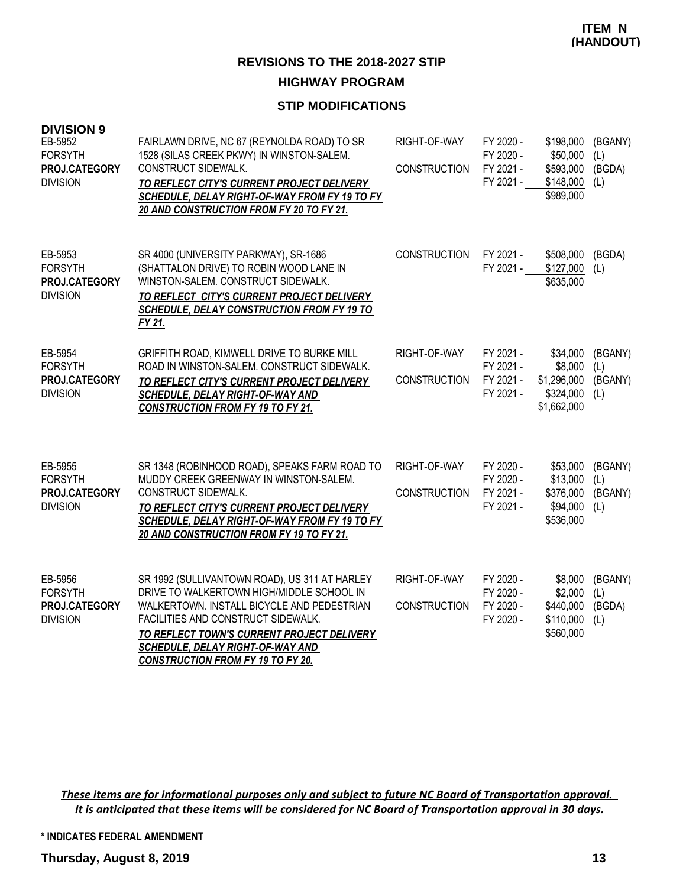#### **STIP MODIFICATIONS**

| <b>DIVISION 9</b><br>EB-5952<br><b>FORSYTH</b><br>PROJ.CATEGORY<br><b>DIVISION</b> | FAIRLAWN DRIVE, NC 67 (REYNOLDA ROAD) TO SR<br>1528 (SILAS CREEK PKWY) IN WINSTON-SALEM.<br>CONSTRUCT SIDEWALK.<br>TO REFLECT CITY'S CURRENT PROJECT DELIVERY<br>SCHEDULE, DELAY RIGHT-OF-WAY FROM FY 19 TO FY<br>20 AND CONSTRUCTION FROM FY 20 TO FY 21.                                                          | RIGHT-OF-WAY<br><b>CONSTRUCTION</b> | FY 2020 -<br>FY 2020 -<br>FY 2021 -<br>FY 2021 - | \$198,000<br>\$50,000<br>\$593,000<br>\$148,000<br>\$989,000   | (BGANY)<br>(L)<br>(BGDA)<br>(L)  |
|------------------------------------------------------------------------------------|---------------------------------------------------------------------------------------------------------------------------------------------------------------------------------------------------------------------------------------------------------------------------------------------------------------------|-------------------------------------|--------------------------------------------------|----------------------------------------------------------------|----------------------------------|
| EB-5953<br><b>FORSYTH</b><br>PROJ.CATEGORY<br><b>DIVISION</b>                      | SR 4000 (UNIVERSITY PARKWAY), SR-1686<br>(SHATTALON DRIVE) TO ROBIN WOOD LANE IN<br>WINSTON-SALEM. CONSTRUCT SIDEWALK.<br>TO REFLECT CITY'S CURRENT PROJECT DELIVERY<br><b>SCHEDULE, DELAY CONSTRUCTION FROM FY 19 TO</b><br>FY 21.                                                                                 | <b>CONSTRUCTION</b>                 | FY 2021 -<br>FY 2021 -                           | \$508,000<br>\$127,000<br>\$635,000                            | (BGDA)<br>(L)                    |
| EB-5954<br><b>FORSYTH</b><br>PROJ.CATEGORY<br><b>DIVISION</b>                      | GRIFFITH ROAD, KIMWELL DRIVE TO BURKE MILL<br>ROAD IN WINSTON-SALEM. CONSTRUCT SIDEWALK.<br>TO REFLECT CITY'S CURRENT PROJECT DELIVERY<br><b>SCHEDULE, DELAY RIGHT-OF-WAY AND</b><br><b>CONSTRUCTION FROM FY 19 TO FY 21.</b>                                                                                       | RIGHT-OF-WAY<br><b>CONSTRUCTION</b> | FY 2021 -<br>FY 2021 -<br>FY 2021 -<br>FY 2021 - | \$34,000<br>\$8,000<br>\$1,296,000<br>\$324,000<br>\$1,662,000 | (BGANY)<br>(L)<br>(BGANY)<br>(L) |
| EB-5955<br><b>FORSYTH</b><br>PROJ.CATEGORY<br><b>DIVISION</b>                      | SR 1348 (ROBINHOOD ROAD), SPEAKS FARM ROAD TO<br>MUDDY CREEK GREENWAY IN WINSTON-SALEM.<br>CONSTRUCT SIDEWALK.<br>TO REFLECT CITY'S CURRENT PROJECT DELIVERY<br>SCHEDULE, DELAY RIGHT-OF-WAY FROM FY 19 TO FY<br>20 AND CONSTRUCTION FROM FY 19 TO FY 21.                                                           | RIGHT-OF-WAY<br><b>CONSTRUCTION</b> | FY 2020 -<br>FY 2020 -<br>FY 2021 -<br>FY 2021 - | \$53,000<br>\$13,000<br>\$376,000<br>\$94,000<br>\$536,000     | (BGANY)<br>(L)<br>(BGANY)<br>(L) |
| EB-5956<br><b>FORSYTH</b><br>PROJ.CATEGORY<br><b>DIVISION</b>                      | SR 1992 (SULLIVANTOWN ROAD), US 311 AT HARLEY<br>DRIVE TO WALKERTOWN HIGH/MIDDLE SCHOOL IN<br>WALKERTOWN. INSTALL BICYCLE AND PEDESTRIAN<br>FACILITIES AND CONSTRUCT SIDEWALK.<br>TO REFLECT TOWN'S CURRENT PROJECT DELIVERY<br><b>SCHEDULE, DELAY RIGHT-OF-WAY AND</b><br><b>CONSTRUCTION FROM FY 19 TO FY 20.</b> | RIGHT-OF-WAY<br><b>CONSTRUCTION</b> | FY 2020 -<br>FY 2020 -<br>FY 2020 -<br>FY 2020 - | \$8,000<br>\$2,000<br>\$440,000<br>\$110,000<br>\$560,000      | (BGANY)<br>(L)<br>(BGDA)<br>(L)  |

*These items are for informational purposes only and subject to future NC Board of Transportation approval. It is anticipated that these items will be considered for NC Board of Transportation approval in 30 days.*

**\* INDICATES FEDERAL AMENDMENT**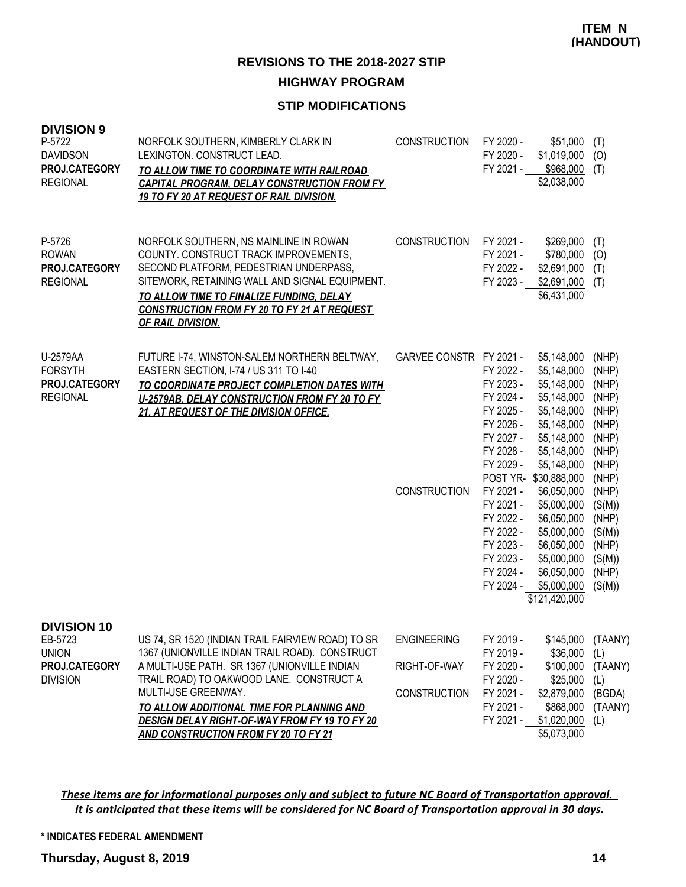### **STIP MODIFICATIONS**

| <b>DIVISION 9</b><br>P-5722<br><b>DAVIDSON</b><br>PROJ.CATEGORY<br><b>REGIONAL</b> | NORFOLK SOUTHERN, KIMBERLY CLARK IN<br>LEXINGTON. CONSTRUCT LEAD.<br>TO ALLOW TIME TO COORDINATE WITH RAILROAD<br><b>CAPITAL PROGRAM, DELAY CONSTRUCTION FROM FY</b><br>19 TO FY 20 AT REQUEST OF RAIL DIVISION.                                                                                                                                                           | <b>CONSTRUCTION</b>                                       | FY 2020 -<br>FY 2020 -<br>FY 2021 -                                                                                                                                                                                      | \$51,000<br>\$1,019,000<br>\$968,000<br>\$2,038,000                                                                                                                                                                                                                                          | (T)<br>(0)<br>(T)                                                                                                                                                  |
|------------------------------------------------------------------------------------|----------------------------------------------------------------------------------------------------------------------------------------------------------------------------------------------------------------------------------------------------------------------------------------------------------------------------------------------------------------------------|-----------------------------------------------------------|--------------------------------------------------------------------------------------------------------------------------------------------------------------------------------------------------------------------------|----------------------------------------------------------------------------------------------------------------------------------------------------------------------------------------------------------------------------------------------------------------------------------------------|--------------------------------------------------------------------------------------------------------------------------------------------------------------------|
| P-5726<br><b>ROWAN</b><br>PROJ.CATEGORY<br><b>REGIONAL</b>                         | NORFOLK SOUTHERN, NS MAINLINE IN ROWAN<br>COUNTY. CONSTRUCT TRACK IMPROVEMENTS,<br>SECOND PLATFORM, PEDESTRIAN UNDERPASS,<br>SITEWORK, RETAINING WALL AND SIGNAL EQUIPMENT.<br>TO ALLOW TIME TO FINALIZE FUNDING, DELAY<br><b>CONSTRUCTION FROM FY 20 TO FY 21 AT REQUEST</b><br><b>OF RAIL DIVISION.</b>                                                                  | <b>CONSTRUCTION</b>                                       | FY 2021 -<br>FY 2021 -<br>FY 2022 -<br>FY 2023 -                                                                                                                                                                         | \$269,000<br>\$780,000<br>\$2,691,000<br>\$2,691,000<br>\$6,431,000                                                                                                                                                                                                                          | (T)<br>(0)<br>(T)<br>(T)                                                                                                                                           |
| U-2579AA<br><b>FORSYTH</b><br>PROJ.CATEGORY<br><b>REGIONAL</b>                     | FUTURE I-74, WINSTON-SALEM NORTHERN BELTWAY,<br>EASTERN SECTION, I-74 / US 311 TO I-40<br>TO COORDINATE PROJECT COMPLETION DATES WITH<br>U-2579AB, DELAY CONSTRUCTION FROM FY 20 TO FY<br>21, AT REQUEST OF THE DIVISION OFFICE.                                                                                                                                           | GARVEE CONSTR FY 2021 -<br><b>CONSTRUCTION</b>            | FY 2022 -<br>FY 2023 -<br>FY 2024 -<br>FY 2025 -<br>FY 2026 -<br>FY 2027 -<br>FY 2028 -<br>FY 2029 -<br>POST YR-<br>FY 2021 -<br>FY 2021 -<br>FY 2022 -<br>FY 2022 -<br>FY 2023 -<br>FY 2023 -<br>FY 2024 -<br>FY 2024 - | \$5,148,000<br>\$5,148,000<br>\$5,148,000<br>\$5,148,000<br>\$5,148,000<br>\$5,148,000<br>\$5,148,000<br>\$5,148,000<br>\$5,148,000<br>\$30,888,000<br>\$6,050,000<br>\$5,000,000<br>\$6,050,000<br>\$5,000,000<br>\$6,050,000<br>\$5,000,000<br>\$6,050,000<br>\$5,000,000<br>\$121,420,000 | (NHP)<br>(NHP)<br>(NHP)<br>(NHP)<br>(NHP)<br>(NHP)<br>(NHP)<br>(NHP)<br>(NHP)<br>(NHP)<br>(NHP)<br>(S(M))<br>(NHP)<br>(S(M))<br>(NHP)<br>(S(M))<br>(NHP)<br>(S(M)) |
| <b>DIVISION 10</b><br>EB-5723<br><b>UNION</b><br>PROJ.CATEGORY<br><b>DIVISION</b>  | US 74, SR 1520 (INDIAN TRAIL FAIRVIEW ROAD) TO SR<br>1367 (UNIONVILLE INDIAN TRAIL ROAD). CONSTRUCT<br>A MULTI-USE PATH. SR 1367 (UNIONVILLE INDIAN<br>TRAIL ROAD) TO OAKWOOD LANE. CONSTRUCT A<br>MULTI-USE GREENWAY.<br>TO ALLOW ADDITIONAL TIME FOR PLANNING AND<br><b>DESIGN DELAY RIGHT-OF-WAY FROM FY 19 TO FY 20</b><br><b>AND CONSTRUCTION FROM FY 20 TO FY 21</b> | <b>ENGINEERING</b><br>RIGHT-OF-WAY<br><b>CONSTRUCTION</b> | FY 2019 -<br>FY 2019 -<br>FY 2020 -<br>FY 2020 -<br>FY 2021 -<br>FY 2021 -<br>FY 2021 -                                                                                                                                  | \$145,000<br>\$36,000<br>\$100,000<br>\$25,000<br>\$2,879,000<br>\$868,000<br>\$1,020,000<br>\$5,073,000                                                                                                                                                                                     | (TAANY)<br>(L)<br>(TAANY)<br>(L)<br>(BGDA)<br>(TAANY)<br>(L)                                                                                                       |

*These items are for informational purposes only and subject to future NC Board of Transportation approval. It is anticipated that these items will be considered for NC Board of Transportation approval in 30 days.*

**\* INDICATES FEDERAL AMENDMENT**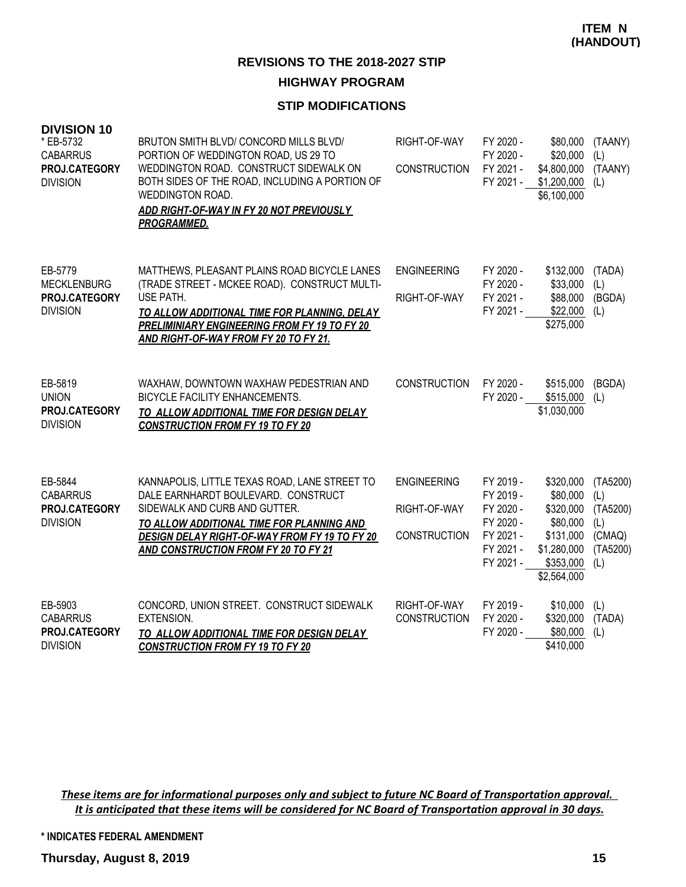### **STIP MODIFICATIONS**

| <b>DIVISION 10</b><br>* EB-5732<br><b>CABARRUS</b><br>PROJ.CATEGORY<br><b>DIVISION</b> | BRUTON SMITH BLVD/ CONCORD MILLS BLVD/<br>PORTION OF WEDDINGTON ROAD, US 29 TO<br>WEDDINGTON ROAD. CONSTRUCT SIDEWALK ON<br>BOTH SIDES OF THE ROAD, INCLUDING A PORTION OF<br>WEDDINGTON ROAD.<br>ADD RIGHT-OF-WAY IN FY 20 NOT PREVIOUSLY<br><b>PROGRAMMED.</b>          | RIGHT-OF-WAY<br><b>CONSTRUCTION</b>                       | FY 2020 -<br>FY 2020 -<br>FY 2021 -<br>FY 2021 -                                        | \$80,000<br>\$20,000<br>\$4,800,000<br>\$1,200,000<br>\$6,100,000                                      | (TAANY)<br>(L)<br>(TAANY)<br>(L)                                |
|----------------------------------------------------------------------------------------|---------------------------------------------------------------------------------------------------------------------------------------------------------------------------------------------------------------------------------------------------------------------------|-----------------------------------------------------------|-----------------------------------------------------------------------------------------|--------------------------------------------------------------------------------------------------------|-----------------------------------------------------------------|
| EB-5779<br><b>MECKLENBURG</b><br>PROJ.CATEGORY<br><b>DIVISION</b>                      | MATTHEWS, PLEASANT PLAINS ROAD BICYCLE LANES<br>(TRADE STREET - MCKEE ROAD). CONSTRUCT MULTI-<br>USE PATH.<br>TO ALLOW ADDITIONAL TIME FOR PLANNING, DELAY<br>PRELIMINIARY ENGINEERING FROM FY 19 TO FY 20<br><b>AND RIGHT-OF-WAY FROM FY 20 TO FY 21.</b>                | <b>ENGINEERING</b><br>RIGHT-OF-WAY                        | FY 2020 -<br>FY 2020 -<br>FY 2021 -<br>FY 2021 -                                        | \$132,000<br>\$33,000<br>\$88,000<br>\$22,000<br>\$275,000                                             | (TADA)<br>(L)<br>(BGDA)<br>(L)                                  |
| EB-5819<br><b>UNION</b><br>PROJ.CATEGORY<br><b>DIVISION</b>                            | WAXHAW, DOWNTOWN WAXHAW PEDESTRIAN AND<br>BICYCLE FACILITY ENHANCEMENTS.<br>TO ALLOW ADDITIONAL TIME FOR DESIGN DELAY<br><b>CONSTRUCTION FROM FY 19 TO FY 20</b>                                                                                                          | <b>CONSTRUCTION</b>                                       | FY 2020 -<br>FY 2020 -                                                                  | \$515,000<br>\$515,000<br>\$1,030,000                                                                  | (BGDA)<br>(L)                                                   |
| EB-5844<br><b>CABARRUS</b><br>PROJ.CATEGORY<br><b>DIVISION</b>                         | KANNAPOLIS, LITTLE TEXAS ROAD, LANE STREET TO<br>DALE EARNHARDT BOULEVARD. CONSTRUCT<br>SIDEWALK AND CURB AND GUTTER.<br>TO ALLOW ADDITIONAL TIME FOR PLANNING AND<br><b>DESIGN DELAY RIGHT-OF-WAY FROM FY 19 TO FY 20</b><br><b>AND CONSTRUCTION FROM FY 20 TO FY 21</b> | <b>ENGINEERING</b><br>RIGHT-OF-WAY<br><b>CONSTRUCTION</b> | FY 2019 -<br>FY 2019 -<br>FY 2020 -<br>FY 2020 -<br>FY 2021 -<br>FY 2021 -<br>FY 2021 - | \$320,000<br>\$80,000<br>\$320,000<br>\$80,000<br>\$131,000<br>\$1,280,000<br>\$353,000<br>\$2,564,000 | (TA5200)<br>(L)<br>(TA5200)<br>(L)<br>(CMAQ)<br>(TA5200)<br>(L) |
| EB-5903<br><b>CABARRUS</b><br>PROJ.CATEGORY<br><b>DIVISION</b>                         | CONCORD, UNION STREET. CONSTRUCT SIDEWALK<br>EXTENSION.<br>TO ALLOW ADDITIONAL TIME FOR DESIGN DELAY<br><b>CONSTRUCTION FROM FY 19 TO FY 20</b>                                                                                                                           | RIGHT-OF-WAY<br><b>CONSTRUCTION</b>                       | FY 2019 -<br>FY 2020 -<br>FY 2020 -                                                     | \$10,000<br>\$320,000<br>\$80,000<br>\$410,000                                                         | (L)<br>(TADA)<br>(L)                                            |

*These items are for informational purposes only and subject to future NC Board of Transportation approval. It is anticipated that these items will be considered for NC Board of Transportation approval in 30 days.*

**\* INDICATES FEDERAL AMENDMENT**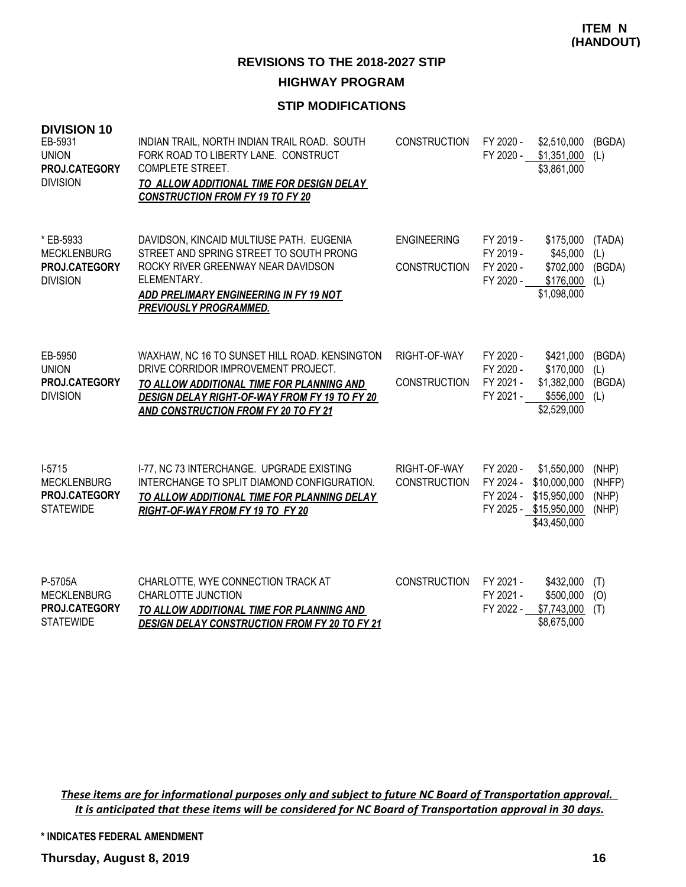### **STIP MODIFICATIONS**

| <b>DIVISION 10</b><br>EB-5931<br><b>UNION</b><br>PROJ.CATEGORY<br><b>DIVISION</b> | INDIAN TRAIL, NORTH INDIAN TRAIL ROAD. SOUTH<br>FORK ROAD TO LIBERTY LANE. CONSTRUCT<br><b>COMPLETE STREET.</b><br>TO ALLOW ADDITIONAL TIME FOR DESIGN DELAY<br><b>CONSTRUCTION FROM FY 19 TO FY 20</b>                    | <b>CONSTRUCTION</b>                       | FY 2020 -<br>FY 2020 -                           | \$2,510,000<br>\$1,351,000<br>\$3,861,000                                             | (BGDA)<br>(L)                     |
|-----------------------------------------------------------------------------------|----------------------------------------------------------------------------------------------------------------------------------------------------------------------------------------------------------------------------|-------------------------------------------|--------------------------------------------------|---------------------------------------------------------------------------------------|-----------------------------------|
| * EB-5933<br><b>MECKLENBURG</b><br>PROJ.CATEGORY<br><b>DIVISION</b>               | DAVIDSON, KINCAID MULTIUSE PATH. EUGENIA<br>STREET AND SPRING STREET TO SOUTH PRONG<br>ROCKY RIVER GREENWAY NEAR DAVIDSON<br>ELEMENTARY.<br><b>ADD PRELIMARY ENGINEERING IN FY 19 NOT</b><br><b>PREVIOUSLY PROGRAMMED.</b> | <b>ENGINEERING</b><br><b>CONSTRUCTION</b> | FY 2019 -<br>FY 2019 -<br>FY 2020 -<br>FY 2020 - | \$175,000<br>\$45,000<br>\$702,000<br>\$176,000<br>\$1,098,000                        | (TADA)<br>(L)<br>(BGDA)<br>(L)    |
| EB-5950<br><b>UNION</b><br>PROJ.CATEGORY<br><b>DIVISION</b>                       | WAXHAW, NC 16 TO SUNSET HILL ROAD. KENSINGTON<br>DRIVE CORRIDOR IMPROVEMENT PROJECT.<br>TO ALLOW ADDITIONAL TIME FOR PLANNING AND<br>DESIGN DELAY RIGHT-OF-WAY FROM FY 19 TO FY 20<br>AND CONSTRUCTION FROM FY 20 TO FY 21 | RIGHT-OF-WAY<br>CONSTRUCTION              | FY 2020 -<br>FY 2020 -<br>FY 2021 -<br>FY 2021 - | \$421,000<br>\$170,000<br>\$1,382,000<br>\$556,000<br>\$2,529,000                     | (BGDA)<br>(L)<br>(BGDA)<br>(L)    |
| $I-5715$<br><b>MECKLENBURG</b><br>PROJ.CATEGORY<br><b>STATEWIDE</b>               | I-77, NC 73 INTERCHANGE. UPGRADE EXISTING<br>INTERCHANGE TO SPLIT DIAMOND CONFIGURATION.<br>TO ALLOW ADDITIONAL TIME FOR PLANNING DELAY<br>RIGHT-OF-WAY FROM FY 19 TO FY 20                                                | RIGHT-OF-WAY<br><b>CONSTRUCTION</b>       | FY 2020 -<br>FY 2024 -<br>FY 2024 -              | \$1,550,000<br>\$10,000,000<br>\$15,950,000<br>FY 2025 - \$15,950,000<br>\$43,450,000 | (NHP)<br>(NHFP)<br>(NHP)<br>(NHP) |
| P-5705A<br><b>MECKLENBURG</b><br>PROJ.CATEGORY<br><b>STATEWIDE</b>                | CHARLOTTE, WYE CONNECTION TRACK AT<br>CHARLOTTE JUNCTION<br>TO ALLOW ADDITIONAL TIME FOR PLANNING AND<br><b>DESIGN DELAY CONSTRUCTION FROM FY 20 TO FY 21</b>                                                              | <b>CONSTRUCTION</b>                       | FY 2021 -<br>FY 2021 -<br>FY 2022 -              | \$432,000<br>\$500,000<br>\$7,743,000<br>\$8,675,000                                  | (T)<br>(O)<br>(T)                 |

*These items are for informational purposes only and subject to future NC Board of Transportation approval. It is anticipated that these items will be considered for NC Board of Transportation approval in 30 days.*

**\* INDICATES FEDERAL AMENDMENT**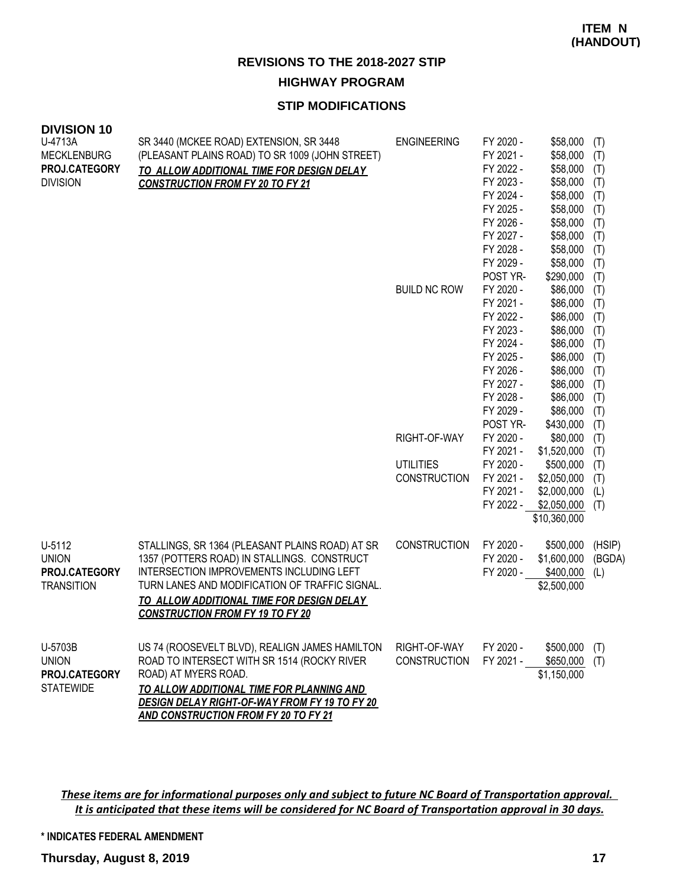### **STIP MODIFICATIONS**

| <b>DIVISION 10</b><br>U-4713A | SR 3440 (MCKEE ROAD) EXTENSION, SR 3448                                                           | <b>ENGINEERING</b>  | FY 2020 - | \$58,000     | (T)    |
|-------------------------------|---------------------------------------------------------------------------------------------------|---------------------|-----------|--------------|--------|
| <b>MECKLENBURG</b>            | (PLEASANT PLAINS ROAD) TO SR 1009 (JOHN STREET)                                                   |                     | FY 2021 - | \$58,000     | (T)    |
| PROJ.CATEGORY                 | TO ALLOW ADDITIONAL TIME FOR DESIGN DELAY                                                         |                     | FY 2022 - | \$58,000     | (T)    |
| <b>DIVISION</b>               | <b>CONSTRUCTION FROM FY 20 TO FY 21</b>                                                           |                     | FY 2023 - | \$58,000     | (T)    |
|                               |                                                                                                   |                     | FY 2024 - | \$58,000     | (T)    |
|                               |                                                                                                   |                     | FY 2025 - | \$58,000     | (T)    |
|                               |                                                                                                   |                     | FY 2026 - | \$58,000     | (T)    |
|                               |                                                                                                   |                     | FY 2027 - | \$58,000     | (T)    |
|                               |                                                                                                   |                     | FY 2028 - | \$58,000     | (T)    |
|                               |                                                                                                   |                     | FY 2029 - | \$58,000     | (T)    |
|                               |                                                                                                   |                     | POST YR-  | \$290,000    | (T)    |
|                               |                                                                                                   | <b>BUILD NC ROW</b> | FY 2020 - | \$86,000     | (T)    |
|                               |                                                                                                   |                     | FY 2021 - | \$86,000     | (T)    |
|                               |                                                                                                   |                     | FY 2022 - | \$86,000     | (T)    |
|                               |                                                                                                   |                     | FY 2023 - | \$86,000     | (T)    |
|                               |                                                                                                   |                     | FY 2024 - | \$86,000     | (T)    |
|                               |                                                                                                   |                     | FY 2025 - | \$86,000     | (T)    |
|                               |                                                                                                   |                     | FY 2026 - | \$86,000     | (T)    |
|                               |                                                                                                   |                     | FY 2027 - | \$86,000     | (T)    |
|                               |                                                                                                   |                     | FY 2028 - | \$86,000     | (T)    |
|                               |                                                                                                   |                     | FY 2029 - | \$86,000     | (T)    |
|                               |                                                                                                   |                     | POST YR-  | \$430,000    | (T)    |
|                               |                                                                                                   | RIGHT-OF-WAY        | FY 2020 - | \$80,000     | (T)    |
|                               |                                                                                                   |                     | FY 2021 - | \$1,520,000  | (T)    |
|                               |                                                                                                   | <b>UTILITIES</b>    | FY 2020 - | \$500,000    | (T)    |
|                               |                                                                                                   | <b>CONSTRUCTION</b> | FY 2021 - | \$2,050,000  | (T)    |
|                               |                                                                                                   |                     | FY 2021 - | \$2,000,000  | (L)    |
|                               |                                                                                                   |                     | FY 2022 - | \$2,050,000  | (T)    |
|                               |                                                                                                   |                     |           | \$10,360,000 |        |
| U-5112                        | STALLINGS, SR 1364 (PLEASANT PLAINS ROAD) AT SR                                                   | <b>CONSTRUCTION</b> | FY 2020 - | \$500,000    | (HSIP) |
| <b>UNION</b>                  | 1357 (POTTERS ROAD) IN STALLINGS. CONSTRUCT                                                       |                     | FY 2020 - | \$1,600,000  | (BGDA) |
| PROJ.CATEGORY                 | INTERSECTION IMPROVEMENTS INCLUDING LEFT                                                          |                     | FY 2020 - | \$400,000    | (L)    |
| <b>TRANSITION</b>             | TURN LANES AND MODIFICATION OF TRAFFIC SIGNAL.                                                    |                     |           | \$2,500,000  |        |
|                               | <b>TO ALLOW ADDITIONAL TIME FOR DESIGN DELAY</b>                                                  |                     |           |              |        |
|                               | <b>CONSTRUCTION FROM FY 19 TO FY 20</b>                                                           |                     |           |              |        |
|                               |                                                                                                   |                     |           |              |        |
| U-5703B                       | US 74 (ROOSEVELT BLVD), REALIGN JAMES HAMILTON                                                    | RIGHT-OF-WAY        | FY 2020 - | \$500,000    | (T)    |
| <b>UNION</b>                  | ROAD TO INTERSECT WITH SR 1514 (ROCKY RIVER                                                       | <b>CONSTRUCTION</b> | FY 2021 - | \$650,000    | (T)    |
| PROJ.CATEGORY                 | ROAD) AT MYERS ROAD.                                                                              |                     |           | \$1,150,000  |        |
| <b>STATEWIDE</b>              | TO ALLOW ADDITIONAL TIME FOR PLANNING AND<br><b>DESIGN DELAY RIGHT-OF-WAY FROM FY 19 TO FY 20</b> |                     |           |              |        |
|                               | <b>AND CONSTRUCTION FROM FY 20 TO FY 21</b>                                                       |                     |           |              |        |

*These items are for informational purposes only and subject to future NC Board of Transportation approval. It is anticipated that these items will be considered for NC Board of Transportation approval in 30 days.*

**\* INDICATES FEDERAL AMENDMENT**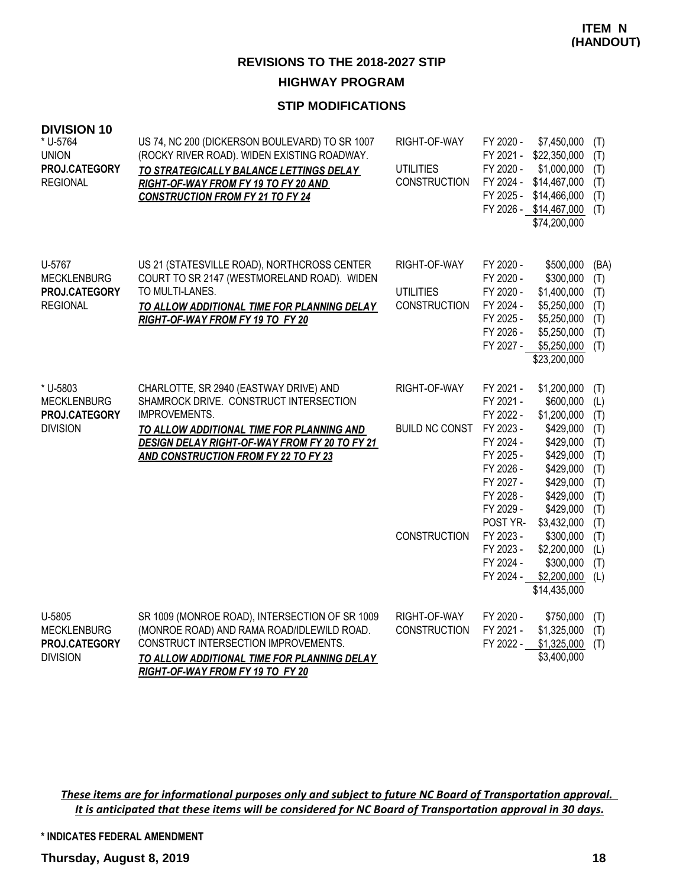### **STIP MODIFICATIONS**

| <b>DIVISION 10</b><br>* U-5764<br><b>UNION</b><br>PROJ.CATEGORY<br><b>REGIONAL</b> | US 74, NC 200 (DICKERSON BOULEVARD) TO SR 1007<br>(ROCKY RIVER ROAD). WIDEN EXISTING ROADWAY.<br>TO STRATEGICALLY BALANCE LETTINGS DELAY<br>RIGHT-OF-WAY FROM FY 19 TO FY 20 AND<br><b>CONSTRUCTION FROM FY 21 TO FY 24</b>             | RIGHT-OF-WAY<br><b>UTILITIES</b><br><b>CONSTRUCTION</b> | FY 2020 -<br>FY 2021 -<br>FY 2020 -<br>FY 2024 -<br>FY 2025 -                                                                                                                                  | \$7,450,000<br>\$22,350,000<br>\$1,000,000<br>\$14,467,000<br>\$14,466,000<br>FY 2026 - \$14,467,000<br>\$74,200,000                                                                                                      | (T)<br>(T)<br>(T)<br>(T)<br>(T)<br>(T)                                                                |
|------------------------------------------------------------------------------------|-----------------------------------------------------------------------------------------------------------------------------------------------------------------------------------------------------------------------------------------|---------------------------------------------------------|------------------------------------------------------------------------------------------------------------------------------------------------------------------------------------------------|---------------------------------------------------------------------------------------------------------------------------------------------------------------------------------------------------------------------------|-------------------------------------------------------------------------------------------------------|
| U-5767<br><b>MECKLENBURG</b><br>PROJ.CATEGORY<br><b>REGIONAL</b>                   | US 21 (STATESVILLE ROAD), NORTHCROSS CENTER<br>COURT TO SR 2147 (WESTMORELAND ROAD). WIDEN<br>TO MULTI-LANES.<br>TO ALLOW ADDITIONAL TIME FOR PLANNING DELAY<br>RIGHT-OF-WAY FROM FY 19 TO FY 20                                        | RIGHT-OF-WAY<br><b>UTILITIES</b><br><b>CONSTRUCTION</b> | FY 2020 -<br>FY 2020 -<br>FY 2020 -<br>FY 2024 -<br>FY 2025 -<br>FY 2026 -<br>FY 2027 -                                                                                                        | \$500,000<br>\$300,000<br>\$1,400,000<br>\$5,250,000<br>\$5,250,000<br>\$5,250,000<br>\$5,250,000<br>\$23,200,000                                                                                                         | (BA)<br>(T)<br>(T)<br>(T)<br>(T)<br>(T)<br>(T)                                                        |
| * U-5803<br><b>MECKLENBURG</b><br>PROJ.CATEGORY<br><b>DIVISION</b>                 | CHARLOTTE, SR 2940 (EASTWAY DRIVE) AND<br>SHAMROCK DRIVE. CONSTRUCT INTERSECTION<br>IMPROVEMENTS.<br>TO ALLOW ADDITIONAL TIME FOR PLANNING AND<br>DESIGN DELAY RIGHT-OF-WAY FROM FY 20 TO FY 21<br>AND CONSTRUCTION FROM FY 22 TO FY 23 | RIGHT-OF-WAY<br><b>BUILD NC CONST</b><br>CONSTRUCTION   | FY 2021 -<br>FY 2021 -<br>FY 2022 -<br>FY 2023 -<br>FY 2024 -<br>FY 2025 -<br>FY 2026 -<br>FY 2027 -<br>FY 2028 -<br>FY 2029 -<br>POST YR-<br>FY 2023 -<br>FY 2023 -<br>FY 2024 -<br>FY 2024 - | \$1,200,000<br>\$600,000<br>\$1,200,000<br>\$429,000<br>\$429,000<br>\$429,000<br>\$429,000<br>\$429,000<br>\$429,000<br>\$429,000<br>\$3,432,000<br>\$300,000<br>\$2,200,000<br>\$300,000<br>\$2,200,000<br>\$14,435,000 | (T)<br>(L)<br>(T)<br>(T)<br>(T)<br>(T)<br>(T)<br>(T)<br>(T)<br>(T)<br>(T)<br>(T)<br>(L)<br>(T)<br>(L) |
| U-5805<br><b>MECKLENBURG</b><br>PROJ.CATEGORY<br><b>DIVISION</b>                   | SR 1009 (MONROE ROAD), INTERSECTION OF SR 1009<br>(MONROE ROAD) AND RAMA ROAD/IDLEWILD ROAD.<br>CONSTRUCT INTERSECTION IMPROVEMENTS.<br>TO ALLOW ADDITIONAL TIME FOR PLANNING DELAY<br>RIGHT-OF-WAY FROM FY 19 TO FY 20                 | RIGHT-OF-WAY<br><b>CONSTRUCTION</b>                     | FY 2020 -<br>FY 2021 -<br>FY 2022 -                                                                                                                                                            | \$750,000<br>\$1,325,000<br>\$1,325,000<br>\$3,400,000                                                                                                                                                                    | (T)<br>(T)<br>(T)                                                                                     |

*These items are for informational purposes only and subject to future NC Board of Transportation approval. It is anticipated that these items will be considered for NC Board of Transportation approval in 30 days.*

**\* INDICATES FEDERAL AMENDMENT**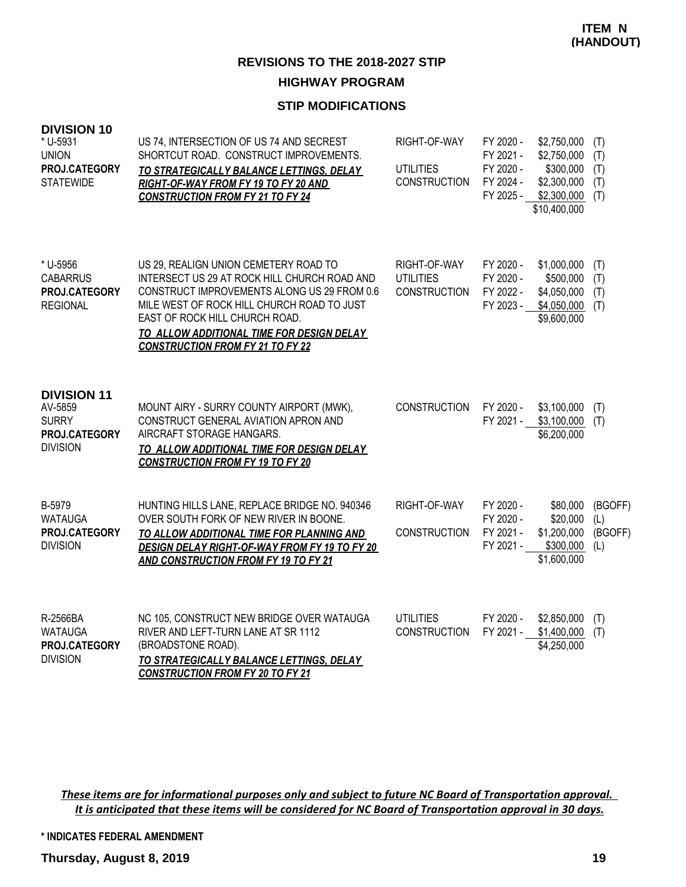### **STIP MODIFICATIONS**

| <b>DIVISION 10</b><br>* U-5931<br><b>UNION</b><br>PROJ.CATEGORY<br><b>STATEWIDE</b> | US 74, INTERSECTION OF US 74 AND SECREST<br>SHORTCUT ROAD. CONSTRUCT IMPROVEMENTS.<br>TO STRATEGICALLY BALANCE LETTINGS, DELAY<br>RIGHT-OF-WAY FROM FY 19 TO FY 20 AND<br><b>CONSTRUCTION FROM FY 21 TO FY 24</b>                                                                                            | RIGHT-OF-WAY<br><b>UTILITIES</b><br><b>CONSTRUCTION</b> | FY 2020 -<br>FY 2021 -<br>FY 2020 -<br>FY 2024 - | \$2,750,000<br>\$2,750,000<br>\$300,000<br>\$2,300,000<br>FY 2025 - \$2,300,000<br>\$10,400,000 | (T)<br>(T)<br>(T)<br>(T)<br>(T)  |
|-------------------------------------------------------------------------------------|--------------------------------------------------------------------------------------------------------------------------------------------------------------------------------------------------------------------------------------------------------------------------------------------------------------|---------------------------------------------------------|--------------------------------------------------|-------------------------------------------------------------------------------------------------|----------------------------------|
| * U-5956<br><b>CABARRUS</b><br>PROJ.CATEGORY<br><b>REGIONAL</b>                     | US 29, REALIGN UNION CEMETERY ROAD TO<br>INTERSECT US 29 AT ROCK HILL CHURCH ROAD AND<br>CONSTRUCT IMPROVEMENTS ALONG US 29 FROM 0.6<br>MILE WEST OF ROCK HILL CHURCH ROAD TO JUST<br>EAST OF ROCK HILL CHURCH ROAD.<br>TO ALLOW ADDITIONAL TIME FOR DESIGN DELAY<br><b>CONSTRUCTION FROM FY 21 TO FY 22</b> | RIGHT-OF-WAY<br><b>UTILITIES</b><br><b>CONSTRUCTION</b> | FY 2020 -<br>FY 2020 -<br>FY 2022 -<br>FY 2023 - | \$1,000,000<br>\$500,000<br>\$4,050,000<br>\$4,050,000<br>\$9,600,000                           | (T)<br>(T)<br>(T)<br>(T)         |
| <b>DIVISION 11</b><br>AV-5859<br><b>SURRY</b><br>PROJ.CATEGORY<br><b>DIVISION</b>   | MOUNT AIRY - SURRY COUNTY AIRPORT (MWK),<br>CONSTRUCT GENERAL AVIATION APRON AND<br>AIRCRAFT STORAGE HANGARS.<br>TO ALLOW ADDITIONAL TIME FOR DESIGN DELAY<br><b>CONSTRUCTION FROM FY 19 TO FY 20</b>                                                                                                        | <b>CONSTRUCTION</b>                                     | FY 2020 -                                        | \$3,100,000<br>FY 2021 - \$3,100,000<br>\$6,200,000                                             | (T)<br>(T)                       |
| B-5979<br><b>WATAUGA</b><br>PROJ.CATEGORY<br><b>DIVISION</b>                        | HUNTING HILLS LANE, REPLACE BRIDGE NO. 940346<br>OVER SOUTH FORK OF NEW RIVER IN BOONE.<br>TO ALLOW ADDITIONAL TIME FOR PLANNING AND<br>DESIGN DELAY RIGHT-OF-WAY FROM FY 19 TO FY 20<br>AND CONSTRUCTION FROM FY 19 TO FY 21                                                                                | RIGHT-OF-WAY<br><b>CONSTRUCTION</b>                     | FY 2020 -<br>FY 2020 -<br>FY 2021 -<br>FY 2021 - | \$80,000<br>\$20,000<br>\$1,200,000<br>\$300,000<br>\$1,600,000                                 | (BGOFF)<br>(L)<br>(BGOFF)<br>(L) |
| R-2566BA<br><b>WATAUGA</b><br>PROJ.CATEGORY<br><b>DIVISION</b>                      | NC 105, CONSTRUCT NEW BRIDGE OVER WATAUGA<br>RIVER AND LEFT-TURN LANE AT SR 1112<br>(BROADSTONE ROAD).<br>TO STRATEGICALLY BALANCE LETTINGS, DELAY<br><b>CONSTRUCTION FROM FY 20 TO FY 21</b>                                                                                                                | <b>UTILITIES</b><br><b>CONSTRUCTION</b>                 | FY 2020 -<br>FY 2021 -                           | \$2,850,000<br>\$1,400,000<br>\$4,250,000                                                       | (T)<br>(T)                       |

*These items are for informational purposes only and subject to future NC Board of Transportation approval. It is anticipated that these items will be considered for NC Board of Transportation approval in 30 days.*

**\* INDICATES FEDERAL AMENDMENT**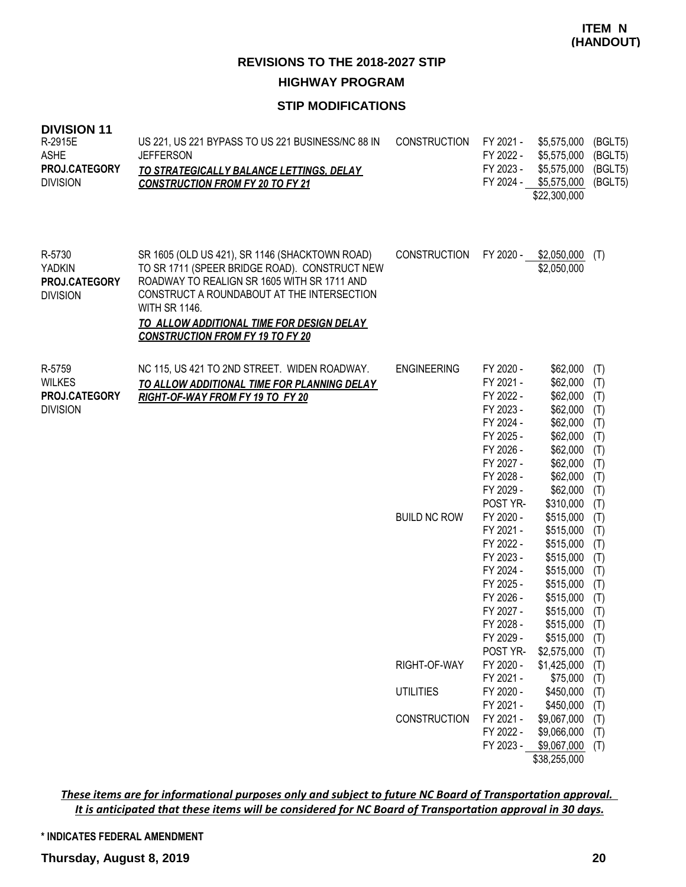### **STIP MODIFICATIONS**

| <b>DIVISION 11</b><br>R-2915E<br><b>ASHE</b><br>PROJ.CATEGORY<br><b>DIVISION</b> | US 221, US 221 BYPASS TO US 221 BUSINESS/NC 88 IN<br><b>JEFFERSON</b><br><u>TO STRATEGICALLY BALANCE LETTINGS, DELAY</u><br><b>CONSTRUCTION FROM FY 20 TO FY 21</b>                                                                                                                                                 | <b>CONSTRUCTION</b> | FY 2021 -<br>FY 2022 -<br>FY 2023 -<br>FY 2024 -                                                                                           | \$5,575,000<br>\$5,575,000<br>\$5,575,000<br>\$5,575,000<br>\$22,300,000                                                                           | (BGLT5)<br>(BGLT5)<br>(BGLT5)<br>(BGLT5)                                  |
|----------------------------------------------------------------------------------|---------------------------------------------------------------------------------------------------------------------------------------------------------------------------------------------------------------------------------------------------------------------------------------------------------------------|---------------------|--------------------------------------------------------------------------------------------------------------------------------------------|----------------------------------------------------------------------------------------------------------------------------------------------------|---------------------------------------------------------------------------|
| R-5730<br><b>YADKIN</b><br>PROJ.CATEGORY<br><b>DIVISION</b>                      | SR 1605 (OLD US 421), SR 1146 (SHACKTOWN ROAD)<br>TO SR 1711 (SPEER BRIDGE ROAD). CONSTRUCT NEW<br>ROADWAY TO REALIGN SR 1605 WITH SR 1711 AND<br>CONSTRUCT A ROUNDABOUT AT THE INTERSECTION<br><b>WITH SR 1146.</b><br><b>TO ALLOW ADDITIONAL TIME FOR DESIGN DELAY</b><br><b>CONSTRUCTION FROM FY 19 TO FY 20</b> | <b>CONSTRUCTION</b> | FY 2020 -                                                                                                                                  | \$2,050,000<br>\$2,050,000                                                                                                                         | (T)                                                                       |
| R-5759<br><b>WILKES</b><br>PROJ.CATEGORY<br><b>DIVISION</b>                      | NC 115, US 421 TO 2ND STREET. WIDEN ROADWAY.<br>TO ALLOW ADDITIONAL TIME FOR PLANNING DELAY<br>RIGHT-OF-WAY FROM FY 19 TO FY 20                                                                                                                                                                                     | <b>ENGINEERING</b>  | FY 2020 -<br>FY 2021 -<br>FY 2022 -<br>FY 2023 -<br>FY 2024 -<br>FY 2025 -<br>FY 2026 -<br>FY 2027 -<br>FY 2028 -<br>FY 2029 -<br>POST YR- | \$62,000<br>\$62,000<br>\$62,000<br>\$62,000<br>\$62,000<br>\$62,000<br>\$62,000<br>\$62,000<br>\$62,000<br>\$62,000<br>\$310,000                  | (T)<br>(T)<br>(T)<br>(T)<br>(T)<br>(T)<br>(T)<br>(T)<br>(T)<br>(T)<br>(T) |
|                                                                                  |                                                                                                                                                                                                                                                                                                                     | <b>BUILD NC ROW</b> | FY 2020 -<br>FY 2021 -<br>FY 2022 -<br>FY 2023 -<br>FY 2024 -<br>FY 2025 -<br>FY 2026 -<br>FY 2027 -<br>FY 2028 -<br>FY 2029 -<br>POST YR- | \$515,000<br>\$515,000<br>\$515,000<br>\$515,000<br>\$515,000<br>\$515,000<br>\$515,000<br>\$515,000<br>$$515,000$ (T)<br>\$515,000<br>\$2,575,000 | (T)<br>(T)<br>(T)<br>(T)<br>(T)<br>(T)<br>(T)<br>(T)<br>(T)<br>(T)        |
|                                                                                  |                                                                                                                                                                                                                                                                                                                     | RIGHT-OF-WAY        | FY 2020 -<br>FY 2021 -                                                                                                                     | \$1,425,000<br>\$75,000                                                                                                                            | (T)<br>(T)                                                                |
|                                                                                  |                                                                                                                                                                                                                                                                                                                     | <b>UTILITIES</b>    | FY 2020 -<br>FY 2021 -                                                                                                                     | \$450,000<br>\$450,000                                                                                                                             | (T)<br>(T)                                                                |
|                                                                                  |                                                                                                                                                                                                                                                                                                                     | <b>CONSTRUCTION</b> | FY 2021 -                                                                                                                                  | \$9,067,000                                                                                                                                        | (T)                                                                       |
|                                                                                  |                                                                                                                                                                                                                                                                                                                     |                     | FY 2022 -<br>FY 2023 -                                                                                                                     | \$9,066,000<br>\$9,067,000                                                                                                                         | (T)<br>(T)                                                                |

\$38,255,000

*These items are for informational purposes only and subject to future NC Board of Transportation approval. It is anticipated that these items will be considered for NC Board of Transportation approval in 30 days.*

**\* INDICATES FEDERAL AMENDMENT**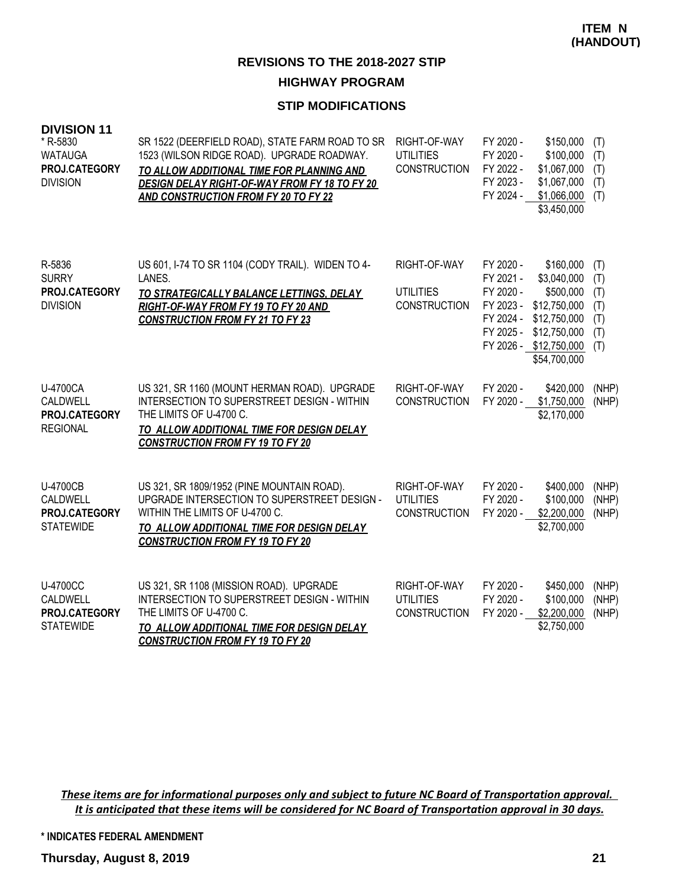#### **STIP MODIFICATIONS**

| <b>DIVISION 11</b><br>* R-5830<br><b>WATAUGA</b><br>PROJ.CATEGORY<br><b>DIVISION</b> | SR 1522 (DEERFIELD ROAD), STATE FARM ROAD TO SR<br>1523 (WILSON RIDGE ROAD). UPGRADE ROADWAY.<br>TO ALLOW ADDITIONAL TIME FOR PLANNING AND<br>DESIGN DELAY RIGHT-OF-WAY FROM FY 18 TO FY 20<br>AND CONSTRUCTION FROM FY 20 TO FY 22 | RIGHT-OF-WAY<br><b>UTILITIES</b><br>CONSTRUCTION        | FY 2020 -<br>FY 2020 -<br>FY 2022 -<br>FY 2023 -<br>FY 2024 -              | \$150,000<br>\$100,000<br>\$1,067,000<br>\$1,067,000<br>\$1,066,000<br>\$3,450,000                                              | (T)<br>(T)<br>(T)<br>(T)<br>(T)               |
|--------------------------------------------------------------------------------------|-------------------------------------------------------------------------------------------------------------------------------------------------------------------------------------------------------------------------------------|---------------------------------------------------------|----------------------------------------------------------------------------|---------------------------------------------------------------------------------------------------------------------------------|-----------------------------------------------|
| R-5836<br><b>SURRY</b><br>PROJ.CATEGORY<br><b>DIVISION</b>                           | US 601, I-74 TO SR 1104 (CODY TRAIL). WIDEN TO 4-<br>LANES.<br>TO STRATEGICALLY BALANCE LETTINGS, DELAY<br>RIGHT-OF-WAY FROM FY 19 TO FY 20 AND<br><b>CONSTRUCTION FROM FY 21 TO FY 23</b>                                          | RIGHT-OF-WAY<br><b>UTILITIES</b><br><b>CONSTRUCTION</b> | FY 2020 -<br>FY 2021 -<br>FY 2020 -<br>FY 2023 -<br>FY 2024 -<br>FY 2025 - | \$160,000<br>\$3,040,000<br>\$500,000<br>\$12,750,000<br>\$12,750,000<br>\$12,750,000<br>FY 2026 - \$12,750,000<br>\$54,700,000 | (T)<br>(T)<br>(T)<br>(T)<br>(T)<br>(T)<br>(T) |
| U-4700CA<br>CALDWELL<br>PROJ.CATEGORY<br><b>REGIONAL</b>                             | US 321, SR 1160 (MOUNT HERMAN ROAD). UPGRADE<br>INTERSECTION TO SUPERSTREET DESIGN - WITHIN<br>THE LIMITS OF U-4700 C.<br>TO ALLOW ADDITIONAL TIME FOR DESIGN DELAY<br><b>CONSTRUCTION FROM FY 19 TO FY 20</b>                      | RIGHT-OF-WAY<br><b>CONSTRUCTION</b>                     | FY 2020 -<br>FY 2020 -                                                     | \$420,000<br>\$1,750,000<br>\$2,170,000                                                                                         | (NHP)<br>(NHP)                                |
| <b>U-4700CB</b><br>CALDWELL<br>PROJ.CATEGORY<br><b>STATEWIDE</b>                     | US 321, SR 1809/1952 (PINE MOUNTAIN ROAD).<br>UPGRADE INTERSECTION TO SUPERSTREET DESIGN -<br>WITHIN THE LIMITS OF U-4700 C.<br>TO ALLOW ADDITIONAL TIME FOR DESIGN DELAY<br><b>CONSTRUCTION FROM FY 19 TO FY 20</b>                | RIGHT-OF-WAY<br><b>UTILITIES</b><br><b>CONSTRUCTION</b> | FY 2020 -<br>FY 2020 -<br>FY 2020 -                                        | \$400,000<br>\$100,000<br>\$2,200,000<br>\$2,700,000                                                                            | (NHP)<br>(NHP)<br>(NHP)                       |
| <b>U-4700CC</b><br>CALDWELL<br>PROJ.CATEGORY<br><b>STATEWIDE</b>                     | US 321, SR 1108 (MISSION ROAD). UPGRADE<br>INTERSECTION TO SUPERSTREET DESIGN - WITHIN<br>THE LIMITS OF U-4700 C.<br>TO ALLOW ADDITIONAL TIME FOR DESIGN DELAY<br><b>CONSTRUCTION FROM FY 19 TO FY 20</b>                           | RIGHT-OF-WAY<br><b>UTILITIES</b><br><b>CONSTRUCTION</b> | FY 2020 -<br>FY 2020 -<br>FY 2020 -                                        | \$450,000<br>\$100,000<br>\$2,200,000<br>\$2,750,000                                                                            | (NHP)<br>(NHP)<br>(NHP)                       |

*These items are for informational purposes only and subject to future NC Board of Transportation approval. It is anticipated that these items will be considered for NC Board of Transportation approval in 30 days.*

**\* INDICATES FEDERAL AMENDMENT**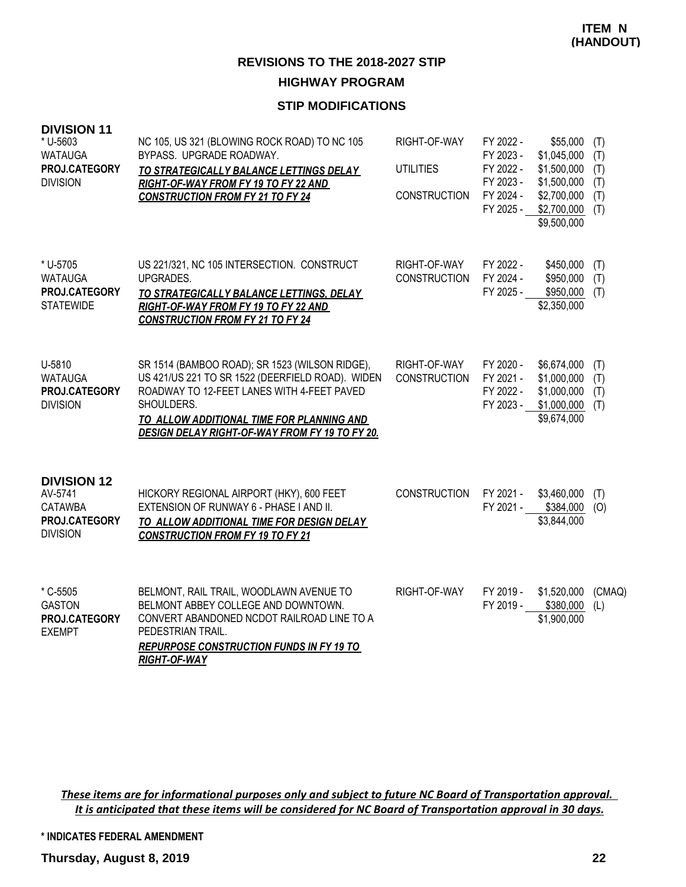### **STIP MODIFICATIONS**

| <b>DIVISION 11</b><br>* U-5603<br><b>WATAUGA</b><br>PROJ.CATEGORY<br><b>DIVISION</b> | NC 105, US 321 (BLOWING ROCK ROAD) TO NC 105<br>BYPASS. UPGRADE ROADWAY.<br>TO STRATEGICALLY BALANCE LETTINGS DELAY<br>RIGHT-OF-WAY FROM FY 19 TO FY 22 AND<br><b>CONSTRUCTION FROM FY 21 TO FY 24</b>                                                        | RIGHT-OF-WAY<br><b>UTILITIES</b><br><b>CONSTRUCTION</b> | FY 2022 -<br>FY 2023 -<br>FY 2022 -<br>FY 2023 -<br>FY 2024 -<br>FY 2025 - | \$55,000<br>\$1,045,000<br>\$1,500,000<br>\$1,500,000<br>\$2,700,000<br>\$2,700,000<br>\$9,500,000 | (T)<br>(T)<br>(T)<br>(T)<br>(T)<br>(T) |
|--------------------------------------------------------------------------------------|---------------------------------------------------------------------------------------------------------------------------------------------------------------------------------------------------------------------------------------------------------------|---------------------------------------------------------|----------------------------------------------------------------------------|----------------------------------------------------------------------------------------------------|----------------------------------------|
| * U-5705<br><b>WATAUGA</b><br>PROJ.CATEGORY<br><b>STATEWIDE</b>                      | US 221/321, NC 105 INTERSECTION. CONSTRUCT<br>UPGRADES.<br>TO STRATEGICALLY BALANCE LETTINGS, DELAY<br>RIGHT-OF-WAY FROM FY 19 TO FY 22 AND<br><b>CONSTRUCTION FROM FY 21 TO FY 24</b>                                                                        | RIGHT-OF-WAY<br><b>CONSTRUCTION</b>                     | FY 2022 -<br>FY 2024 -<br>FY 2025 -                                        | \$450,000<br>\$950,000<br>\$950,000<br>\$2,350,000                                                 | (T)<br>(T)<br>(T)                      |
| U-5810<br><b>WATAUGA</b><br>PROJ.CATEGORY<br><b>DIVISION</b>                         | SR 1514 (BAMBOO ROAD); SR 1523 (WILSON RIDGE),<br>US 421/US 221 TO SR 1522 (DEERFIELD ROAD). WIDEN<br>ROADWAY TO 12-FEET LANES WITH 4-FEET PAVED<br>SHOULDERS.<br>TO ALLOW ADDITIONAL TIME FOR PLANNING AND<br>DESIGN DELAY RIGHT-OF-WAY FROM FY 19 TO FY 20. | RIGHT-OF-WAY<br><b>CONSTRUCTION</b>                     | FY 2020 -<br>FY 2021 -<br>FY 2022 -<br>FY 2023 -                           | \$6,674,000<br>\$1,000,000<br>\$1,000,000<br>\$1,000,000<br>\$9,674,000                            | (T)<br>(T)<br>(T)<br>(T)               |
| <b>DIVISION 12</b><br>AV-5741<br><b>CATAWBA</b><br>PROJ.CATEGORY<br><b>DIVISION</b>  | HICKORY REGIONAL AIRPORT (HKY), 600 FEET<br>EXTENSION OF RUNWAY 6 - PHASE I AND II.<br>TO ALLOW ADDITIONAL TIME FOR DESIGN DELAY<br><b>CONSTRUCTION FROM FY 19 TO FY 21</b>                                                                                   | <b>CONSTRUCTION</b>                                     | FY 2021 -<br>FY 2021 -                                                     | \$3,460,000<br>\$384,000<br>\$3,844,000                                                            | (T)<br>(O)                             |
| * C-5505<br><b>GASTON</b><br>PROJ.CATEGORY<br><b>EXEMPT</b>                          | BELMONT, RAIL TRAIL, WOODLAWN AVENUE TO<br>BELMONT ABBEY COLLEGE AND DOWNTOWN.<br>CONVERT ABANDONED NCDOT RAILROAD LINE TO A<br>PEDESTRIAN TRAIL.<br><b>REPURPOSE CONSTRUCTION FUNDS IN FY 19 TO</b><br><b>RIGHT-OF-WAY</b>                                   | RIGHT-OF-WAY                                            | FY 2019 -<br>FY 2019 -                                                     | \$1,520,000<br>\$380,000<br>\$1,900,000                                                            | (CMAQ)<br>(L)                          |

*These items are for informational purposes only and subject to future NC Board of Transportation approval. It is anticipated that these items will be considered for NC Board of Transportation approval in 30 days.*

**\* INDICATES FEDERAL AMENDMENT**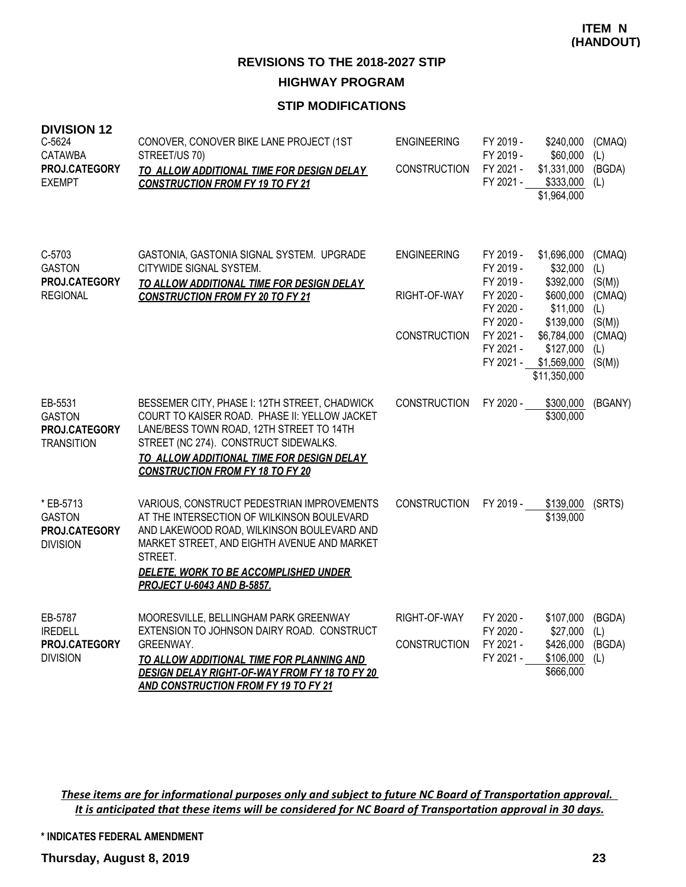### **STIP MODIFICATIONS**

| <b>DIVISION 12</b><br>C-5624<br><b>CATAWBA</b><br>PROJ.CATEGORY<br><b>EXEMPT</b> | CONOVER, CONOVER BIKE LANE PROJECT (1ST<br>STREET/US 70)<br>TO ALLOW ADDITIONAL TIME FOR DESIGN DELAY<br><b>CONSTRUCTION FROM FY 19 TO FY 21</b>                                                                                                                               | <b>ENGINEERING</b><br><b>CONSTRUCTION</b>                 | FY 2019 -<br>FY 2019 -<br>FY 2021 -<br>FY 2021 -                                                                  | \$240,000<br>\$60,000<br>\$1,331,000<br>$$333,000$ (L)<br>\$1,964,000                                                                 | (CMAQ)<br>(L)<br>(BGDA)                                                       |
|----------------------------------------------------------------------------------|--------------------------------------------------------------------------------------------------------------------------------------------------------------------------------------------------------------------------------------------------------------------------------|-----------------------------------------------------------|-------------------------------------------------------------------------------------------------------------------|---------------------------------------------------------------------------------------------------------------------------------------|-------------------------------------------------------------------------------|
| C-5703<br><b>GASTON</b><br>PROJ.CATEGORY<br><b>REGIONAL</b>                      | GASTONIA, GASTONIA SIGNAL SYSTEM. UPGRADE<br>CITYWIDE SIGNAL SYSTEM.<br>TO ALLOW ADDITIONAL TIME FOR DESIGN DELAY<br><b>CONSTRUCTION FROM FY 20 TO FY 21</b>                                                                                                                   | <b>ENGINEERING</b><br>RIGHT-OF-WAY<br><b>CONSTRUCTION</b> | FY 2019 -<br>FY 2019 -<br>FY 2019 -<br>FY 2020 -<br>FY 2020 -<br>FY 2020 -<br>FY 2021 -<br>FY 2021 -<br>FY 2021 - | \$1,696,000<br>\$32,000<br>\$392,000<br>\$600,000<br>\$11,000<br>\$139,000<br>\$6,784,000<br>\$127,000<br>\$1,569,000<br>\$11,350,000 | (CMAQ)<br>(L)<br>(S(M))<br>(CMAQ)<br>(L)<br>(S(M))<br>(CMAQ)<br>(L)<br>(S(M)) |
| EB-5531<br><b>GASTON</b><br>PROJ.CATEGORY<br><b>TRANSITION</b>                   | BESSEMER CITY, PHASE I: 12TH STREET, CHADWICK<br>COURT TO KAISER ROAD. PHASE II: YELLOW JACKET<br>LANE/BESS TOWN ROAD, 12TH STREET TO 14TH<br>STREET (NC 274). CONSTRUCT SIDEWALKS.<br>TO ALLOW ADDITIONAL TIME FOR DESIGN DELAY<br><b>CONSTRUCTION FROM FY 18 TO FY 20</b>    | <b>CONSTRUCTION</b>                                       | FY 2020 -                                                                                                         | \$300,000<br>\$300,000                                                                                                                | (BGANY)                                                                       |
| * EB-5713<br><b>GASTON</b><br>PROJ.CATEGORY<br><b>DIVISION</b>                   | VARIOUS, CONSTRUCT PEDESTRIAN IMPROVEMENTS<br>AT THE INTERSECTION OF WILKINSON BOULEVARD<br>AND LAKEWOOD ROAD, WILKINSON BOULEVARD AND<br>MARKET STREET, AND EIGHTH AVENUE AND MARKET<br>STREET.<br>DELETE, WORK TO BE ACCOMPLISHED UNDER<br><b>PROJECT U-6043 AND B-5857.</b> | <b>CONSTRUCTION</b>                                       | FY 2019 -                                                                                                         | \$139,000<br>\$139,000                                                                                                                | (SRTS)                                                                        |
| EB-5787<br><b>IREDELL</b><br>PROJ.CATEGORY<br><b>DIVISION</b>                    | MOORESVILLE, BELLINGHAM PARK GREENWAY<br>EXTENSION TO JOHNSON DAIRY ROAD. CONSTRUCT<br>GREENWAY.<br>TO ALLOW ADDITIONAL TIME FOR PLANNING AND<br>DESIGN DELAY RIGHT-OF-WAY FROM FY 18 TO FY 20<br>AND CONSTRUCTION FROM FY 19 TO FY 21                                         | RIGHT-OF-WAY<br>CONSTRUCTION                              | FY 2020 -<br>FY 2020 -<br>FY 2021 -<br>FY 2021 -                                                                  | \$107,000<br>\$27,000<br>\$426,000<br>\$106,000<br>\$666,000                                                                          | (BGDA)<br>(L)<br>(BGDA)<br>(L)                                                |

*These items are for informational purposes only and subject to future NC Board of Transportation approval. It is anticipated that these items will be considered for NC Board of Transportation approval in 30 days.*

**\* INDICATES FEDERAL AMENDMENT**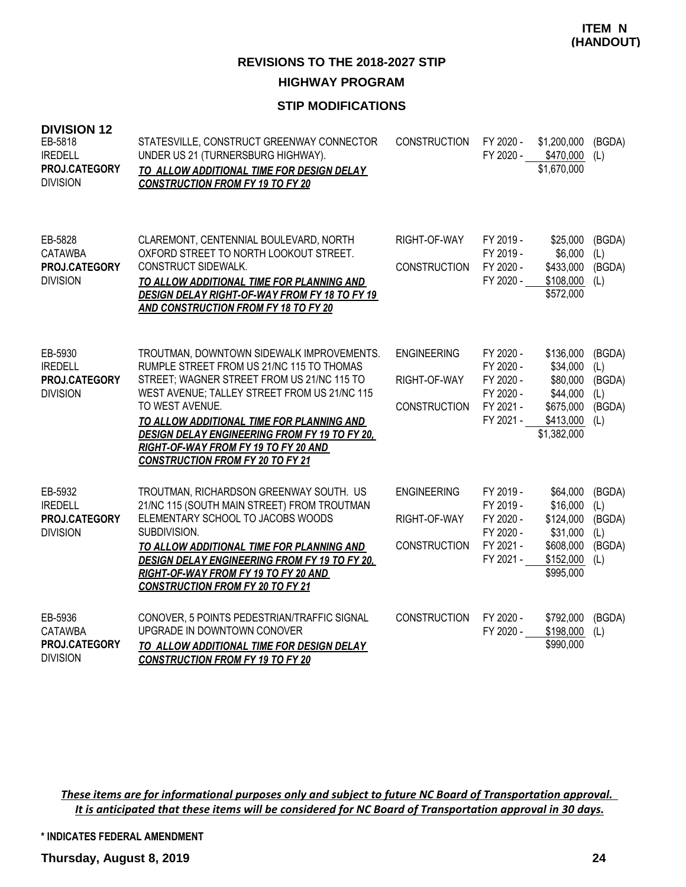### **STIP MODIFICATIONS**

| <b>DIVISION 12</b><br>EB-5818<br><b>IREDELL</b><br>PROJ.CATEGORY<br><b>DIVISION</b> | STATESVILLE, CONSTRUCT GREENWAY CONNECTOR<br>UNDER US 21 (TURNERSBURG HIGHWAY).<br>TO ALLOW ADDITIONAL TIME FOR DESIGN DELAY<br><b>CONSTRUCTION FROM FY 19 TO FY 20</b>                                                                                                                                                                                                                         | <b>CONSTRUCTION</b>                                       | FY 2020 -<br>FY 2020 -                                                     | \$1,200,000<br>\$470,000<br>\$1,670,000                                                | (BGDA)<br>(L)                                   |
|-------------------------------------------------------------------------------------|-------------------------------------------------------------------------------------------------------------------------------------------------------------------------------------------------------------------------------------------------------------------------------------------------------------------------------------------------------------------------------------------------|-----------------------------------------------------------|----------------------------------------------------------------------------|----------------------------------------------------------------------------------------|-------------------------------------------------|
| EB-5828<br><b>CATAWBA</b><br>PROJ.CATEGORY<br><b>DIVISION</b>                       | CLAREMONT, CENTENNIAL BOULEVARD, NORTH<br>OXFORD STREET TO NORTH LOOKOUT STREET.<br>CONSTRUCT SIDEWALK.<br>TO ALLOW ADDITIONAL TIME FOR PLANNING AND<br>DESIGN DELAY RIGHT-OF-WAY FROM FY 18 TO FY 19<br>AND CONSTRUCTION FROM FY 18 TO FY 20                                                                                                                                                   | RIGHT-OF-WAY<br><b>CONSTRUCTION</b>                       | FY 2019 -<br>FY 2019 -<br>FY 2020 -<br>FY 2020 -                           | \$25,000<br>\$6,000<br>\$433,000<br>\$108,000<br>\$572,000                             | (BGDA)<br>(L)<br>(BGDA)<br>(L)                  |
| EB-5930<br><b>IREDELL</b><br>PROJ.CATEGORY<br><b>DIVISION</b>                       | TROUTMAN, DOWNTOWN SIDEWALK IMPROVEMENTS.<br>RUMPLE STREET FROM US 21/NC 115 TO THOMAS<br>STREET; WAGNER STREET FROM US 21/NC 115 TO<br>WEST AVENUE; TALLEY STREET FROM US 21/NC 115<br>TO WEST AVENUE.<br>TO ALLOW ADDITIONAL TIME FOR PLANNING AND<br><b>DESIGN DELAY ENGINEERING FROM FY 19 TO FY 20.</b><br>RIGHT-OF-WAY FROM FY 19 TO FY 20 AND<br><b>CONSTRUCTION FROM FY 20 TO FY 21</b> | <b>ENGINEERING</b><br>RIGHT-OF-WAY<br><b>CONSTRUCTION</b> | FY 2020 -<br>FY 2020 -<br>FY 2020 -<br>FY 2020 -<br>FY 2021 -<br>FY 2021 - | \$136,000<br>\$34,000<br>\$80,000<br>\$44,000<br>\$675,000<br>\$413,000<br>\$1,382,000 | (BGDA)<br>(L)<br>(BGDA)<br>(L)<br>(BGDA)<br>(L) |
| EB-5932<br><b>IREDELL</b><br>PROJ.CATEGORY<br><b>DIVISION</b>                       | TROUTMAN, RICHARDSON GREENWAY SOUTH. US<br>21/NC 115 (SOUTH MAIN STREET) FROM TROUTMAN<br>ELEMENTARY SCHOOL TO JACOBS WOODS<br>SUBDIVISION.<br>TO ALLOW ADDITIONAL TIME FOR PLANNING AND<br><b>DESIGN DELAY ENGINEERING FROM FY 19 TO FY 20.</b><br>RIGHT-OF-WAY FROM FY 19 TO FY 20 AND<br><b>CONSTRUCTION FROM FY 20 TO FY 21</b>                                                             | <b>ENGINEERING</b><br>RIGHT-OF-WAY<br><b>CONSTRUCTION</b> | FY 2019 -<br>FY 2019 -<br>FY 2020 -<br>FY 2020 -<br>FY 2021 -<br>FY 2021 - | \$64,000<br>\$16,000<br>\$124,000<br>\$31,000<br>\$608,000<br>\$152,000<br>\$995,000   | (BGDA)<br>(L)<br>(BGDA)<br>(L)<br>(BGDA)<br>(L) |
| EB-5936<br><b>CATAWBA</b><br>PROJ.CATEGORY<br><b>DIVISION</b>                       | CONOVER, 5 POINTS PEDESTRIAN/TRAFFIC SIGNAL<br>UPGRADE IN DOWNTOWN CONOVER<br>TO ALLOW ADDITIONAL TIME FOR DESIGN DELAY<br><b>CONSTRUCTION FROM FY 19 TO FY 20</b>                                                                                                                                                                                                                              | <b>CONSTRUCTION</b>                                       | FY 2020 -<br>FY 2020 -                                                     | \$792,000<br>\$198,000<br>\$990,000                                                    | (BGDA)<br>(L)                                   |

*These items are for informational purposes only and subject to future NC Board of Transportation approval. It is anticipated that these items will be considered for NC Board of Transportation approval in 30 days.*

**\* INDICATES FEDERAL AMENDMENT**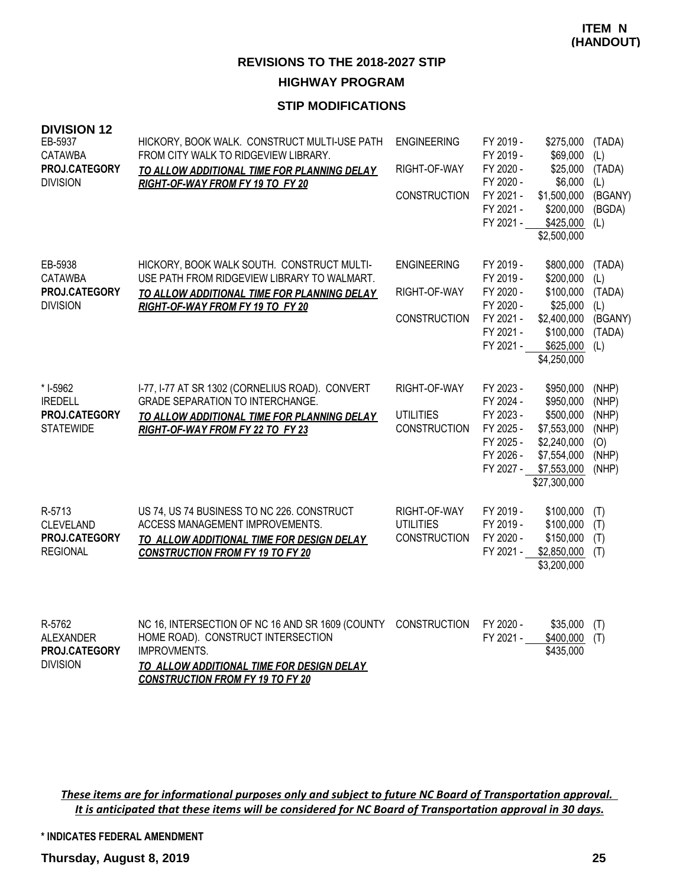#### **STIP MODIFICATIONS**

| <b>DIVISION 12</b><br>EB-5937<br><b>CATAWBA</b><br>PROJ.CATEGORY<br><b>DIVISION</b> | HICKORY, BOOK WALK. CONSTRUCT MULTI-USE PATH<br>FROM CITY WALK TO RIDGEVIEW LIBRARY.<br>TO ALLOW ADDITIONAL TIME FOR PLANNING DELAY<br>RIGHT-OF-WAY FROM FY 19 TO FY 20                               | <b>ENGINEERING</b><br>RIGHT-OF-WAY<br><b>CONSTRUCTION</b> | FY 2019 -<br>FY 2019 -<br>FY 2020 -<br>FY 2020 -<br>FY 2021 -<br>FY 2021 -<br>FY 2021 - | \$275,000<br>\$69,000<br>\$25,000<br>\$6,000<br>\$1,500,000<br>\$200,000<br>\$425,000<br>\$2,500,000            | (TADA)<br>(L)<br>(TADA)<br>(L)<br>(BGANY)<br>(BGDA)<br>(L) |
|-------------------------------------------------------------------------------------|-------------------------------------------------------------------------------------------------------------------------------------------------------------------------------------------------------|-----------------------------------------------------------|-----------------------------------------------------------------------------------------|-----------------------------------------------------------------------------------------------------------------|------------------------------------------------------------|
| EB-5938<br><b>CATAWBA</b><br>PROJ.CATEGORY<br><b>DIVISION</b>                       | HICKORY, BOOK WALK SOUTH. CONSTRUCT MULTI-<br>USE PATH FROM RIDGEVIEW LIBRARY TO WALMART.<br>TO ALLOW ADDITIONAL TIME FOR PLANNING DELAY<br>RIGHT-OF-WAY FROM FY 19 TO FY 20                          | <b>ENGINEERING</b><br>RIGHT-OF-WAY<br><b>CONSTRUCTION</b> | FY 2019 -<br>FY 2019 -<br>FY 2020 -<br>FY 2020 -<br>FY 2021 -<br>FY 2021 -<br>FY 2021 - | \$800,000<br>\$200,000<br>\$100,000<br>\$25,000<br>\$2,400,000<br>\$100,000<br>\$625,000<br>\$4,250,000         | (TADA)<br>(L)<br>(TADA)<br>(L)<br>(BGANY)<br>(TADA)<br>(L) |
| * I-5962<br><b>IREDELL</b><br>PROJ.CATEGORY<br><b>STATEWIDE</b>                     | I-77, I-77 AT SR 1302 (CORNELIUS ROAD). CONVERT<br>GRADE SEPARATION TO INTERCHANGE.<br>TO ALLOW ADDITIONAL TIME FOR PLANNING DELAY<br>RIGHT-OF-WAY FROM FY 22 TO FY 23                                | RIGHT-OF-WAY<br><b>UTILITIES</b><br><b>CONSTRUCTION</b>   | FY 2023 -<br>FY 2024 -<br>FY 2023 -<br>FY 2025 -<br>FY 2025 -<br>FY 2026 -<br>FY 2027 - | \$950,000<br>\$950,000<br>\$500,000<br>\$7,553,000<br>\$2,240,000<br>\$7,554,000<br>\$7,553,000<br>\$27,300,000 | (NHP)<br>(NHP)<br>(NHP)<br>(NHP)<br>(O)<br>(NHP)<br>(NHP)  |
| R-5713<br>CLEVELAND<br>PROJ.CATEGORY<br><b>REGIONAL</b>                             | US 74, US 74 BUSINESS TO NC 226. CONSTRUCT<br>ACCESS MANAGEMENT IMPROVEMENTS.<br>TO ALLOW ADDITIONAL TIME FOR DESIGN DELAY<br><b>CONSTRUCTION FROM FY 19 TO FY 20</b>                                 | RIGHT-OF-WAY<br><b>UTILITIES</b><br><b>CONSTRUCTION</b>   | FY 2019 -<br>FY 2019 -<br>FY 2020 -<br>FY 2021 -                                        | \$100,000<br>\$100,000<br>\$150,000<br>\$2,850,000<br>\$3,200,000                                               | (T)<br>(T)<br>(T)<br>(T)                                   |
| R-5762<br><b>ALEXANDER</b><br>PROJ.CATEGORY<br><b>DIVISION</b>                      | NC 16, INTERSECTION OF NC 16 AND SR 1609 (COUNTY<br>HOME ROAD). CONSTRUCT INTERSECTION<br><b>IMPROVMENTS.</b><br>TO ALLOW ADDITIONAL TIME FOR DESIGN DELAY<br><b>CONSTRUCTION FROM FY 19 TO FY 20</b> | <b>CONSTRUCTION</b>                                       | FY 2020 -<br>FY 2021 -                                                                  | \$35,000<br>\$400,000<br>\$435,000                                                                              | (T)<br>(T)                                                 |

*These items are for informational purposes only and subject to future NC Board of Transportation approval. It is anticipated that these items will be considered for NC Board of Transportation approval in 30 days.*

**\* INDICATES FEDERAL AMENDMENT**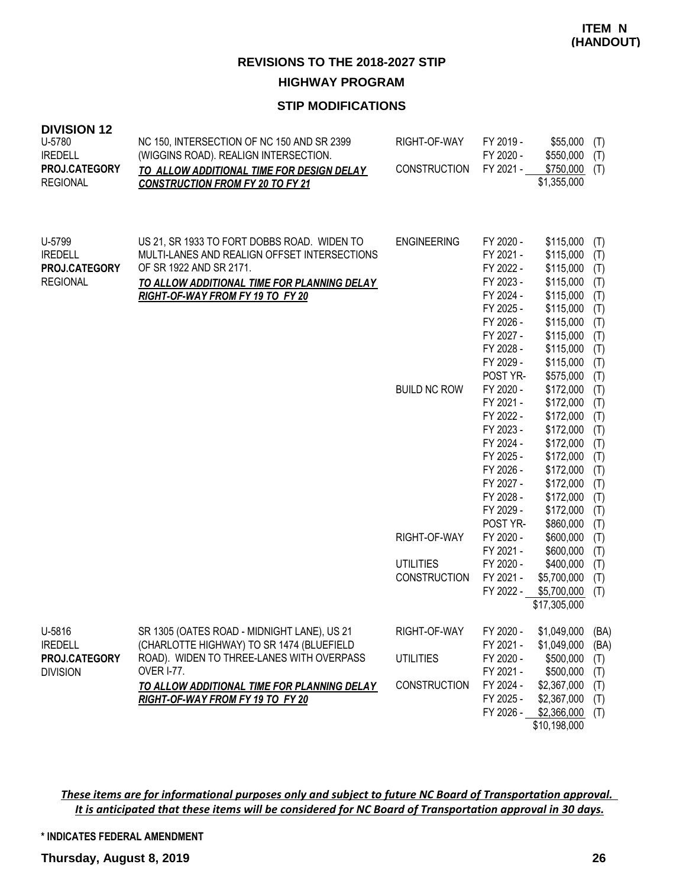### **STIP MODIFICATIONS**

| <b>DIVISION 12</b><br>U-5780<br><b>IREDELL</b><br>PROJ.CATEGORY<br><b>REGIONAL</b> | NC 150, INTERSECTION OF NC 150 AND SR 2399<br>(WIGGINS ROAD). REALIGN INTERSECTION.<br>TO ALLOW ADDITIONAL TIME FOR DESIGN DELAY<br><b>CONSTRUCTION FROM FY 20 TO FY 21</b>                               | RIGHT-OF-WAY<br><b>CONSTRUCTION</b>                     | FY 2019 -<br>FY 2020 -<br>FY 2021 -                                                                                                                                               | \$55,000<br>\$550,000<br>\$750,000<br>\$1,355,000                                                                                                                                    | (T)<br>(T)<br>(T)                                                                              |
|------------------------------------------------------------------------------------|-----------------------------------------------------------------------------------------------------------------------------------------------------------------------------------------------------------|---------------------------------------------------------|-----------------------------------------------------------------------------------------------------------------------------------------------------------------------------------|--------------------------------------------------------------------------------------------------------------------------------------------------------------------------------------|------------------------------------------------------------------------------------------------|
| U-5799<br><b>IREDELL</b><br>PROJ.CATEGORY<br><b>REGIONAL</b>                       | US 21, SR 1933 TO FORT DOBBS ROAD. WIDEN TO<br>MULTI-LANES AND REALIGN OFFSET INTERSECTIONS<br>OF SR 1922 AND SR 2171.<br>TO ALLOW ADDITIONAL TIME FOR PLANNING DELAY<br>RIGHT-OF-WAY FROM FY 19 TO FY 20 | <b>ENGINEERING</b><br><b>BUILD NC ROW</b>               | FY 2020 -<br>FY 2021 -<br>FY 2022 -<br>FY 2023 -<br>FY 2024 -<br>FY 2025 -<br>FY 2026 -<br>FY 2027 -<br>FY 2028 -<br>FY 2029 -<br>POST YR-<br>FY 2020 -                           | \$115,000<br>\$115,000<br>\$115,000<br>\$115,000<br>\$115,000<br>\$115,000<br>\$115,000<br>\$115,000<br>\$115,000<br>\$115,000<br>\$575,000<br>\$172,000                             | (T)<br>(T)<br>(T)<br>(T)<br>(T)<br>(T)<br>(T)<br>(T)<br>(T)<br>(T)<br>(T)<br>(T)               |
|                                                                                    |                                                                                                                                                                                                           | RIGHT-OF-WAY<br><b>UTILITIES</b><br><b>CONSTRUCTION</b> | FY 2021 -<br>FY 2022 -<br>FY 2023 -<br>FY 2024 -<br>FY 2025 -<br>FY 2026 -<br>FY 2027 -<br>FY 2028 -<br>FY 2029 -<br>POST YR-<br>FY 2020 -<br>FY 2021 -<br>FY 2020 -<br>FY 2021 - | \$172,000<br>\$172,000<br>\$172,000<br>\$172,000<br>\$172,000<br>\$172,000<br>\$172,000<br>\$172,000<br>\$172,000<br>\$860,000<br>\$600,000<br>\$600,000<br>\$400,000<br>\$5,700,000 | (T)<br>(T)<br>(T)<br>(T)<br>(T)<br>(T)<br>(T)<br>(T)<br>(T)<br>(T)<br>(T)<br>(T)<br>(T)<br>(T) |
|                                                                                    |                                                                                                                                                                                                           |                                                         | FY 2022 -                                                                                                                                                                         | \$5,700,000<br>\$17,305,000                                                                                                                                                          | (T)                                                                                            |
| U-5816<br><b>IREDELL</b><br>PROJ.CATEGORY<br><b>DIVISION</b>                       | SR 1305 (OATES ROAD - MIDNIGHT LANE), US 21<br>(CHARLOTTE HIGHWAY) TO SR 1474 (BLUEFIELD<br>ROAD). WIDEN TO THREE-LANES WITH OVERPASS<br><b>OVER I-77.</b>                                                | RIGHT-OF-WAY<br><b>UTILITIES</b>                        | FY 2020 -<br>FY 2021 -<br>FY 2020 -<br>FY 2021 -                                                                                                                                  | \$1,049,000<br>\$1,049,000<br>\$500,000<br>\$500,000                                                                                                                                 | (BA)<br>(BA)<br>(T)<br>(T)                                                                     |
|                                                                                    | TO ALLOW ADDITIONAL TIME FOR PLANNING DELAY<br>RIGHT-OF-WAY FROM FY 19 TO FY 20                                                                                                                           | <b>CONSTRUCTION</b>                                     | FY 2024 -<br>FY 2025 -<br>FY 2026 -                                                                                                                                               | \$2,367,000<br>\$2,367,000<br>\$2,366,000<br>\$10,198,000                                                                                                                            | (T)<br>(T)<br>(T)                                                                              |

*These items are for informational purposes only and subject to future NC Board of Transportation approval. It is anticipated that these items will be considered for NC Board of Transportation approval in 30 days.*

**\* INDICATES FEDERAL AMENDMENT**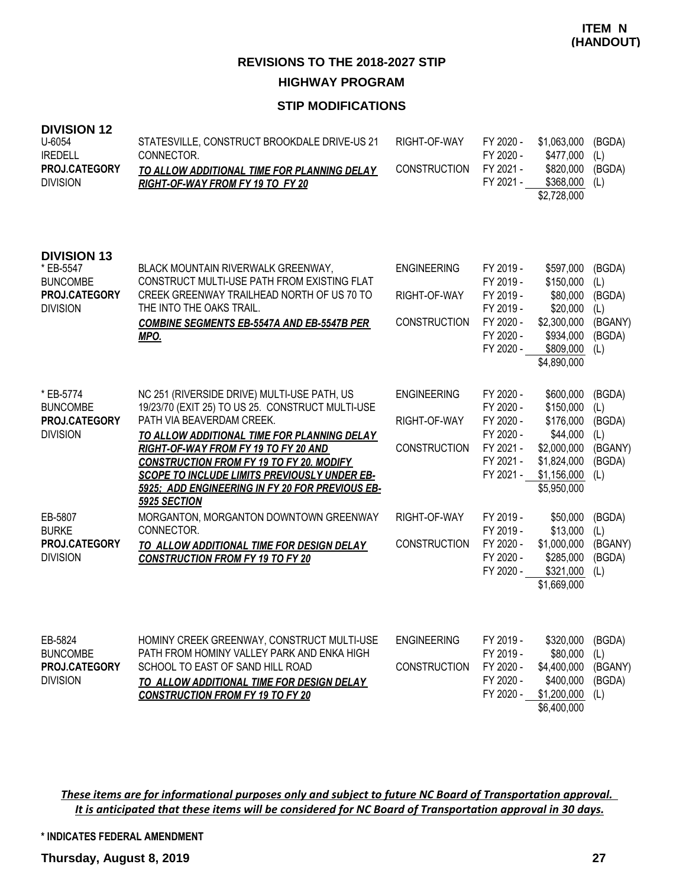### **STIP MODIFICATIONS**

| <b>DIVISION 12</b><br>U-6054<br><b>IREDELL</b><br>PROJ.CATEGORY<br><b>DIVISION</b>     | STATESVILLE, CONSTRUCT BROOKDALE DRIVE-US 21<br>CONNECTOR.<br>TO ALLOW ADDITIONAL TIME FOR PLANNING DELAY<br>RIGHT-OF-WAY FROM FY 19 TO FY 20                                                                                                                                                                                                                                                    | RIGHT-OF-WAY<br><b>CONSTRUCTION</b>                       | FY 2020 -<br>FY 2020 -<br>FY 2021 -<br>FY 2021 -                                        | \$1,063,000<br>\$477,000<br>\$820,000<br>\$368,000<br>\$2,728,000                                           | (BGDA)<br>(L)<br>(BGDA)<br>(L)                             |
|----------------------------------------------------------------------------------------|--------------------------------------------------------------------------------------------------------------------------------------------------------------------------------------------------------------------------------------------------------------------------------------------------------------------------------------------------------------------------------------------------|-----------------------------------------------------------|-----------------------------------------------------------------------------------------|-------------------------------------------------------------------------------------------------------------|------------------------------------------------------------|
| <b>DIVISION 13</b><br>* EB-5547<br><b>BUNCOMBE</b><br>PROJ.CATEGORY<br><b>DIVISION</b> | BLACK MOUNTAIN RIVERWALK GREENWAY,<br>CONSTRUCT MULTI-USE PATH FROM EXISTING FLAT<br>CREEK GREENWAY TRAILHEAD NORTH OF US 70 TO<br>THE INTO THE OAKS TRAIL.<br><b>COMBINE SEGMENTS EB-5547A AND EB-5547B PER</b><br><u>MPO.</u>                                                                                                                                                                  | <b>ENGINEERING</b><br>RIGHT-OF-WAY<br><b>CONSTRUCTION</b> | FY 2019 -<br>FY 2019 -<br>FY 2019 -<br>FY 2019 -<br>FY 2020 -<br>FY 2020 -<br>FY 2020 - | \$597,000<br>\$150,000<br>\$80,000<br>\$20,000<br>\$2,300,000<br>\$934,000<br>\$809,000<br>\$4,890,000      | (BGDA)<br>(L)<br>(BGDA)<br>(L)<br>(BGANY)<br>(BGDA)<br>(L) |
| * EB-5774<br><b>BUNCOMBE</b><br>PROJ.CATEGORY<br><b>DIVISION</b>                       | NC 251 (RIVERSIDE DRIVE) MULTI-USE PATH, US<br>19/23/70 (EXIT 25) TO US 25. CONSTRUCT MULTI-USE<br>PATH VIA BEAVERDAM CREEK.<br>TO ALLOW ADDITIONAL TIME FOR PLANNING DELAY<br>RIGHT-OF-WAY FROM FY 19 TO FY 20 AND<br><b>CONSTRUCTION FROM FY 19 TO FY 20. MODIFY</b><br><b>SCOPE TO INCLUDE LIMITS PREVIOUSLY UNDER EB-</b><br>5925: ADD ENGINEERING IN FY 20 FOR PREVIOUS EB-<br>5925 SECTION | <b>ENGINEERING</b><br>RIGHT-OF-WAY<br><b>CONSTRUCTION</b> | FY 2020 -<br>FY 2020 -<br>FY 2020 -<br>FY 2020 -<br>FY 2021 -<br>FY 2021 -<br>FY 2021 - | \$600,000<br>\$150,000<br>\$176,000<br>\$44,000<br>\$2,000,000<br>\$1,824,000<br>\$1,156,000<br>\$5,950,000 | (BGDA)<br>(L)<br>(BGDA)<br>(L)<br>(BGANY)<br>(BGDA)<br>(L) |
| EB-5807<br><b>BURKE</b><br>PROJ.CATEGORY<br><b>DIVISION</b>                            | MORGANTON, MORGANTON DOWNTOWN GREENWAY<br>CONNECTOR.<br><b>TO ALLOW ADDITIONAL TIME FOR DESIGN DELAY</b><br><b>CONSTRUCTION FROM FY 19 TO FY 20</b>                                                                                                                                                                                                                                              | RIGHT-OF-WAY<br><b>CONSTRUCTION</b>                       | FY 2019 -<br>FY 2019 -<br>FY 2020 -<br>FY 2020 -<br>FY 2020 -                           | \$50,000<br>\$13,000<br>\$1,000,000<br>\$285,000<br>\$321,000<br>\$1,669,000                                | (BGDA)<br>(L)<br>(BGANY)<br>(BGDA)<br>(L)                  |
| EB-5824<br><b>BUNCOMBE</b><br>PROJ.CATEGORY<br><b>DIVISION</b>                         | HOMINY CREEK GREENWAY, CONSTRUCT MULTI-USE<br>PATH FROM HOMINY VALLEY PARK AND ENKA HIGH<br>SCHOOL TO EAST OF SAND HILL ROAD<br>TO ALLOW ADDITIONAL TIME FOR DESIGN DELAY<br><b>CONSTRUCTION FROM FY 19 TO FY 20</b>                                                                                                                                                                             | <b>ENGINEERING</b><br><b>CONSTRUCTION</b>                 | FY 2019 -<br>FY 2019 -<br>FY 2020 -<br>FY 2020 -<br>FY 2020 -                           | \$320,000<br>\$80,000<br>\$4,400,000<br>\$400,000<br>\$1,200,000<br>\$6,400,000                             | (BGDA)<br>(L)<br>(BGANY)<br>(BGDA)<br>(L)                  |

*These items are for informational purposes only and subject to future NC Board of Transportation approval. It is anticipated that these items will be considered for NC Board of Transportation approval in 30 days.*

**\* INDICATES FEDERAL AMENDMENT**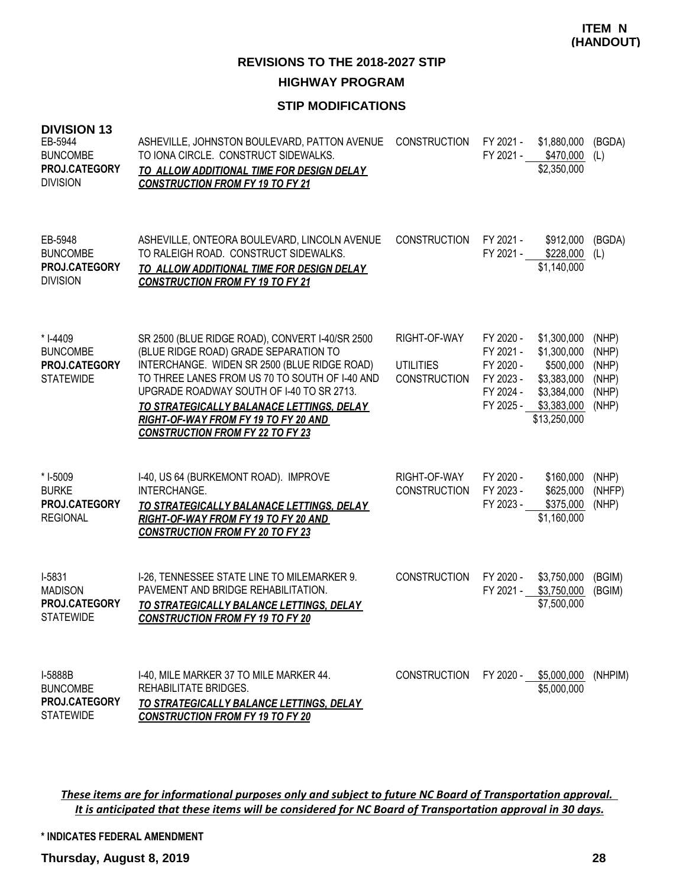#### **STIP MODIFICATIONS**

| <b>DIVISION 13</b><br>EB-5944<br><b>BUNCOMBE</b><br>PROJ.CATEGORY<br><b>DIVISION</b> | ASHEVILLE, JOHNSTON BOULEVARD, PATTON AVENUE<br>TO IONA CIRCLE. CONSTRUCT SIDEWALKS.<br>TO ALLOW ADDITIONAL TIME FOR DESIGN DELAY<br><b>CONSTRUCTION FROM FY 19 TO FY 21</b>                                                                                                                                                                                            | <b>CONSTRUCTION</b>                                     | FY 2021 -                                                                  | \$1,880,000<br>FY 2021 - \$470,000<br>\$2,350,000                                                    | (BGDA)<br>(L)                                      |
|--------------------------------------------------------------------------------------|-------------------------------------------------------------------------------------------------------------------------------------------------------------------------------------------------------------------------------------------------------------------------------------------------------------------------------------------------------------------------|---------------------------------------------------------|----------------------------------------------------------------------------|------------------------------------------------------------------------------------------------------|----------------------------------------------------|
| EB-5948<br><b>BUNCOMBE</b><br>PROJ.CATEGORY<br><b>DIVISION</b>                       | ASHEVILLE, ONTEORA BOULEVARD, LINCOLN AVENUE<br>TO RALEIGH ROAD. CONSTRUCT SIDEWALKS.<br>TO ALLOW ADDITIONAL TIME FOR DESIGN DELAY<br><b>CONSTRUCTION FROM FY 19 TO FY 21</b>                                                                                                                                                                                           | <b>CONSTRUCTION</b>                                     | FY 2021 -<br>FY 2021 -                                                     | \$912,000<br>\$228,000<br>\$1,140,000                                                                | (BGDA)<br>(L)                                      |
| * I-4409<br><b>BUNCOMBE</b><br>PROJ.CATEGORY<br><b>STATEWIDE</b>                     | SR 2500 (BLUE RIDGE ROAD), CONVERT I-40/SR 2500<br>(BLUE RIDGE ROAD) GRADE SEPARATION TO<br>INTERCHANGE. WIDEN SR 2500 (BLUE RIDGE ROAD)<br>TO THREE LANES FROM US 70 TO SOUTH OF I-40 AND<br>UPGRADE ROADWAY SOUTH OF I-40 TO SR 2713.<br>TO STRATEGICALLY BALANACE LETTINGS, DELAY<br>RIGHT-OF-WAY FROM FY 19 TO FY 20 AND<br><b>CONSTRUCTION FROM FY 22 TO FY 23</b> | RIGHT-OF-WAY<br><b>UTILITIES</b><br><b>CONSTRUCTION</b> | FY 2020 -<br>FY 2021 -<br>FY 2020 -<br>FY 2023 -<br>FY 2024 -<br>FY 2025 - | \$1,300,000<br>\$1,300,000<br>\$500,000<br>\$3,383,000<br>\$3,384,000<br>\$3,383,000<br>\$13,250,000 | (NHP)<br>(NHP)<br>(NHP)<br>(NHP)<br>(NHP)<br>(NHP) |
| * I-5009<br><b>BURKE</b><br>PROJ.CATEGORY<br><b>REGIONAL</b>                         | I-40, US 64 (BURKEMONT ROAD). IMPROVE<br>INTERCHANGE.<br>TO STRATEGICALLY BALANACE LETTINGS, DELAY<br>RIGHT-OF-WAY FROM FY 19 TO FY 20 AND<br><b>CONSTRUCTION FROM FY 20 TO FY 23</b>                                                                                                                                                                                   | RIGHT-OF-WAY<br><b>CONSTRUCTION</b>                     | FY 2020 -<br>FY 2023 -<br>FY 2023 -                                        | \$160,000<br>\$625,000<br>\$375,000<br>\$1,160,000                                                   | (NHP)<br>(NHFP)<br>(NHP)                           |
| I-5831<br><b>MADISON</b><br>PROJ.CATEGORY<br><b>STATEWIDE</b>                        | I-26, TENNESSEE STATE LINE TO MILEMARKER 9.<br>PAVEMENT AND BRIDGE REHABILITATION.<br>TO STRATEGICALLY BALANCE LETTINGS, DELAY<br><b>CONSTRUCTION FROM FY 19 TO FY 20</b>                                                                                                                                                                                               | <b>CONSTRUCTION</b>                                     | FY 2020 -<br>FY 2021 -                                                     | \$3,750,000<br>\$3,750,000<br>\$7,500,000                                                            | (BGIM)<br>(BGIM)                                   |
| I-5888B<br><b>BUNCOMBE</b><br>PROJ.CATEGORY<br><b>STATEWIDE</b>                      | I-40, MILE MARKER 37 TO MILE MARKER 44.<br>REHABILITATE BRIDGES.<br>TO STRATEGICALLY BALANCE LETTINGS, DELAY<br><b>CONSTRUCTION FROM FY 19 TO FY 20</b>                                                                                                                                                                                                                 | <b>CONSTRUCTION</b>                                     | FY 2020 -                                                                  | \$5,000,000<br>\$5,000,000                                                                           | (NHPIM)                                            |

*These items are for informational purposes only and subject to future NC Board of Transportation approval. It is anticipated that these items will be considered for NC Board of Transportation approval in 30 days.*

**\* INDICATES FEDERAL AMENDMENT**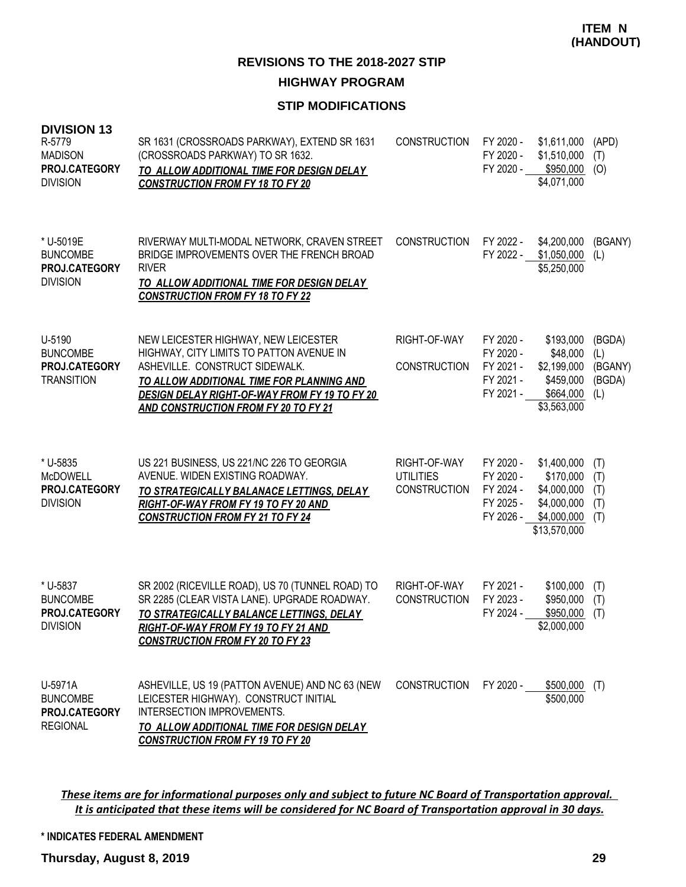#### **STIP MODIFICATIONS**

| <b>DIVISION 13</b><br>R-5779<br><b>MADISON</b><br>PROJ.CATEGORY<br><b>DIVISION</b> | SR 1631 (CROSSROADS PARKWAY), EXTEND SR 1631<br>(CROSSROADS PARKWAY) TO SR 1632.<br>TO ALLOW ADDITIONAL TIME FOR DESIGN DELAY<br><b>CONSTRUCTION FROM FY 18 TO FY 20</b>                                                                                        | <b>CONSTRUCTION</b>                                     | FY 2020 -<br>FY 2020 -<br>FY 2020 -                           | \$1,611,000<br>\$1,510,000<br>\$950,000<br>\$4,071,000                                | (APD)<br>(T)<br>(O)                       |
|------------------------------------------------------------------------------------|-----------------------------------------------------------------------------------------------------------------------------------------------------------------------------------------------------------------------------------------------------------------|---------------------------------------------------------|---------------------------------------------------------------|---------------------------------------------------------------------------------------|-------------------------------------------|
| * U-5019E<br><b>BUNCOMBE</b><br>PROJ.CATEGORY<br><b>DIVISION</b>                   | RIVERWAY MULTI-MODAL NETWORK, CRAVEN STREET<br>BRIDGE IMPROVEMENTS OVER THE FRENCH BROAD<br><b>RIVER</b><br>TO ALLOW ADDITIONAL TIME FOR DESIGN DELAY<br><b>CONSTRUCTION FROM FY 18 TO FY 22</b>                                                                | <b>CONSTRUCTION</b>                                     | FY 2022 -<br>FY 2022 -                                        | \$4,200,000<br>\$1,050,000<br>\$5,250,000                                             | (BGANY)<br>(L)                            |
| U-5190<br><b>BUNCOMBE</b><br>PROJ.CATEGORY<br><b>TRANSITION</b>                    | NEW LEICESTER HIGHWAY, NEW LEICESTER<br>HIGHWAY, CITY LIMITS TO PATTON AVENUE IN<br>ASHEVILLE. CONSTRUCT SIDEWALK.<br>TO ALLOW ADDITIONAL TIME FOR PLANNING AND<br><b>DESIGN DELAY RIGHT-OF-WAY FROM FY 19 TO FY 20</b><br>AND CONSTRUCTION FROM FY 20 TO FY 21 | RIGHT-OF-WAY<br><b>CONSTRUCTION</b>                     | FY 2020 -<br>FY 2020 -<br>FY 2021 -<br>FY 2021 -<br>FY 2021 - | \$193,000<br>\$48,000<br>\$2,199,000<br>\$459,000<br>\$664,000<br>\$3,563,000         | (BGDA)<br>(L)<br>(BGANY)<br>(BGDA)<br>(L) |
| * U-5835<br><b>McDOWELL</b><br>PROJ.CATEGORY<br><b>DIVISION</b>                    | US 221 BUSINESS, US 221/NC 226 TO GEORGIA<br>AVENUE. WIDEN EXISTING ROADWAY.<br>TO STRATEGICALLY BALANACE LETTINGS, DELAY<br><b>RIGHT-OF-WAY FROM FY 19 TO FY 20 AND</b><br><b>CONSTRUCTION FROM FY 21 TO FY 24</b>                                             | RIGHT-OF-WAY<br><b>UTILITIES</b><br><b>CONSTRUCTION</b> | FY 2020 -<br>FY 2020 -<br>FY 2024 -<br>FY 2025 -<br>FY 2026 - | \$1,400,000<br>\$170,000<br>\$4,000,000<br>\$4,000,000<br>\$4,000,000<br>\$13,570,000 | (T)<br>(T)<br>(T)<br>(T)<br>(T)           |
| * U-5837<br><b>BUNCOMBE</b><br>PROJ.CATEGORY<br><b>DIVISION</b>                    | SR 2002 (RICEVILLE ROAD), US 70 (TUNNEL ROAD) TO<br>SR 2285 (CLEAR VISTA LANE). UPGRADE ROADWAY.<br>TO STRATEGICALLY BALANCE LETTINGS, DELAY<br>RIGHT-OF-WAY FROM FY 19 TO FY 21 AND<br><b>CONSTRUCTION FROM FY 20 TO FY 23</b>                                 | RIGHT-OF-WAY<br><b>CONSTRUCTION</b>                     | FY 2021 -<br>FY 2023 -<br>FY 2024 -                           | \$100,000<br>\$950,000<br>\$950,000<br>\$2,000,000                                    | (T)<br>(T)<br>(T)                         |
| U-5971A<br><b>BUNCOMBE</b><br>PROJ.CATEGORY<br><b>REGIONAL</b>                     | ASHEVILLE, US 19 (PATTON AVENUE) AND NC 63 (NEW<br>LEICESTER HIGHWAY). CONSTRUCT INITIAL<br>INTERSECTION IMPROVEMENTS.<br>TO ALLOW ADDITIONAL TIME FOR DESIGN DELAY<br><b>CONSTRUCTION FROM FY 19 TO FY 20</b>                                                  | <b>CONSTRUCTION</b>                                     | FY 2020 -                                                     | \$500,000<br>\$500,000                                                                | (T)                                       |

*These items are for informational purposes only and subject to future NC Board of Transportation approval. It is anticipated that these items will be considered for NC Board of Transportation approval in 30 days.*

**\* INDICATES FEDERAL AMENDMENT**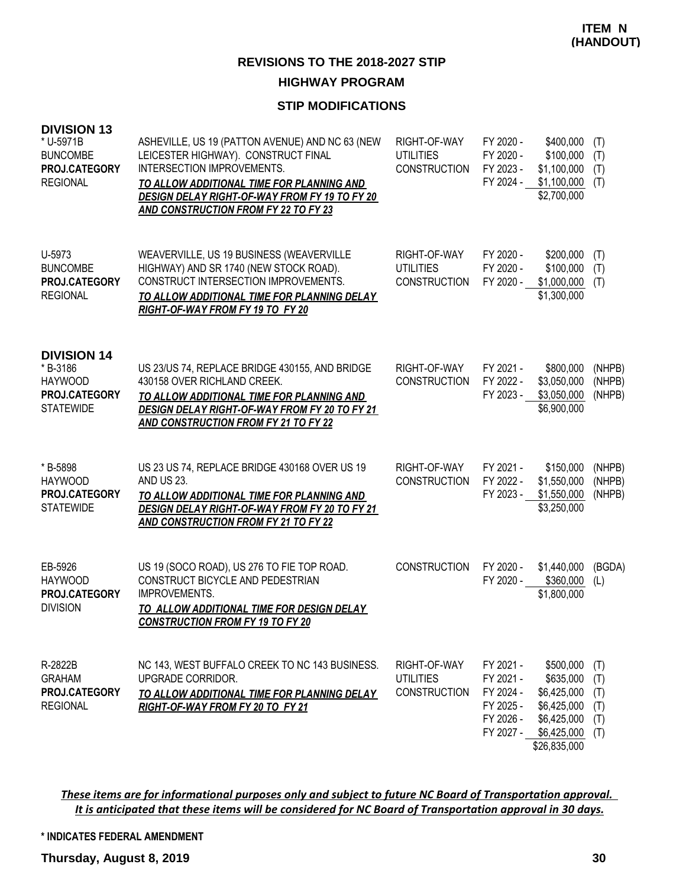### **STIP MODIFICATIONS**

| <b>DIVISION 13</b><br>* U-5971B<br><b>BUNCOMBE</b><br>PROJ.CATEGORY<br><b>REGIONAL</b> | ASHEVILLE, US 19 (PATTON AVENUE) AND NC 63 (NEW<br>LEICESTER HIGHWAY). CONSTRUCT FINAL<br>INTERSECTION IMPROVEMENTS.<br>TO ALLOW ADDITIONAL TIME FOR PLANNING AND<br>DESIGN DELAY RIGHT-OF-WAY FROM FY 19 TO FY 20<br><b>AND CONSTRUCTION FROM FY 22 TO FY 23</b> | RIGHT-OF-WAY<br><b>UTILITIES</b><br><b>CONSTRUCTION</b> | FY 2020 -<br>FY 2020 -<br>FY 2023 -<br>FY 2024 -                           | \$400,000<br>\$100,000<br>\$1,100,000<br>\$1,100,000<br>\$2,700,000                                | (T)<br>(T)<br>(T)<br>(T)               |
|----------------------------------------------------------------------------------------|-------------------------------------------------------------------------------------------------------------------------------------------------------------------------------------------------------------------------------------------------------------------|---------------------------------------------------------|----------------------------------------------------------------------------|----------------------------------------------------------------------------------------------------|----------------------------------------|
| U-5973<br><b>BUNCOMBE</b><br>PROJ.CATEGORY<br><b>REGIONAL</b>                          | WEAVERVILLE, US 19 BUSINESS (WEAVERVILLE<br>HIGHWAY) AND SR 1740 (NEW STOCK ROAD).<br>CONSTRUCT INTERSECTION IMPROVEMENTS.<br>TO ALLOW ADDITIONAL TIME FOR PLANNING DELAY<br>RIGHT-OF-WAY FROM FY 19 TO FY 20                                                     | RIGHT-OF-WAY<br><b>UTILITIES</b><br><b>CONSTRUCTION</b> | FY 2020 -<br>FY 2020 -<br>FY 2020 -                                        | \$200,000<br>\$100,000<br>\$1,000,000<br>\$1,300,000                                               | (T)<br>(T)<br>(T)                      |
| <b>DIVISION 14</b><br>* B-3186<br><b>HAYWOOD</b><br>PROJ.CATEGORY<br><b>STATEWIDE</b>  | US 23/US 74, REPLACE BRIDGE 430155, AND BRIDGE<br>430158 OVER RICHLAND CREEK.<br>TO ALLOW ADDITIONAL TIME FOR PLANNING AND<br>DESIGN DELAY RIGHT-OF-WAY FROM FY 20 TO FY 21<br><b>AND CONSTRUCTION FROM FY 21 TO FY 22</b>                                        | RIGHT-OF-WAY<br><b>CONSTRUCTION</b>                     | FY 2021 -<br>FY 2022 -<br>FY 2023 -                                        | \$800,000<br>\$3,050,000<br>\$3,050,000<br>\$6,900,000                                             | (NHPB)<br>(NHPB)<br>(NHPB)             |
| * B-5898<br><b>HAYWOOD</b><br>PROJ.CATEGORY<br><b>STATEWIDE</b>                        | US 23 US 74, REPLACE BRIDGE 430168 OVER US 19<br><b>AND US 23.</b><br>TO ALLOW ADDITIONAL TIME FOR PLANNING AND<br>DESIGN DELAY RIGHT-OF-WAY FROM FY 20 TO FY 21<br><b>AND CONSTRUCTION FROM FY 21 TO FY 22</b>                                                   | RIGHT-OF-WAY<br><b>CONSTRUCTION</b>                     | FY 2021 -<br>FY 2022 -<br>FY 2023 -                                        | \$150,000<br>\$1,550,000<br>\$1,550,000<br>\$3,250,000                                             | (NHPB)<br>(NHPB)<br>(NHPB)             |
| EB-5926<br><b>HAYWOOD</b><br>PROJ.CATEGORY<br><b>DIVISION</b>                          | US 19 (SOCO ROAD), US 276 TO FIE TOP ROAD.<br>CONSTRUCT BICYCLE AND PEDESTRIAN<br>IMPROVEMENTS.<br>TO ALLOW ADDITIONAL TIME FOR DESIGN DELAY<br><b>CONSTRUCTION FROM FY 19 TO FY 20</b>                                                                           | <b>CONSTRUCTION</b>                                     | FY 2020 -<br>FY 2020 -                                                     | \$1,440,000<br>\$360,000<br>\$1,800,000                                                            | (BGDA)<br>(L)                          |
| R-2822B<br><b>GRAHAM</b><br>PROJ.CATEGORY<br><b>REGIONAL</b>                           | NC 143, WEST BUFFALO CREEK TO NC 143 BUSINESS.<br>UPGRADE CORRIDOR.<br>TO ALLOW ADDITIONAL TIME FOR PLANNING DELAY<br>RIGHT-OF-WAY FROM FY 20 TO FY 21                                                                                                            | RIGHT-OF-WAY<br><b>UTILITIES</b><br><b>CONSTRUCTION</b> | FY 2021 -<br>FY 2021 -<br>FY 2024 -<br>FY 2025 -<br>FY 2026 -<br>FY 2027 - | \$500,000<br>\$635,000<br>\$6,425,000<br>\$6,425,000<br>\$6,425,000<br>\$6,425,000<br>\$26,835,000 | (T)<br>(T)<br>(T)<br>(T)<br>(T)<br>(T) |

*These items are for informational purposes only and subject to future NC Board of Transportation approval. It is anticipated that these items will be considered for NC Board of Transportation approval in 30 days.*

**\* INDICATES FEDERAL AMENDMENT**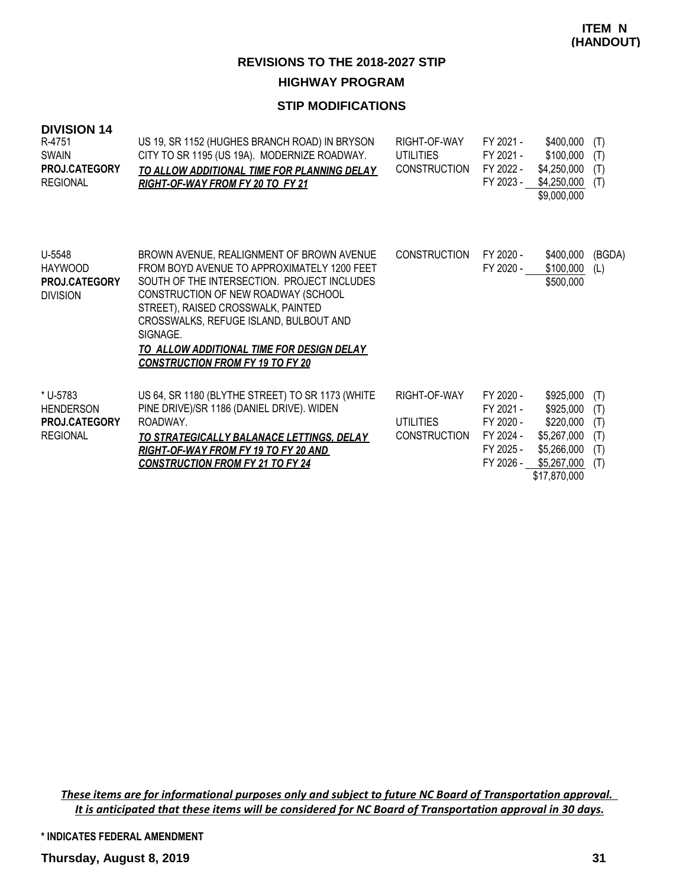#### **STIP MODIFICATIONS**

| <b>DIVISION 14</b><br>R-4751<br><b>SWAIN</b><br>PROJ.CATEGORY<br><b>REGIONAL</b> | US 19, SR 1152 (HUGHES BRANCH ROAD) IN BRYSON<br>CITY TO SR 1195 (US 19A). MODERNIZE ROADWAY.<br>TO ALLOW ADDITIONAL TIME FOR PLANNING DELAY<br>RIGHT-OF-WAY FROM FY 20 TO FY 21                                                                                                                                                                                   | RIGHT-OF-WAY<br>UTILITIES<br><b>CONSTRUCTION</b> | FY 2021 -<br>FY 2021 -<br>FY 2022 -<br>FY 2023 -                           | \$400,000<br>\$100,000<br>\$4,250,000<br>\$4,250,000<br>\$9,000,000                              | (T)<br>(T)<br>(T)<br>(T)               |
|----------------------------------------------------------------------------------|--------------------------------------------------------------------------------------------------------------------------------------------------------------------------------------------------------------------------------------------------------------------------------------------------------------------------------------------------------------------|--------------------------------------------------|----------------------------------------------------------------------------|--------------------------------------------------------------------------------------------------|----------------------------------------|
| U-5548<br><b>HAYWOOD</b><br><b>PROJ.CATEGORY</b><br><b>DIVISION</b>              | BROWN AVENUE, REALIGNMENT OF BROWN AVENUE<br>FROM BOYD AVENUE TO APPROXIMATELY 1200 FEET<br>SOUTH OF THE INTERSECTION. PROJECT INCLUDES<br>CONSTRUCTION OF NEW ROADWAY (SCHOOL<br>STREET), RAISED CROSSWALK, PAINTED<br>CROSSWALKS, REFUGE ISLAND, BULBOUT AND<br>SIGNAGE.<br>TO ALLOW ADDITIONAL TIME FOR DESIGN DELAY<br><b>CONSTRUCTION FROM FY 19 TO FY 20</b> | <b>CONSTRUCTION</b>                              | FY 2020 -<br>FY 2020 -                                                     | \$400,000<br>\$100,000<br>\$500,000                                                              | (BGDA)<br>(L)                          |
| * U-5783<br><b>HENDERSON</b><br>PROJ.CATEGORY<br><b>REGIONAL</b>                 | US 64, SR 1180 (BLYTHE STREET) TO SR 1173 (WHITE<br>PINE DRIVE)/SR 1186 (DANIEL DRIVE). WIDEN<br>ROADWAY.<br>TO STRATEGICALLY BALANACE LETTINGS, DELAY<br><u>RIGHT-OF-WAY FROM FY 19 TO FY 20 AND</u><br><u>CONSTRUCTION FROM FY 21 TO FY 24</u>                                                                                                                   | RIGHT-OF-WAY<br>UTILITIES<br><b>CONSTRUCTION</b> | FY 2020 -<br>FY 2021 -<br>FY 2020 -<br>FY 2024 -<br>FY 2025 -<br>FY 2026 - | \$925,000<br>\$925,000<br>\$220,000<br>\$5,267,000<br>\$5,266,000<br>\$5,267,000<br>\$17,870,000 | (T)<br>(T)<br>(T)<br>(T)<br>(T)<br>(T) |

*These items are for informational purposes only and subject to future NC Board of Transportation approval. It is anticipated that these items will be considered for NC Board of Transportation approval in 30 days.*

**\* INDICATES FEDERAL AMENDMENT**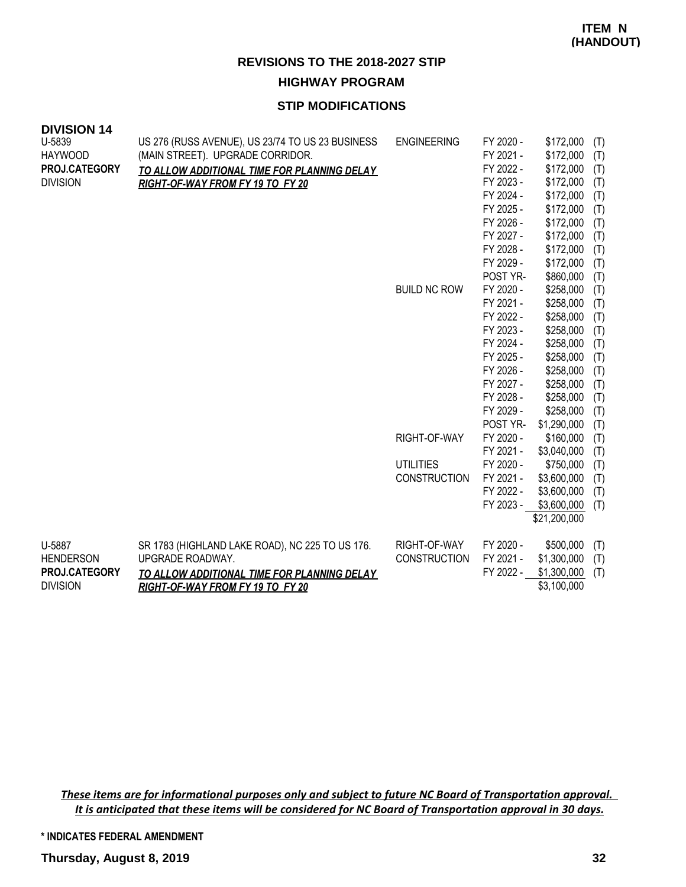#### **STIP MODIFICATIONS**

| <b>DIVISION 14</b>               |                                                  |                     |                        |                        |            |
|----------------------------------|--------------------------------------------------|---------------------|------------------------|------------------------|------------|
| U-5839                           | US 276 (RUSS AVENUE), US 23/74 TO US 23 BUSINESS | <b>ENGINEERING</b>  | FY 2020 -              | \$172,000              | (T)        |
| <b>HAYWOOD</b>                   | (MAIN STREET). UPGRADE CORRIDOR.                 |                     | FY 2021 -              | \$172,000              | (T)        |
| PROJ.CATEGORY<br><b>DIVISION</b> | TO ALLOW ADDITIONAL TIME FOR PLANNING DELAY      |                     | FY 2022 -<br>FY 2023 - | \$172,000              | (T)        |
|                                  | RIGHT-OF-WAY FROM FY 19 TO FY 20                 |                     | FY 2024 -              | \$172,000<br>\$172,000 | (T)        |
|                                  |                                                  |                     | FY 2025 -              | \$172,000              | (T)        |
|                                  |                                                  |                     | FY 2026 -              | \$172,000              | (T)<br>(T) |
|                                  |                                                  |                     | FY 2027 -              | \$172,000              | (T)        |
|                                  |                                                  |                     | FY 2028 -              | \$172,000              | (T)        |
|                                  |                                                  |                     | FY 2029 -              | \$172,000              | (T)        |
|                                  |                                                  |                     | POST YR-               | \$860,000              | (T)        |
|                                  |                                                  | <b>BUILD NC ROW</b> | FY 2020 -              | \$258,000              | (T)        |
|                                  |                                                  |                     | FY 2021 -              | \$258,000              | (T)        |
|                                  |                                                  |                     | FY 2022 -              | \$258,000              | (T)        |
|                                  |                                                  |                     | FY 2023 -              | \$258,000              | (T)        |
|                                  |                                                  |                     | FY 2024 -              | \$258,000              | (T)        |
|                                  |                                                  |                     | FY 2025 -              | \$258,000              | (T)        |
|                                  |                                                  |                     | FY 2026 -              | \$258,000              | (T)        |
|                                  |                                                  |                     | FY 2027 -              | \$258,000              | (T)        |
|                                  |                                                  |                     | FY 2028 -              | \$258,000              | (T)        |
|                                  |                                                  |                     | FY 2029 -              | \$258,000              | (T)        |
|                                  |                                                  |                     | POST YR-               | \$1,290,000            | (T)        |
|                                  |                                                  | RIGHT-OF-WAY        | FY 2020 -              | \$160,000              | (T)        |
|                                  |                                                  |                     | FY 2021 -              | \$3,040,000            | (T)        |
|                                  |                                                  | <b>UTILITIES</b>    | FY 2020 -              | \$750,000              | (T)        |
|                                  |                                                  | <b>CONSTRUCTION</b> | FY 2021 -              | \$3,600,000            | (T)        |
|                                  |                                                  |                     | FY 2022 -              | \$3,600,000            | (T)        |
|                                  |                                                  |                     | FY 2023 -              | \$3,600,000            | (T)        |
|                                  |                                                  |                     |                        | \$21,200,000           |            |
| U-5887                           | SR 1783 (HIGHLAND LAKE ROAD), NC 225 TO US 176.  | RIGHT-OF-WAY        | FY 2020 -              | \$500,000              | (T)        |
| <b>HENDERSON</b>                 | UPGRADE ROADWAY.                                 | <b>CONSTRUCTION</b> | FY 2021 -              | \$1,300,000            | (T)        |
| PROJ.CATEGORY                    | TO ALLOW ADDITIONAL TIME FOR PLANNING DELAY      |                     | FY 2022 -              | \$1,300,000            | (T)        |
| <b>DIVISION</b>                  | RIGHT-OF-WAY FROM FY 19 TO FY 20                 |                     |                        | \$3,100,000            |            |

*These items are for informational purposes only and subject to future NC Board of Transportation approval. It is anticipated that these items will be considered for NC Board of Transportation approval in 30 days.*

**\* INDICATES FEDERAL AMENDMENT**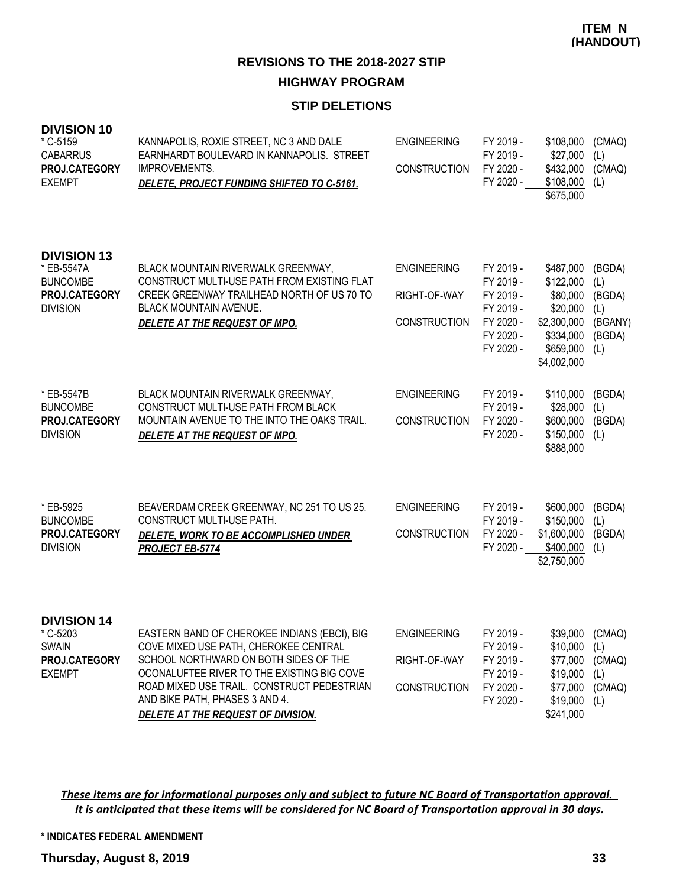#### **STIP DELETIONS**

| <b>DIVISION 10</b><br>* C-5159<br><b>CABARRUS</b><br>PROJ.CATEGORY<br><b>EXEMPT</b>     | KANNAPOLIS, ROXIE STREET, NC 3 AND DALE<br>EARNHARDT BOULEVARD IN KANNAPOLIS. STREET<br><b>IMPROVEMENTS.</b><br>DELETE, PROJECT FUNDING SHIFTED TO C-5161.                                                                                                                                                | <b>ENGINEERING</b><br><b>CONSTRUCTION</b>                 | FY 2019 -<br>FY 2019 -<br>FY 2020 -<br>FY 2020 -                                        | \$108,000<br>\$27,000<br>\$432,000<br>\$108,000<br>\$675,000                                           | (CMAQ)<br>(L)<br>(CMAQ)<br>(L)                             |
|-----------------------------------------------------------------------------------------|-----------------------------------------------------------------------------------------------------------------------------------------------------------------------------------------------------------------------------------------------------------------------------------------------------------|-----------------------------------------------------------|-----------------------------------------------------------------------------------------|--------------------------------------------------------------------------------------------------------|------------------------------------------------------------|
| <b>DIVISION 13</b><br>* EB-5547A<br><b>BUNCOMBE</b><br>PROJ.CATEGORY<br><b>DIVISION</b> | BLACK MOUNTAIN RIVERWALK GREENWAY,<br>CONSTRUCT MULTI-USE PATH FROM EXISTING FLAT<br>CREEK GREENWAY TRAILHEAD NORTH OF US 70 TO<br>BLACK MOUNTAIN AVENUE.<br>DELETE AT THE REQUEST OF MPO.                                                                                                                | <b>ENGINEERING</b><br>RIGHT-OF-WAY<br><b>CONSTRUCTION</b> | FY 2019 -<br>FY 2019 -<br>FY 2019 -<br>FY 2019 -<br>FY 2020 -<br>FY 2020 -<br>FY 2020 - | \$487,000<br>\$122,000<br>\$80,000<br>\$20,000<br>\$2,300,000<br>\$334,000<br>\$659,000<br>\$4,002,000 | (BGDA)<br>(L)<br>(BGDA)<br>(L)<br>(BGANY)<br>(BGDA)<br>(L) |
| * EB-5547B<br><b>BUNCOMBE</b><br>PROJ.CATEGORY<br><b>DIVISION</b>                       | BLACK MOUNTAIN RIVERWALK GREENWAY,<br>CONSTRUCT MULTI-USE PATH FROM BLACK<br>MOUNTAIN AVENUE TO THE INTO THE OAKS TRAIL.<br>DELETE AT THE REQUEST OF MPO.                                                                                                                                                 | <b>ENGINEERING</b><br><b>CONSTRUCTION</b>                 | FY 2019 -<br>FY 2019 -<br>FY 2020 -<br>FY 2020 -                                        | \$110,000<br>\$28,000<br>\$600,000<br>\$150,000<br>\$888,000                                           | (BGDA)<br>(L)<br>(BGDA)<br>(L)                             |
| * EB-5925<br><b>BUNCOMBE</b><br>PROJ.CATEGORY<br><b>DIVISION</b>                        | BEAVERDAM CREEK GREENWAY, NC 251 TO US 25.<br>CONSTRUCT MULTI-USE PATH.<br>DELETE, WORK TO BE ACCOMPLISHED UNDER<br><b>PROJECT EB-5774</b>                                                                                                                                                                | <b>ENGINEERING</b><br><b>CONSTRUCTION</b>                 | FY 2019 -<br>FY 2019 -<br>FY 2020 -<br>FY 2020 -                                        | \$600,000<br>\$150,000<br>\$1,600,000<br>\$400,000<br>\$2,750,000                                      | (BGDA)<br>(L)<br>(BGDA)<br>(L)                             |
| <b>DIVISION 14</b><br>* C-5203<br><b>SWAIN</b><br>PROJ.CATEGORY<br><b>EXEMPT</b>        | EASTERN BAND OF CHEROKEE INDIANS (EBCI), BIG<br>COVE MIXED USE PATH, CHEROKEE CENTRAL<br>SCHOOL NORTHWARD ON BOTH SIDES OF THE<br>OCONALUFTEE RIVER TO THE EXISTING BIG COVE<br>ROAD MIXED USE TRAIL. CONSTRUCT PEDESTRIAN<br>AND BIKE PATH, PHASES 3 AND 4.<br><u>DELETE AT THE REQUEST OF DIVISION.</u> | <b>ENGINEERING</b><br>RIGHT-OF-WAY<br><b>CONSTRUCTION</b> | FY 2019 -<br>FY 2019 -<br>FY 2019 -<br>FY 2019 -<br>FY 2020 -<br>FY 2020 -              | \$39,000<br>\$10,000<br>\$77,000<br>\$19,000<br>\$77,000<br>\$19,000<br>\$241,000                      | (CMAQ)<br>(L)<br>(CMAQ)<br>(L)<br>(CMAQ)<br>(L)            |

*These items are for informational purposes only and subject to future NC Board of Transportation approval. It is anticipated that these items will be considered for NC Board of Transportation approval in 30 days.*

**\* INDICATES FEDERAL AMENDMENT**